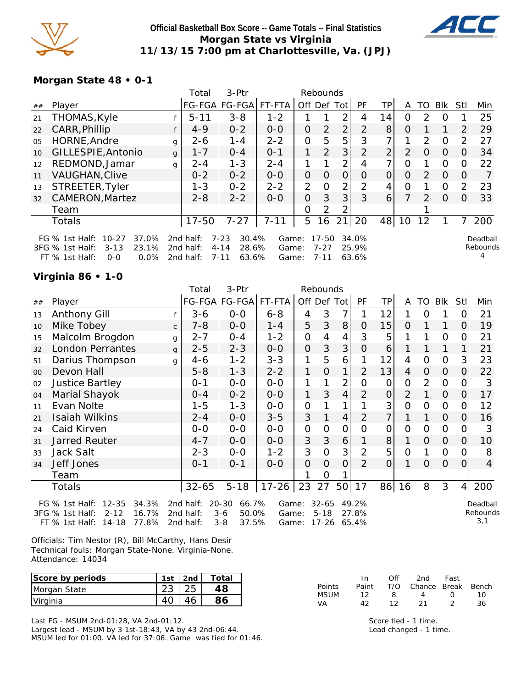

#### **Official Basketball Box Score -- Game Totals -- Final Statistics Morgan State vs Virginia 11/13/15 7:00 pm at Charlottesville, Va. (JPJ)**



### **Morgan State 48 • 0-1**

|    |                                                                                                                        |              | Total                               | 3-Ptr                                                       |                         |                | Rebounds                      |                |                         |                |                |               |                |                |                      |
|----|------------------------------------------------------------------------------------------------------------------------|--------------|-------------------------------------|-------------------------------------------------------------|-------------------------|----------------|-------------------------------|----------------|-------------------------|----------------|----------------|---------------|----------------|----------------|----------------------|
| ## | Player                                                                                                                 |              |                                     |                                                             | FG-FGA FG-FGA FT-FTA    | Off Def Tot    |                               |                | PF                      | ТP             | A              | TO            | Blk            | <b>Stll</b>    | Min                  |
| 21 | THOMAS, Kyle                                                                                                           |              | $5 - 11$                            | $3 - 8$                                                     | $1 - 2$                 |                |                               | 2              | 4                       | 14             | 0              | $\mathcal{P}$ | $\Omega$       |                | 25                   |
| 22 | CARR, Phillip                                                                                                          |              | $4 - 9$                             | $0 - 2$                                                     | $0 - 0$                 | 0              | $\overline{2}$                | $\overline{2}$ | $\overline{2}$          | 8              | 0              |               |                | $\overline{2}$ | 29                   |
| 05 | HORNE, Andre                                                                                                           | g            | $2 - 6$                             | 1-4                                                         | $2 - 2$                 | 0              | 5                             | 5              | 3                       |                |                | $\mathcal{P}$ | $\Omega$       | 2              | 27                   |
| 10 | GILLESPIE, Antonio                                                                                                     | $\mathbf{q}$ | $1 - 7$                             | $0 - 4$                                                     | $O - 1$                 | 1              | 2                             | 3 <sup>1</sup> | $\overline{2}$          | $\overline{2}$ | $\overline{2}$ | $\Omega$      | $\overline{0}$ | $\overline{0}$ | 34                   |
| 12 | REDMOND, Jamar                                                                                                         | q            | $2 - 4$                             | $1 - 3$                                                     | $2 - 4$                 | 1              |                               | $\overline{2}$ | 4                       | 7              | $\Omega$       |               | 0              | 0              | 22                   |
| 11 | <b>VAUGHAN, Clive</b>                                                                                                  |              | $0 - 2$                             | $0 - 2$                                                     | $O-O$                   | O              | $\Omega$                      | $\Omega$       | $\Omega$                | O              | $\Omega$       | $\mathcal{P}$ | $\Omega$       | $\Omega$       |                      |
| 13 | STREETER, Tyler                                                                                                        |              | $1 - 3$                             | $0 - 2$                                                     | $2 - 2$                 | $\overline{2}$ | 0                             | $\overline{2}$ | 2                       | 4              | $\Omega$       |               | $\Omega$       | 2              | 23                   |
| 32 | <b>CAMERON, Martez</b>                                                                                                 |              | $2 - 8$                             | $2 - 2$                                                     | $O-O$                   | O              | 3                             | 3              | 3                       | 6              | 7              | $\mathcal{P}$ | $\Omega$       | $\Omega$       | 33                   |
|    | Team                                                                                                                   |              |                                     |                                                             |                         | 0              | 2                             | 2              |                         |                |                |               |                |                |                      |
|    | Totals                                                                                                                 |              | $17 - 50$                           | $7 - 27$                                                    | $7 - 11$                | 5              | 16                            | 21             | 20                      | 48             | 10             | 12            |                | 7              | 200                  |
|    | FG % 1st Half:<br>$10 - 27$<br>37.0%<br>23.1%<br>3FG % 1st Half:<br>$3 - 13$<br>$FT$ % 1st Half:<br>$0.0\%$<br>$O - O$ |              | 2nd half:<br>2nd half:<br>2nd half: | $7 - 23$<br>30.4%<br>$4 - 14$<br>28.6%<br>$7 - 11$<br>63.6% | Game:<br>Game:<br>Game: |                | 17-50<br>$7 - 27$<br>$7 - 11$ |                | 34.0%<br>25.9%<br>63.6% |                |                |               |                |                | Deadball<br>Rebounds |

### **Virginia 86 • 1-0**

|    |                         |              | Total     | 3-Ptr         |           |              | Rebounds       |                |                |          |                |                |                |                |                |
|----|-------------------------|--------------|-----------|---------------|-----------|--------------|----------------|----------------|----------------|----------|----------------|----------------|----------------|----------------|----------------|
| ## | Player                  |              | FG-FGA    | <b>FG-FGA</b> | FT-FTA    |              |                | Off Def Tot    | PF             | TP       | A              | TO             | <b>Blk</b>     | Stll           | Min            |
| 13 | Anthony Gill            |              | $3 - 6$   | $O-O$         | $6 - 8$   | 4            | 3              | 7              |                | 12       | 1              | 0              |                | 0              | 21             |
| 10 | Mike Tobey              | $\mathsf{C}$ | $7 - 8$   | $0-0$         | $1 - 4$   | 5            | 3              | 8              | $\mathbf{O}$   | 15       | $\Omega$       | 1              | 1              | 0              | 19             |
| 15 | Malcolm Brogdon         | g            | $2 - 7$   | $0 - 4$       | $1 - 2$   | $\Omega$     | 4              | 4              | 3              | 5        | 1              | 1              | $\overline{O}$ | 0              | 21             |
| 32 | <b>London Perrantes</b> | g            | $2 - 5$   | $2 - 3$       | $0-0$     | $\Omega$     | 3              | 3              | $\overline{O}$ | 6        | 1              |                |                | 1              | 21             |
| 51 | Darius Thompson         | g            | $4 - 6$   | $1 - 2$       | $3 - 3$   | 1            | 5              | 6              | 1              | 12       | $\overline{4}$ | $\overline{0}$ | $\Omega$       | 3              | 23             |
| 00 | Devon Hall              |              | $5 - 8$   | $1 - 3$       | $2 - 2$   | 1            | $\overline{O}$ | 1              | 2              | 13       | 4              | $\Omega$       | $\Omega$       | 0              | 22             |
| 02 | <b>Justice Bartley</b>  |              | $0 - 1$   | $0-0$         | $O-O$     | 1            | 1              | 2              | $\Omega$       | 0        | $\overline{0}$ | $\overline{2}$ | $\mathbf 0$    | 0              | 3              |
| 04 | Marial Shayok           |              | $0 - 4$   | $0 - 2$       | $O-O$     | 1            | 3              | $\overline{4}$ | $\overline{2}$ | 0        | 2              | $\mathbf{1}$   | $\Omega$       | $\overline{O}$ | 17             |
| 11 | Evan Nolte              |              | $1 - 5$   | $1 - 3$       | $O-O$     | $\mathbf 0$  | 1              | 1              | 1              | 3        | $\overline{0}$ | $\mathbf 0$    | $\mathbf{O}$   | 0              | 12             |
| 21 | Isaiah Wilkins          |              | $2 - 4$   | $O-O$         | $3 - 5$   | 3            | 1              | $\overline{4}$ | $\overline{2}$ | 7        | 1              | 1              | $\Omega$       | 0              | 16             |
| 24 | Caid Kirven             |              | $O-O$     | $0-0$         | $O-O$     | $\mathbf{O}$ | $\mathbf 0$    | $\mathbf 0$    | $\mathbf 0$    | 0        | $\overline{0}$ | $\mathbf 0$    | $\mathbf{O}$   | 0              | 3              |
| 31 | <b>Jarred Reuter</b>    |              | $4 - 7$   | $0-0$         | $0-0$     | 3            | $\mathfrak{Z}$ | 6              | 1              | 8        | 1              | $\Omega$       | $\overline{O}$ | $\overline{O}$ | 10             |
| 33 | Jack Salt               |              | $2 - 3$   | $0-0$         | $1 - 2$   | 3            | $\overline{O}$ | 3              | $\overline{2}$ | 5        | $\overline{0}$ | 1              | $\mathbf{O}$   | 0              | 8              |
| 34 | Jeff Jones              |              | $0 - 1$   | $0 - 1$       | $0 - 0$   | $\Omega$     | $\Omega$       | $\Omega$       | $\overline{2}$ | $\Omega$ | 1              | $\Omega$       | $\Omega$       | $\Omega$       | $\overline{4}$ |
|    | Team                    |              |           |               |           | 1            | $\Omega$       | 1              |                |          |                |                |                |                |                |
|    | Totals                  |              | $32 - 65$ | $5 - 18$      | $17 - 26$ | 23           | 27             | 50             | 17             | 86       | 16             | 8              | 3              | 4              | 200            |
|    |                         |              |           |               |           |              |                |                |                |          |                |                |                |                |                |

| EG % 1st Half: 12-35 34.3% 2nd half: 20-30 66.7% Game: 32-65 49.2% |  |  |  |  |
|--------------------------------------------------------------------|--|--|--|--|
| 3FG % 1st Half: 2-12 16.7% 2nd half: 3-6 50.0% Game: 5-18 27.8%    |  |  |  |  |
| FT % 1st Half: 14-18 77.8% 2nd half: 3-8 37.5% Game: 17-26 65.4%   |  |  |  |  |

Deadball Rebounds 3,1

Officials: Tim Nestor (R), Bill McCarthy, Hans Desir Technical fouls: Morgan State-None. Virginia-None. Attendance: 14034

| Score by periods | 1st. | 2nd | Total |
|------------------|------|-----|-------|
| Morgan State     |      |     | 48    |
| <u>IVirginia</u> |      |     | 86    |

Last FG - MSUM 2nd-01:28, VA 2nd-01:12. Largest lead - MSUM by 3 1st-18:43, VA by 43 2nd-06:44. MSUM led for 01:00. VA led for 37:06. Game was tied for 01:46.

|        | In.   | ∩ff | 2nd                    | Fast        |     |
|--------|-------|-----|------------------------|-------------|-----|
| Points | Paint |     | T/O Chance Break Bench |             |     |
| MSUM   | 12    | 8   | 4                      | $^{\prime}$ | 10. |
| VA     | 42    | 12. | 21                     |             | 36  |

Score tied - 1 time. Lead changed - 1 time.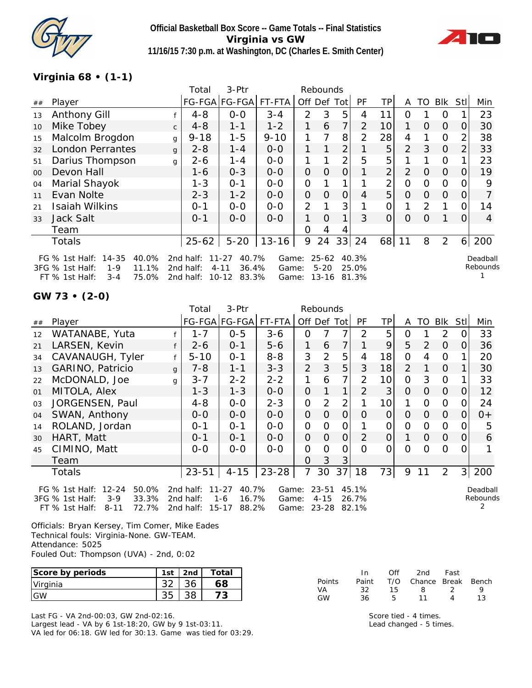

**Official Basketball Box Score -- Game Totals -- Final Statistics Virginia vs GW 11/16/15 7:30 p.m. at Washington, DC (Charles E. Smith Center)**



### **Virginia 68 • (1-1)**

|         |                                                                               |              | Total                  | $3-$ Ptr                                |                |                | Rebounds              |                |                |                |                |               |          |          |                      |
|---------|-------------------------------------------------------------------------------|--------------|------------------------|-----------------------------------------|----------------|----------------|-----------------------|----------------|----------------|----------------|----------------|---------------|----------|----------|----------------------|
| ##      | Player                                                                        |              |                        | FG-FGA FG-FGA                           | FT-FTA         | Off            | Def                   | Tot            | PF             | TP.            | A              | TO            | Blk      | Stl      | Min                  |
| 13      | Anthony Gill                                                                  |              | $4 - 8$                | $0-0$                                   | $3 - 4$        | $\overline{2}$ | 3                     | 5              | 4              | 11             | Ω              |               | 0        |          | 23                   |
| 10      | Mike Tobey                                                                    | $\mathsf{C}$ | $4 - 8$                | $1 - 1$                                 | $1 - 2$        | 1              | 6                     | 7              | $\overline{2}$ | 10             |                | $\Omega$      | $\Omega$ | O        | 30                   |
| 15      | Malcolm Brogdon                                                               | g            | $9 - 18$               | $1 - 5$                                 | $9 - 10$       |                | 7                     | 8              | 2              | 28             | 4              |               | 0        | 2        | 38                   |
| 32      | <b>London Perrantes</b>                                                       | g            | $2 - 8$                | $1 - 4$                                 | $0 - 0$        | 1.             |                       | $\overline{2}$ |                | 5              | 2              | 3             | $\Omega$ | 2        | 33                   |
| 51      | Darius Thompson                                                               | g            | $2 - 6$                | $1 - 4$                                 | $0-0$          |                |                       | 2              | 5              | 5              |                |               | 0        |          | 23                   |
| $00 \,$ | Devon Hall                                                                    |              | $1 - 6$                | $0 - 3$                                 | $0 - 0$        | $\mathbf{O}$   | 0                     | 0              | 1              | $\overline{2}$ | $\overline{2}$ | O             | $\Omega$ | 0        | 19                   |
| 04      | Marial Shayok                                                                 |              | $1 - 3$                | $O - 1$                                 | $O-O$          | 0              |                       |                |                | 2              | O              | 0             | O        |          | 9                    |
| 11      | Evan Nolte                                                                    |              | $2 - 3$                | $1 - 2$                                 | $0-0$          | $\mathbf{O}$   | 0                     | 0              | 4              | 5              | O              | 0             | $\Omega$ | 0        |                      |
| 21      | <b>Isaiah Wilkins</b>                                                         |              | $0 - 1$                | $0 - 0$                                 | $0-0$          | 2              | 1                     | 3              |                | $\Omega$       |                | $\mathcal{P}$ | 1        | 0        | 14                   |
| 33      | Jack Salt                                                                     |              | $0 - 1$                | $0-0$                                   | $0 - 0$        | 1.             | $\Omega$              | 1              | 3              | $\Omega$       | Ω              | Ω             |          | $\Omega$ | 4                    |
|         | Team                                                                          |              |                        |                                         |                | 0              | 4                     | 4              |                |                |                |               |          |          |                      |
|         | <b>Totals</b>                                                                 |              | $25 - 62$              | $5 - 20$                                | $13 - 16$      | 9              | 24                    | 33             | 24             | 68             | 11             | 8             | 2        | 6        | 200                  |
|         | $14 - 35$<br>40.0%<br>FG $%$ 1st Half:<br>3FG % 1st Half:<br>$1 - 9$<br>11.1% |              | 2nd half:<br>2nd half: | $11 - 27$<br>40.7%<br>36.4%<br>$4 - 11$ | Game:<br>Game: |                | $25 - 62$<br>$5 - 20$ |                | 40.3%<br>25.0% |                |                |               |          |          | Deadball<br>Rebounds |
|         |                                                                               |              |                        |                                         |                |                |                       |                |                |                |                |               |          |          |                      |

**GW 73 • (2-0)**

|    |                               |              | Total           | 3-Ptr         |           |              | Rebounds       |                |                |                 |          |            |          |          |                   |
|----|-------------------------------|--------------|-----------------|---------------|-----------|--------------|----------------|----------------|----------------|-----------------|----------|------------|----------|----------|-------------------|
| ## | Player                        |              |                 | FG-FGA FG-FGA | FT-FTA    | Off Def Tot  |                |                | <b>PF</b>      | TP              | A        | TO         | Blk      | Stll     | Min               |
| 12 | WATANABE, Yuta                |              | $1 - 7$         | $0 - 5$       | $3 - 6$   | 0            |                |                | 2              | 5               | 0        |            | 2        | 0        | 33                |
| 21 | LARSEN, Kevin                 | f            | $2 - 6$         | $0 - 1$       | $5 - 6$   | 1            | 6              | 7              |                | 9               | 5        | $\sqrt{2}$ | $\Omega$ | 0        | 36                |
| 34 | CAVANAUGH, Tyler              |              | $5 - 10$        | $O - 1$       | $8 - 8$   | 3            | $\overline{2}$ | 5              | 4              | 18              | $\Omega$ | 4          | 0        |          | 20                |
| 13 | <b>GARINO, Patricio</b>       | $\mathbf{q}$ | $7 - 8$         | $1 - 1$       | $3 - 3$   | 2            | 3              | 5              | 3              | 18 <sup>1</sup> | 2        |            | $\Omega$ |          | 30                |
| 22 | McDONALD, Joe                 | $\mathsf{q}$ | $3 - 7$         | $2 - 2$       | $2 - 2$   | 1            | 6              |                | $\overline{2}$ | 10              | 0        | 3          | $\Omega$ |          | 33                |
| 01 | MITOLA, Alex                  |              | $1 - 3$         | $1 - 3$       | $0 - 0$   | $\Omega$     |                | 1              | 2              | 3               | $\Omega$ | $\Omega$   | $\Omega$ | $\Omega$ | $12 \overline{ }$ |
| 03 | JORGENSEN, Paul               |              | $4 - 8$         | $0 - 0$       | $2 - 3$   | $\Omega$     | $\overline{2}$ | $\overline{2}$ |                | 10 <sup>1</sup> | 1        | $\Omega$   | $\Omega$ | $\Omega$ | 24                |
| 04 | SWAN, Anthony                 |              | $0 - 0$         | $0 - 0$       | $0 - 0$   | $\mathbf{O}$ | $\Omega$       | $\Omega$       | $\Omega$       | $\overline{O}$  | $\Omega$ | $\Omega$   | $\Omega$ | 0        | $0+$              |
| 14 | ROLAND, Jordan                |              | $0 - 1$         | $0 - 1$       | $0-0$     | $\Omega$     | $\Omega$       | 0              |                | 0               | $\Omega$ | $\Omega$   | $\Omega$ | 0        | 5                 |
| 30 | HART, Matt                    |              | $0 - 1$         | $0 - 1$       | $0-0$     | $\Omega$     | $\Omega$       | $\overline{O}$ | $\overline{2}$ | $\Omega$        | 1        | $\Omega$   | $\Omega$ | $\Omega$ | 6                 |
| 45 | CIMINO, Matt                  |              | $0 - 0$         | $0 - 0$       | $0 - 0$   | 0            | $\Omega$       | $\Omega$       | $\Omega$       | $\Omega$        | $\Omega$ | $\Omega$   | $\Omega$ | $\Omega$ |                   |
|    | Team                          |              |                 |               |           | $\Omega$     | 3              | 3              |                |                 |          |            |          |          |                   |
|    | <b>Totals</b>                 |              | $23 - 51$       | $4 - 15$      | $23 - 28$ | 7            | 30             | 37             | 18             | 73              | 9        | 11         | 2        | 3        | 200               |
|    | 50.0%<br>FG % 1st Half: 12-24 |              | 2nd half: 11-27 | 40.7%         |           | Game: 23-51  |                |                | 45.1%          |                 |          |            |          |          | Deadball          |

|  |  | - FG % ISLHall: 12-24 50.0% - 200 080: 11-27 40.7% - Game: 23-51 45.1%                               |  |  |  |
|--|--|------------------------------------------------------------------------------------------------------|--|--|--|
|  |  | 3FG % 1st Half: 3-9              33.3% 2nd half: 1-6             16.7% Game: 4-15              26.7% |  |  |  |
|  |  | FT % 1st Half: 8-11 72.7% 2nd half: 15-17 88.2% Game: 23-28 82.1%                                    |  |  |  |

FT % 1st Half: 3-4 75.0% 2nd half: 10-12 83.3% Game: 13-16 81.3%

Rebounds 2

1

Officials: Bryan Kersey, Tim Comer, Mike Eades Technical fouls: Virginia-None. GW-TEAM. Attendance: 5025 Fouled Out: Thompson (UVA) - 2nd, 0:02

| Score by periods | 1st | 2nd | Total |
|------------------|-----|-----|-------|
| Virginia         |     |     |       |
|                  |     |     |       |

Last FG - VA 2nd-00:03, GW 2nd-02:16. Largest lead - VA by 6 1st-18:20, GW by 9 1st-03:11. VA led for 06:18. GW led for 30:13. Game was tied for 03:29.

|        | In.   | Off | 2nd                    | Fast |    |
|--------|-------|-----|------------------------|------|----|
| Points | Paint |     | T/O Chance Break Bench |      |    |
| VA     | 32.   | 15. | -8                     | - 2  | Q  |
| GW     | 36.   | Б.  | 11                     | Δ    | 13 |

Score tied - 4 times. Lead changed - 5 times.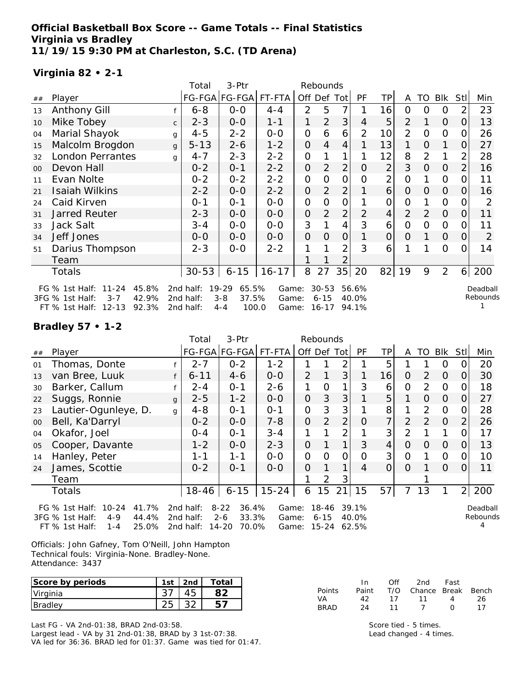**Official Basketball Box Score -- Game Totals -- Final Statistics Virginia vs Bradley 11/19/15 9:30 PM at Charleston, S.C. (TD Arena)**

### **Virginia 82 • 2-1**

|                |                                                                         |              | Total                  | 3-Ptr                                  |                |                | Rebounds              |                |                |                 |                |                |                |                |                      |
|----------------|-------------------------------------------------------------------------|--------------|------------------------|----------------------------------------|----------------|----------------|-----------------------|----------------|----------------|-----------------|----------------|----------------|----------------|----------------|----------------------|
| ##             | Player                                                                  |              |                        | FG-FGA FG-FGA FT-FTA                   |                | Off Def Tot    |                       |                | PF             | TP              | A              | TO             | Blk            | Stl            | Min                  |
| 13             | <b>Anthony Gill</b>                                                     |              | $6 - 8$                | $0 - 0$                                | $4 - 4$        | 2              | 5                     | 7              |                | 16              | 0              | 0              | 0              | $\overline{2}$ | 23                   |
| 10             | Mike Tobey                                                              | $\mathsf{C}$ | $2 - 3$                | $0-0$                                  | $1 - 1$        | 1              | $\overline{2}$        | 3              | 4              | 5               | 2              | 1              | 0              | 0              | 13                   |
| 04             | Marial Shayok                                                           | g            | $4 - 5$                | $2 - 2$                                | $0-0$          | $\mathbf{O}$   | 6                     | 6              | $\overline{2}$ | 10 <sup>1</sup> | $\overline{2}$ | 0              | $\mathbf 0$    | 0              | 26                   |
| 15             | Malcolm Brogdon                                                         | g            | $5 - 13$               | $2 - 6$                                | $1 - 2$        | $\overline{O}$ | 4                     | 4              |                | 13              | 1              | $\mathbf{O}$   | 1              | 0              | 27                   |
| 32             | <b>London Perrantes</b>                                                 | q            | $4 - 7$                | $2 - 3$                                | $2 - 2$        | 0              |                       |                |                | 12              | 8              | $\overline{2}$ | 1              | 2              | 28                   |
| 0 <sup>0</sup> | Devon Hall                                                              |              | $0 - 2$                | $0 - 1$                                | $2 - 2$        | $\mathbf{O}$   | 2                     | $\overline{2}$ | 0              | $\overline{2}$  | 3              | $\mathbf{O}$   | 0              | $\overline{2}$ | 16                   |
| 11             | Evan Nolte                                                              |              | $0 - 2$                | $0 - 2$                                | $2 - 2$        | $\mathbf{O}$   | 0                     | 0              | $\Omega$       | 2               | O              |                | 0              | 0              | 11                   |
| 21             | Isaiah Wilkins                                                          |              | $2 - 2$                | $0-0$                                  | $2 - 2$        | $\mathbf 0$    | $\overline{2}$        | 2              |                | 6               | O              | 0              | $\overline{O}$ | O              | 16                   |
| 24             | Caid Kirven                                                             |              | $0 - 1$                | $0 - 1$                                | $0-0$          | 0              | $\Omega$              | 0              |                | 0               | 0              |                | $\Omega$       | 0              | 2                    |
| 31             | Jarred Reuter                                                           |              | $2 - 3$                | $0-0$                                  | $0-0$          | 0              | $\overline{2}$        | $\overline{2}$ | $\overline{2}$ | 4               | $\overline{2}$ | 2              | $\overline{O}$ | 0              | 11                   |
| 33             | Jack Salt                                                               |              | $3 - 4$                | $0-0$                                  | $0-0$          | 3              |                       | $\overline{4}$ | 3              | 6               | $\Omega$       | 0              | $\Omega$       | 0              | 11                   |
| 34             | Jeff Jones                                                              |              | $0 - 0$                | $0-0$                                  | $0-0$          | $\overline{O}$ | O                     | 0              |                | $\overline{O}$  | $\Omega$       | 1              | $\mathbf{O}$   | 0              | $\overline{2}$       |
| 51             | Darius Thompson                                                         |              | $2 - 3$                | $0 - 0$                                | $2 - 2$        |                |                       | $\overline{2}$ | 3              | 6               |                |                | $\Omega$       | 0              | 14                   |
|                | Team                                                                    |              |                        |                                        |                |                |                       | 2              |                |                 |                |                |                |                |                      |
|                | Totals                                                                  |              | $30 - 53$              | $6 - 15$                               | $16 - 17$      | 8              | 27                    | 35             | 20             |                 | $82$   19      | 9              | $\overline{2}$ |                | 6 200                |
|                | 45.8%<br>FG % 1st Half:<br>11-24<br>3FG % 1st Half:<br>$3 - 7$<br>42.9% |              | 2nd half:<br>2nd half: | $19 - 29$<br>65.5%<br>$3 - 8$<br>37.5% | Game:<br>Game: |                | $30 - 53$<br>$6 - 15$ |                | 56.6%<br>40.0% |                 |                |                |                |                | Deadball<br>Rebounds |
|                | FT % 1st Half: 12-13<br>92.3%                                           |              | 2nd half:              | 100.0<br>$4 - 4$                       | Game:          |                | 16-17                 |                | 94.1%          |                 |                |                |                |                |                      |

#### **Bradley 57 • 1-2**

|        |                                                                                                                                              |              | Total                                        | 3-Ptr                                                    | Rebounds       |                                 |                   |                |                |                |                |               |          |                |                      |
|--------|----------------------------------------------------------------------------------------------------------------------------------------------|--------------|----------------------------------------------|----------------------------------------------------------|----------------|---------------------------------|-------------------|----------------|----------------|----------------|----------------|---------------|----------|----------------|----------------------|
| ##     | Player                                                                                                                                       |              |                                              | FG-FGA FG-FGA  FT-FTA                                    |                | Off Def Tot                     |                   |                | PF             | TP             | A              | TO            | Blk      | Stl            | Min                  |
| 01     | Thomas, Donte                                                                                                                                |              | $2 - 7$                                      | $0 - 2$                                                  | $1 - 2$        |                                 |                   |                |                | 5              |                |               | 0        |                | 20                   |
| 13     | van Bree, Luuk                                                                                                                               |              | $6 - 11$                                     | $4 - 6$                                                  | $0 - 0$        | $\overline{2}$                  |                   | 3              |                | 16             | 0              | $\mathcal{P}$ | $\Omega$ | 0              | 30                   |
| 30     | Barker, Callum                                                                                                                               |              | $2 - 4$                                      | $0 - 1$                                                  | $2 - 6$        | 1                               | Ω                 |                | 3              | 6              | 0              | $\mathcal{P}$ | 0        |                | 18                   |
| 22     | Suggs, Ronnie                                                                                                                                | $\mathbf{q}$ | $2 - 5$                                      | $1 - 2$                                                  | $0 - 0$        | $\mathbf{O}$                    | 3                 | 3              |                | 5              |                | $\Omega$      | $\Omega$ | $\Omega$       | 27                   |
| 23     | Lautier-Ogunleye, D.                                                                                                                         | q            | $4 - 8$                                      | $O - 1$                                                  | $0 - 1$        | 0                               | 3                 | 3              |                | 8              |                | $\mathcal{P}$ | $\Omega$ | O              | 28                   |
| $00\,$ | Bell, Ka'Darryl                                                                                                                              |              | $0 - 2$                                      | $0-0$                                                    | $7 - 8$        | $\overline{O}$                  | $\overline{2}$    | $\overline{2}$ | 0              | 7 <sup>1</sup> | $\overline{2}$ | 2             | $\Omega$ |                | 26                   |
| 04     | Okafor, Joel                                                                                                                                 |              | $0 - 4$                                      | $0 - 1$                                                  | $3 - 4$        | 1                               |                   | $\overline{2}$ |                | 3 <sup>1</sup> | $\overline{2}$ |               |          | Ω              | 17                   |
| 05     | Cooper, Davante                                                                                                                              |              | $1 - 2$                                      | $0 - 0$                                                  | $2 - 3$        | $\Omega$                        |                   | $\mathbf 1$    | 3              | 4              | $\Omega$       | $\Omega$      | $\Omega$ | $\Omega$       | 13                   |
| 14     | Hanley, Peter                                                                                                                                |              | $1 - 1$                                      | $1 - 1$                                                  | $0-0$          | 0                               | $\Omega$          | 0              | $\Omega$       | 3              | $\Omega$       |               | 0        | O              | 10                   |
| 24     | James, Scottie                                                                                                                               |              | $0 - 2$                                      | $0 - 1$                                                  | $0 - 0$        | 0                               |                   |                | 4              | 0              | $\Omega$       |               | $\Omega$ | $\Omega$       | 11                   |
|        | Team                                                                                                                                         |              |                                              |                                                          |                |                                 | $\mathcal{P}$     | 3              |                |                |                |               |          |                |                      |
|        | Totals                                                                                                                                       |              | $18 - 46$                                    | $6 - 15$                                                 | $15 - 24$      | 6                               | 15                | 21             | 15             | 57             | 7              | 13            |          | $\overline{2}$ | 200                  |
|        | FG $\%$ 1st Half:<br>10-24<br>41.7%<br>3FG % 1st Half:<br>44.4%<br>$4 - 9$<br>25 UOY<br>1 <sub>1</sub><br>$FT \, 02 \, 1 \,$ ct Half $\cdot$ |              | 2nd half:<br>2nd half:<br>$2nd$ half $\cdot$ | $8 - 22$<br>36.4%<br>33.3%<br>$2 - 6$<br>17 ລບ<br>70 O.X | Game:<br>Game: | C <sub>2</sub> ma: 15.21.62.502 | 18-46<br>$6 - 15$ |                | 39.1%<br>40.0% |                |                |               |          |                | Deadball<br>Rebounds |

Officials: John Gafney, Tom O'Neill, John Hampton Technical fouls: Virginia-None. Bradley-None. Attendance: 3437

FT % 1st Half: 1-4 25.0% 2nd half: 14-20 70.0% Game: 15-24 62.5%

| Score by periods | 1st | 2 <sub>nd</sub> | ™otai |
|------------------|-----|-----------------|-------|
| Virginia         |     |                 |       |
| Bradley          |     |                 |       |

Last FG - VA 2nd-01:38, BRAD 2nd-03:58. Largest lead - VA by 31 2nd-01:38, BRAD by 3 1st-07:38. VA led for 36:36. BRAD led for 01:37. Game was tied for 01:47.

|        | In. | Off  | 2nd Fast                     |              |    |
|--------|-----|------|------------------------------|--------------|----|
| Points |     |      | Paint T/O Chance Break Bench |              |    |
| VA     | 42  |      | 17 11                        | $\mathbf{A}$ | 26 |
| BRAD   | 24  | - 11 | - 7                          | <sup>n</sup> | 17 |

Score tied - 5 times. Lead changed - 4 times.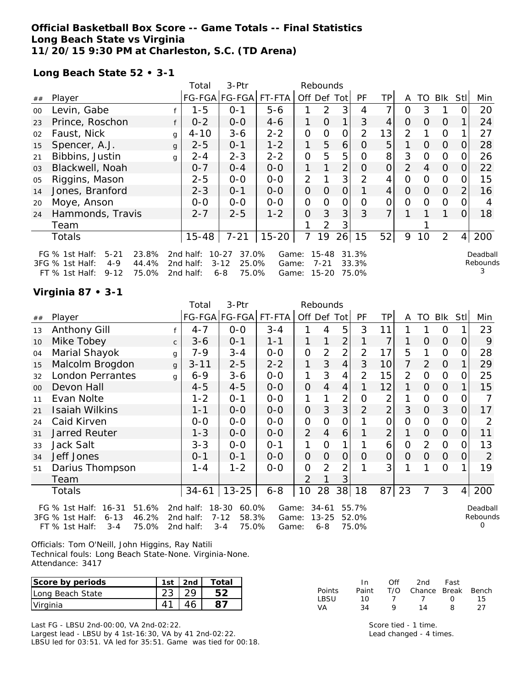#### **Official Basketball Box Score -- Game Totals -- Final Statistics Long Beach State vs Virginia 11/20/15 9:30 PM at Charleston, S.C. (TD Arena)**

**Long Beach State 52 • 3-1**

|    |                                                                                                                     |   | Total                               | 3-Ptr                                                       |                         |                | Rebounds                   |                |                         |                |                |     |                |                |                           |
|----|---------------------------------------------------------------------------------------------------------------------|---|-------------------------------------|-------------------------------------------------------------|-------------------------|----------------|----------------------------|----------------|-------------------------|----------------|----------------|-----|----------------|----------------|---------------------------|
| ## | Player                                                                                                              |   |                                     | FG-FGA FG-FGA                                               | FT-FTA                  | Off Def Tot    |                            |                | <b>PF</b>               | TPI            | A              | TO. | <b>BIK</b>     | StII           | Min                       |
| 00 | Levin, Gabe                                                                                                         |   | $1 - 5$                             | $0 - 1$                                                     | $5 - 6$                 |                | $\mathcal{P}$              | 3              | 4                       | 7              | 0              | 3   |                | 0              | 20                        |
| 23 | Prince, Roschon                                                                                                     |   | $0 - 2$                             | $0-0$                                                       | $4 - 6$                 | 1.             | $\Omega$                   | 1              | 3                       | 4              | 0              | 0   | $\Omega$       |                | 24                        |
| 02 | Faust, Nick                                                                                                         | g | $4 - 10$                            | $3 - 6$                                                     | $2 - 2$                 | 0              | $\Omega$                   | $\overline{O}$ | 2                       | 13             | $\overline{2}$ |     | $\Omega$       |                | 27                        |
| 15 | Spencer, A.J.                                                                                                       | g | $2 - 5$                             | $0 - 1$                                                     | $1 - 2$                 | 1              | 5                          | 6              | 0                       | 5              |                | 0   | $\Omega$       | 0              | 28                        |
| 21 | Bibbins, Justin                                                                                                     | g | $2 - 4$                             | $2 - 3$                                                     | $2 - 2$                 | $\mathbf 0$    | 5                          | 5              | O                       | 8 <sup>1</sup> | 3              | 0   | $\mathbf 0$    | 0              | 26                        |
| 03 | Blackwell, Noah                                                                                                     |   | $0 - 7$                             | $0 - 4$                                                     | $0 - 0$                 | 1              |                            | 2              | 0                       | $\Omega$       | $\overline{2}$ | 4   | 0              | $\Omega$       | 22                        |
| 05 | Riggins, Mason                                                                                                      |   | $2 - 5$                             | $0 - 0$                                                     | $0-0$                   | $\overline{2}$ |                            | 3              | $\overline{2}$          | 4              | 0              | 0   | $\Omega$       | 0              | 15                        |
| 14 | Jones, Branford                                                                                                     |   | $2 - 3$                             | $0 - 1$                                                     | $0-0$                   | 0              | $\mathbf{O}$               | 0              |                         | $\overline{4}$ | $\Omega$       | 0   | 0              | $\overline{2}$ | 16                        |
| 20 | Moye, Anson                                                                                                         |   | $0-0$                               | $0-0$                                                       | $0-0$                   | 0              | 0                          | $\Omega$       | 0                       | 0              | 0              | 0   | 0              | O              | 4                         |
| 24 | Hammonds, Travis                                                                                                    |   | $2 - 7$                             | $2 - 5$                                                     | $1 - 2$                 | O              | 3                          | 3              | 3                       | $\overline{7}$ |                |     |                | 0              | 18                        |
|    | Team                                                                                                                |   |                                     |                                                             |                         |                | 2                          | 3              |                         |                |                |     |                |                |                           |
|    | Totals                                                                                                              |   | $15 - 48$                           | $7 - 21$                                                    | $15 - 20$               | 7              | 19                         | 26             | 15                      | 52             | 9              | 10  | $\overline{2}$ | 4 <sup>1</sup> | 200                       |
|    | FG % 1st Half:<br>$5 - 21$<br>23.8%<br>3FG % 1st Half:<br>44.4%<br>$4 - 9$<br>75.0%<br>$FT$ % 1st Half:<br>$9 - 12$ |   | 2nd half:<br>2nd half:<br>2nd half: | 37.0%<br>$10 - 27$<br>25.0%<br>$3 - 12$<br>$6 - 8$<br>75.0% | Game:<br>Game:<br>Game: |                | $15 - 48$<br>7-21<br>15-20 |                | 31.3%<br>33.3%<br>75.0% |                |                |     |                |                | Deadball<br>Rebounds<br>3 |

#### **Virginia 87 • 3-1**

|        |                               |              | Total     | 3-Ptr                 |         |                | Rebounds       |                |                |                |                |                |             |                |                |
|--------|-------------------------------|--------------|-----------|-----------------------|---------|----------------|----------------|----------------|----------------|----------------|----------------|----------------|-------------|----------------|----------------|
| ##     | Player                        |              |           | FG-FGA FG-FGA         | FT-FTA  |                |                | Off Def Tot    | PF             | <b>TP</b>      | A              | TO             | <b>Blk</b>  | Stll           | Min            |
| 13     | <b>Anthony Gill</b>           |              | $4 - 7$   | $0 - 0$               | $3 - 4$ |                | 4              | 5              | 3              | 11             | 1              | 1              | 0           | 1              | 23             |
| 10     | Mike Tobey                    | $\mathsf{C}$ | $3 - 6$   | $0 - 1$               | $1 - 1$ | 1              | 1              | $\overline{2}$ | 1              | 7              | 1              | $\Omega$       | $\Omega$    | 0              | 9              |
| 04     | Marial Shayok                 | g            | 7-9       | $3 - 4$               | $0-0$   | $\mathbf 0$    | $\overline{2}$ | $\overline{2}$ | $\overline{2}$ | 17             | 5              | 1              | $\mathbf 0$ | 0              | 28             |
| 15     | Malcolm Brogdon               | $\mathbf{q}$ | $3 - 11$  | $2 - 5$               | $2 - 2$ | 1              | 3              | 4              | 3              | 10             | $\overline{7}$ | 2              | $\Omega$    | 1              | 29             |
| 32     | <b>London Perrantes</b>       | q            | $6 - 9$   | $3 - 6$               | $O-O$   | 1              | 3              | 4              | $\overline{2}$ | 15             | 2              | 0              | 0           | 0              | 25             |
| $00\,$ | Devon Hall                    |              | $4 - 5$   | $4 - 5$               | $0 - 0$ | $\overline{O}$ | $\overline{4}$ | 4              | 1              | 12             | 1              | $\Omega$       | $\Omega$    |                | 15             |
| 11     | Evan Nolte                    |              | $1 - 2$   | $O - 1$               | $0-0$   | 1              | 1              | 2              | $\Omega$       | 2              | 1              | $\Omega$       | 0           | 0              |                |
| 21     | Isaiah Wilkins                |              | $1 - 1$   | $0 - 0$               | $0 - 0$ | 0              | 3              | 3              | $\overline{2}$ | $\overline{2}$ | 3              | $\Omega$       | 3           | $\overline{O}$ | 17             |
| 24     | Caid Kirven                   |              | $0-0$     | $0 - 0$               | $0 - 0$ | $\mathbf 0$    | $\Omega$       | $\mathbf{O}$   |                | $\overline{0}$ | $\overline{O}$ | 0              | 0           | 0              | 2              |
| 31     | <b>Jarred Reuter</b>          |              | $1 - 3$   | $0 - 0$               | $0 - 0$ | $\overline{2}$ | 4              | 6              | 1              | $\overline{2}$ | 1              | $\Omega$       | $\Omega$    | $\overline{O}$ | 11             |
| 33     | Jack Salt                     |              | $3 - 3$   | $O-O$                 | $0 - 1$ | 1              | $\mathbf 0$    | 1              | 1              | 6              | $\Omega$       | 2              | 0           | 0              | 13             |
| 34     | Jeff Jones                    |              | $0 - 1$   | $0 - 1$               | $0 - 0$ | $\mathbf{O}$   | $\Omega$       | $\Omega$       | $\Omega$       | $\overline{O}$ | $\Omega$       | $\overline{O}$ | $\Omega$    | $\Omega$       | $\overline{2}$ |
| 51     | Darius Thompson               |              | $1 - 4$   | $1 - 2$               | $O-O$   | $\Omega$       | $\overline{2}$ | $\overline{2}$ | 1              | 3              | 1              | 1              | $\Omega$    | 1              | 19             |
|        | Team                          |              |           |                       |         | $\overline{2}$ |                | 3              |                |                |                |                |             |                |                |
|        | Totals                        |              | $34 - 61$ | $13 - 25$             | $6 - 8$ | 10             | 28             | 38             | 18             | 87             | 23             | 7              | 3           | 4              | 200            |
|        | 51.6%<br>FG % 1st Half: 16-31 |              |           | 2nd half: 18-30 60.0% |         | Game: 34-61    |                |                | 55.7%          |                |                |                |             |                | Deadbal        |

3FG % 1st Half: 6-13 46.2% 2nd half: 7-12 58.3% Game: 13-25 52.0% FT % 1st Half: 3-4 75.0% 2nd half: 3-4 75.0% Game: 6-8 75.0%

Deadball Rebounds 0

Officials: Tom O'Neill, John Higgins, Ray Natili Technical fouls: Long Beach State-None. Virginia-None. Attendance: 3417

| Score by periods | 1st | 2 <sub>nd</sub> | Total |
|------------------|-----|-----------------|-------|
| Long Beach State |     |                 |       |
| Virginia         |     |                 |       |

Last FG - LBSU 2nd-00:00, VA 2nd-02:22. Largest lead - LBSU by 4 1st-16:30, VA by 41 2nd-02:22. LBSU led for 03:51. VA led for 35:51. Game was tied for 00:18.

|        | In.   | Off | 2nd                    | Fast       |     |
|--------|-------|-----|------------------------|------------|-----|
| Points | Paint |     | T/O Chance Break Bench |            |     |
| LBSU   | 10.   |     |                        | $^{\circ}$ | 15. |
| VA     | 34    | Q   | 14                     | 8          | 27  |

Score tied - 1 time. Lead changed - 4 times.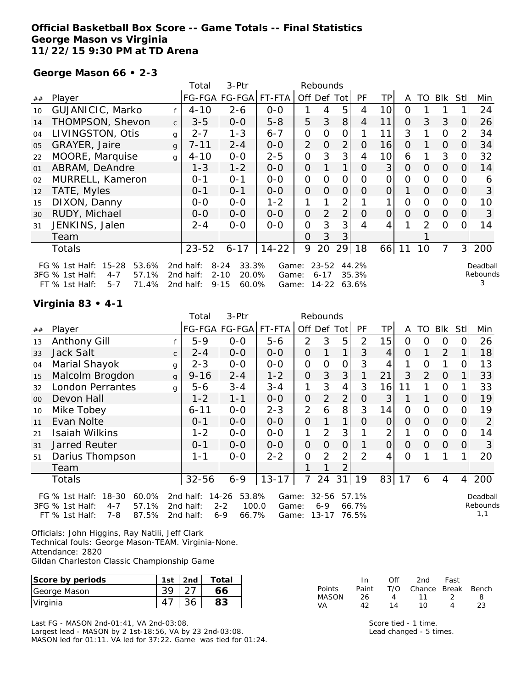### **Official Basketball Box Score -- Game Totals -- Final Statistics George Mason vs Virginia 11/22/15 9:30 PM at TD Arena**

**George Mason 66 • 2-3**

|    |                                                                             |              | Total                  | 3-Ptr                                  |                |                | Rebounds          |                |                |                |          |                |                |                |          |
|----|-----------------------------------------------------------------------------|--------------|------------------------|----------------------------------------|----------------|----------------|-------------------|----------------|----------------|----------------|----------|----------------|----------------|----------------|----------|
| ## | Player                                                                      |              |                        | FG-FGA FG-FGA FT-FTA                   |                |                | Off Def Tot       |                | <b>PF</b>      | ТP             | A        | TO             | Blk            | Stl            | Min      |
| 10 | GUJANICIC, Marko                                                            | f            | $4 - 10$               | $2 - 6$                                | $0-0$          | 1              | 4                 | 5              | 4              | 10             | 0        |                |                |                | 24       |
| 14 | THOMPSON, Shevon                                                            | $\mathsf{C}$ | $3 - 5$                | $0-0$                                  | $5 - 8$        | 5              | 3                 | 8              | 4              | 11             | 0        | 3              | 3              | 0              | 26       |
| 04 | LIVINGSTON, Otis                                                            | $\mathsf{q}$ | $2 - 7$                | $1 - 3$                                | $6 - 7$        | 0              | 0                 | O              |                | 11             | 3        |                | $\overline{0}$ | 2              | 34       |
| 05 | GRAYER, Jaire                                                               | $\mathbf{q}$ | $7 - 11$               | $2 - 4$                                | $0-0$          | 2              | $\Omega$          | $\overline{2}$ | 0              | 16             | O        |                | $\overline{O}$ | 0              | 34       |
| 22 | MOORE, Marquise                                                             | g            | $4 - 10$               | $0-0$                                  | $2 - 5$        | 0              | 3                 | 3              | 4              | 10             | 6        |                | 3              |                | 32       |
| 01 | ABRAM, DeAndre                                                              |              | $1 - 3$                | $1 - 2$                                | $0 - 0$        | O              |                   | 1              | 0              | 3 <sup>1</sup> | $\Omega$ | $\Omega$       | $\overline{O}$ | 0              | 14       |
| 02 | MURRELL, Kameron                                                            |              | 0-1                    | $0 - 1$                                | $0-0$          | 0              | $\Omega$          | $\overline{O}$ | 0              | 0              | O        | 0              | $\mathbf 0$    |                | 6        |
| 12 | TATE, Myles                                                                 |              | $0 - 1$                | $0 - 1$                                | $0-0$          | O              | $\Omega$          | $\Omega$       | 0              | $\Omega$       | 1        | $\Omega$       | $\overline{O}$ | O              | 3        |
| 15 | DIXON, Danny                                                                |              | $0-0$                  | $0 - 0$                                | $1 - 2$        |                |                   | 2              |                |                | 0        | 0              | $\overline{0}$ | O              | 10       |
| 30 | RUDY, Michael                                                               |              | $0 - 0$                | $0-0$                                  | $0-0$          | 0              | 2                 | $\overline{2}$ | O              | $\overline{O}$ | $\Omega$ | $\Omega$       | $\overline{O}$ | 0              | 3        |
| 31 | JENKINS, Jalen                                                              |              | $2 - 4$                | $0 - 0$                                | $0 - 0$        | $\overline{O}$ | 3                 | 3              | 4              | 4              |          | $\overline{2}$ | $\overline{0}$ | Ω              | 14       |
|    | Team                                                                        |              |                        |                                        |                | Ω              | 3                 | 3              |                |                |          |                |                |                |          |
|    | Totals                                                                      |              | $23 - 52$              | $6 - 17$                               | $14 - 22$      | 9              | 20                | 29             | 18             | 66             | 11       | 10             | $\overline{7}$ | 3 <sup>1</sup> | 200      |
|    | $15 - 28$<br>53.6%<br>FG $%$ 1st Half:                                      |              | 2nd half:              | $8 - 24$<br>33.3%                      | Game:          |                | $23 - 52$         |                | 44.2%          |                |          |                |                |                | Deadball |
|    | 57.1%<br>3FG % 1st Half:<br>$4 - 7$<br>71.4%<br>$FT$ % 1st Half:<br>$5 - 7$ |              | 2nd half:<br>2nd half: | $2 - 10$<br>20.0%<br>$9 - 15$<br>60.0% | Game:<br>Game: |                | $6 - 17$<br>14-22 |                | 35.3%<br>63.6% |                |          |                |                |                | Rebounds |

#### **Virginia 83 • 4-1**

|    |                                        |              | Total     | $3-$ Ptr           |           |                | Rebounds       |                |                |                |          |                |                |          |          |
|----|----------------------------------------|--------------|-----------|--------------------|-----------|----------------|----------------|----------------|----------------|----------------|----------|----------------|----------------|----------|----------|
| ## | Player                                 |              | FG-FGA    | <b>FG-FGA</b>      | FT-FTA    |                | Off Def Tot    |                | <b>PF</b>      | TPI            | A        | TO.            | Blk            | StII     | Min      |
| 13 | Anthony Gill                           |              | $5 - 9$   | $0-0$              | $5 - 6$   | 2              | 3              | 5              | $\overline{2}$ | 15             | 0        | $\Omega$       | 0              | $\Omega$ | 26       |
| 33 | Jack Salt                              | $\mathsf{C}$ | $2 - 4$   | $0 - 0$            | $0 - 0$   | $\Omega$       |                | 1              | 3              | 4              | $\Omega$ |                | 2              |          | 18       |
| 04 | Marial Shayok                          | g            | $2 - 3$   | $0-0$              | $O-O$     | $\mathbf 0$    | $\Omega$       | 0              | 3              | 4              |          | 0              |                | $\Omega$ | 13       |
| 15 | Malcolm Brogdon                        | $\mathbf{q}$ | $9 - 16$  | $2 - 4$            | $1 - 2$   | $\overline{O}$ | 3              | 3              |                | 21             | 3        | 2              | $\Omega$       |          | 33       |
| 32 | <b>London Perrantes</b>                | q            | $5 - 6$   | $3 - 4$            | $3 - 4$   | 1              | 3              | 4              | 3              | 16             | 11       |                | $\Omega$       |          | 33       |
| 00 | Devon Hall                             |              | $1 - 2$   | $1 - 1$            | $0-0$     | $\Omega$       | $\overline{2}$ | $\overline{2}$ | $\Omega$       | 3              |          |                | $\Omega$       | $\Omega$ | 19       |
| 10 | Mike Tobey                             |              | $6 - 11$  | $0-0$              | $2 - 3$   | $\overline{2}$ | 6              | 8              | 3              | 14             | $\Omega$ | $\Omega$       | $\Omega$       | $\Omega$ | 19       |
| 11 | Evan Nolte                             |              | $0 - 1$   | $0-0$              | $O-O$     | $\Omega$       |                | 1              | $\Omega$       | $\overline{O}$ | $\Omega$ | $\overline{O}$ | $\Omega$       | 0        | 2        |
| 21 | <b>Isaiah Wilkins</b>                  |              | $1 - 2$   | $0-0$              | $0-0$     | 1              | $\overline{2}$ | 3              |                | 2              |          | $\overline{0}$ | $\mathbf 0$    | 0        | 14       |
| 31 | Jarred Reuter                          |              | $0 - 1$   | $0 - 0$            | $0-0$     | $\Omega$       | $\Omega$       | $\Omega$       |                | $\Omega$       | $\Omega$ | $\Omega$       | $\overline{O}$ | $\Omega$ | 3        |
| 51 | Darius Thompson                        |              | 1-1       | $0-0$              | $2 - 2$   | $\Omega$       | 2              | $\overline{2}$ | $\mathcal{P}$  | 4              | $\Omega$ |                |                |          | 20       |
|    | Team                                   |              |           |                    |           |                |                | 2              |                |                |          |                |                |          |          |
|    | Totals                                 |              | $32 - 56$ | $6 - 9$            | $13 - 17$ | $\overline{7}$ | 24             | 31             | 19             | 83             | 17       | 6              | 4              | $\vert$  | 200      |
|    | $18 - 30$<br>60.0%<br>FG $%$ 1st Half: |              | 2nd half: | 53.8%<br>$14 - 26$ | Game:     |                | $32 - 56$      |                | 57.1%          |                |          |                |                |          | Deadball |
|    | 3FG % 1st Half:<br>57.1%<br>$4 - 7$    |              | 2nd half: | $2 - 2$<br>100.0   | Game:     |                | 6-9            |                | 66.7%          |                |          |                |                |          | Rebounds |

Game: 13-17 76.5%

 $\overline{\mathsf{s}}$ 1,1

Officials: John Higgins, Ray Natili, Jeff Clark Technical fouls: George Mason-TEAM. Virginia-None. Attendance: 2820 Gildan Charleston Classic Championship Game

FT % 1st Half: 7-8 87.5% 2nd half: 6-9 66.7%

**Score by periods 1st 2nd Total** George Mason **2008** 29 27 66 Virginia 47 36 **83**

Last FG - MASON 2nd-01:41, VA 2nd-03:08. Largest lead - MASON by 2 1st-18:56, VA by 23 2nd-03:08. MASON led for 01:11. VA led for 37:22. Game was tied for 01:24.

|        | In    | ∩ff | 2nd                    | Fast          |    |
|--------|-------|-----|------------------------|---------------|----|
| Points | Paint |     | T/O Chance Break Bench |               |    |
| MASON  | 26    | 4   | 11                     | $\mathcal{L}$ | 8  |
| VA     | 42    | 14  | 10                     | $\Lambda$     | 23 |

Score tied - 1 time. Lead changed - 5 times.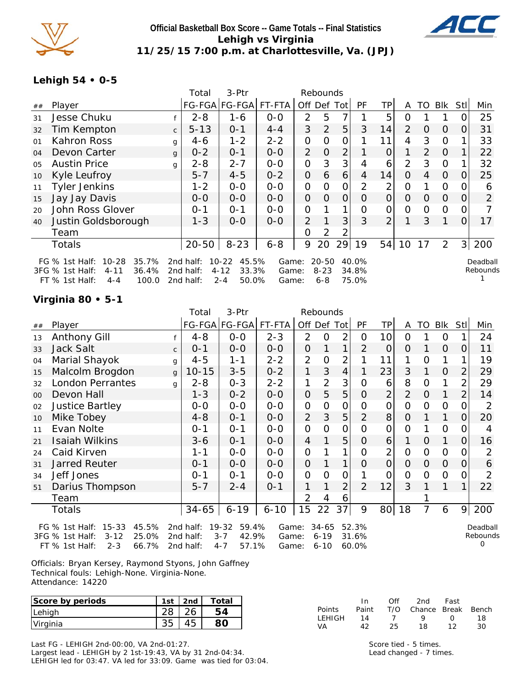

### **Official Basketball Box Score -- Game Totals -- Final Statistics Lehigh vs Virginia 11/25/15 7:00 p.m. at Charlottesville, Va. (JPJ)**



### **Lehigh 54 • 0-5**

|    |                                                                                                                      |              | Total                               | 3-Ptr                                                       |                         |                | Rebounds                         |                |                         |                |                |          |                |                |                      |
|----|----------------------------------------------------------------------------------------------------------------------|--------------|-------------------------------------|-------------------------------------------------------------|-------------------------|----------------|----------------------------------|----------------|-------------------------|----------------|----------------|----------|----------------|----------------|----------------------|
| ## | Player                                                                                                               |              |                                     | FG-FGA FG-FGA                                               | FT-FTA                  |                |                                  | Off Def Totl   | PF                      | TР             | A              | TO I     | BIK            | Stll           | Min                  |
| 31 | Jesse Chuku                                                                                                          |              | $2 - 8$                             | 1-6                                                         | $0 - 0$                 | $\mathcal{P}$  | 5                                | 7              |                         | 5              | $\Omega$       |          |                | Ω              | 25                   |
| 32 | Tim Kempton                                                                                                          | $\mathsf{C}$ | $5 - 13$                            | $0 - 1$                                                     | $4 - 4$                 | 3              | 2                                | 5              | 3                       | 14             | $\overline{2}$ | $\Omega$ | $\Omega$       | $\Omega$       | 31                   |
| 01 | Kahron Ross                                                                                                          | g            | $4 - 6$                             | $1 - 2$                                                     | $2 - 2$                 | 0              | 0                                | 0              |                         | 11             | 4              | 3        | 0              |                | 33                   |
| 04 | Devon Carter                                                                                                         | g            | $0 - 2$                             | $0 - 1$                                                     | $0 - 0$                 | $\overline{2}$ | $\Omega$                         | $\overline{2}$ |                         | $\Omega$       | 1.             | 2        | $\Omega$       |                | 22                   |
| 05 | <b>Austin Price</b>                                                                                                  | q            | $2 - 8$                             | $2 - 7$                                                     | $0 - 0$                 | 0              | 3                                | 3              | 4                       | 6              | $\overline{2}$ | 3        | $\Omega$       |                | 32                   |
| 10 | Kyle Leufroy                                                                                                         |              | $5 - 7$                             | $4 - 5$                                                     | $0 - 2$                 | $\Omega$       | 6                                | 6              | 4                       | 14             | $\Omega$       | 4        | $\overline{0}$ | 0              | 25                   |
| 11 | <b>Tyler Jenkins</b>                                                                                                 |              | $1 - 2$                             | $O-O$                                                       | $0-0$                   | $\mathbf 0$    | $\Omega$                         | $\overline{0}$ | 2                       | 2              | $\mathbf 0$    |          | $\mathbf 0$    | O              | 6                    |
| 15 | Jay Jay Davis                                                                                                        |              | $0 - 0$                             | $0-0$                                                       | $0 - 0$                 | $\mathbf{O}$   | 0                                | $\Omega$       | $\Omega$                | $\overline{O}$ | $\Omega$       | 0        | $\Omega$       | 0              | $\overline{2}$       |
| 20 | John Ross Glover                                                                                                     |              | $0 - 1$                             | $0 - 1$                                                     | $0 - 0$                 | 0              |                                  |                | $\Omega$                | 0              | 0              | $\Omega$ | $\overline{0}$ | 0              |                      |
| 40 | Justin Goldsborough                                                                                                  |              | $1 - 3$                             | $O-O$                                                       | $0 - 0$                 | 2              |                                  | 3 <sup>1</sup> | 3                       | 2              |                | 3        |                | 0              | 17                   |
|    | Team                                                                                                                 |              |                                     |                                                             |                         | O              | 2                                | 2              |                         |                |                |          |                |                |                      |
|    | <b>Totals</b>                                                                                                        |              | $20 - 50$                           | $8 - 23$                                                    | $6 - 8$                 | 9              | 20                               | 29             | 19                      | 54             | 10             | 17       | 2              | 3 <sup>1</sup> | 200                  |
|    | $10 - 28$<br>35.7%<br>FG $%$ 1st Half:<br>3FG % 1st Half:<br>36.4%<br>$4 - 11$<br>FT % 1st Half:<br>100.0<br>$4 - 4$ |              | 2nd half:<br>2nd half:<br>2nd half: | 45.5%<br>$10 - 22$<br>$4 - 12$<br>33.3%<br>$2 - 4$<br>50.0% | Game:<br>Game:<br>Game: |                | $20 - 50$<br>$8 - 23$<br>$6 - 8$ |                | 40.0%<br>34.8%<br>75.0% |                |                |          |                |                | Deadball<br>Rebounds |

# **Virginia 80 • 5-1**

|    |                                                                                                             |              | Total                                  | 3-Ptr                                                      |                         |                     | Rebounds                      |                |                         |                 |                |                |                |      |                           |
|----|-------------------------------------------------------------------------------------------------------------|--------------|----------------------------------------|------------------------------------------------------------|-------------------------|---------------------|-------------------------------|----------------|-------------------------|-----------------|----------------|----------------|----------------|------|---------------------------|
| ## | Player                                                                                                      |              | <b>FG-FGA</b>                          | FG-FGA                                                     | FT-FTA                  |                     | Off Def Tot                   |                | PF                      | ТP              | A              | TO             | <b>Blk</b>     | Stll | Min                       |
| 13 | Anthony Gill                                                                                                |              | $4 - 8$                                | $O-O$                                                      | $2 - 3$                 | 2                   | $\Omega$                      | $\overline{2}$ | 0                       | 10 <sup>1</sup> | $\Omega$       |                | 0              | 1    | 24                        |
| 33 | <b>Jack Salt</b>                                                                                            | $\mathsf{C}$ | 0-1                                    | $0-0$                                                      | $0-0$                   | $\mathbf 0$         |                               | 1              | 2                       | 0               | O              |                | $\mathbf 0$    | 0    | 11                        |
| 04 | Marial Shayok                                                                                               | $\mathbf{g}$ | $4 - 5$                                | $1 - 1$                                                    | $2 - 2$                 | $\overline{2}$      | 0                             | $\overline{2}$ |                         | 11              | 1              | 0              | 1              |      | 19                        |
| 15 | Malcolm Brogdon                                                                                             | $\mathbf{q}$ | $10 - 15$                              | $3 - 5$                                                    | $0 - 2$                 | 1                   | 3                             | 4              |                         | 23              | 3              |                | $\mathbf 0$    |      | 29                        |
| 32 | <b>London Perrantes</b>                                                                                     | g            | $2 - 8$                                | $0 - 3$                                                    | $2 - 2$                 | 1                   | $\overline{2}$                | 3              | Ω                       | 6               | 8              | O              | 1              | 2    | 29                        |
| 00 | Devon Hall                                                                                                  |              | $1 - 3$                                | $0 - 2$                                                    | $0 - 0$                 | $\mathbf{O}$        | 5                             | 5              | 0                       | $\overline{c}$  | $\overline{2}$ | $\overline{O}$ | 1              | 2    | 14                        |
| 02 | <b>Justice Bartley</b>                                                                                      |              | $0-0$                                  | $O-O$                                                      | $O-O$                   | 0                   | 0                             | 0              | O                       | 0               | $\overline{O}$ | $\overline{O}$ | $\overline{O}$ | O    | 2                         |
| 10 | Mike Tobey                                                                                                  |              | $4 - 8$                                | $0 - 1$                                                    | $0-0$                   | $\overline{2}$      | 3                             | 5              | $\overline{2}$          | 8               | $\Omega$       |                | 1              | 0    | 20                        |
| 11 | Evan Nolte                                                                                                  |              | 0-1                                    | $0 - 1$                                                    | $0-0$                   | $\mathbf{O}$        | O                             | 0              | 0                       | 0               | 0              |                | 0              | Ω    | 4                         |
| 21 | <b>Isaiah Wilkins</b>                                                                                       |              | $3 - 6$                                | $0 - 1$                                                    | $0 - 0$                 | 4                   |                               | 5              | 0                       | 6               | 1              | $\Omega$       | 1              | O    | 16                        |
| 24 | Caid Kirven                                                                                                 |              | 1-1                                    | $0-0$                                                      | $0-0$                   | 0                   |                               | 1              | 0                       | $\overline{2}$  | $\overline{O}$ | $\Omega$       | $\overline{O}$ | O    |                           |
| 31 | <b>Jarred Reuter</b>                                                                                        |              | $0 - 1$                                | $0-0$                                                      | $O-O$                   | $\mathsf{O}\xspace$ |                               | $\mathbf{1}$   | O                       | 0               | $\Omega$       | $\Omega$       | $\Omega$       | 0    | 6                         |
| 34 | Jeff Jones                                                                                                  |              | $0 - 1$                                | $0 - 1$                                                    | $0-0$                   | $\mathbf 0$         | 0                             | 0              |                         | 0               | $\overline{O}$ | 0              | $\overline{O}$ | O    | 2                         |
| 51 | Darius Thompson                                                                                             |              | $5 - 7$                                | $2 - 4$                                                    | $0 - 1$                 | 1                   |                               | $\overline{2}$ | $\overline{2}$          | 12              | 3              |                | 1              | 1    | 22                        |
|    | Team                                                                                                        |              |                                        |                                                            |                         | $\overline{2}$      | 4                             | 6              |                         |                 |                |                |                |      |                           |
|    | Totals                                                                                                      |              | $34 - 65$                              | $6 - 19$                                                   | $6 - 10$                | 15                  | 22                            | 37             | 9                       | 80 <sup>1</sup> | 18             | 7              | 6              | 9    | 200                       |
|    | FG % 1st Half: 15-33<br>45.5%<br>25.0%<br>3FG % 1st Half:<br>$3 - 12$<br>$2 - 3$<br>FT % 1st Half:<br>66.7% |              | 2 $nd$ half:<br>2nd half:<br>2nd half: | $19 - 32$<br>59.4%<br>$3 - 7$<br>42.9%<br>57.1%<br>$4 - 7$ | Game:<br>Game:<br>Game: |                     | 34-65<br>$6 - 19$<br>$6 - 10$ |                | 52.3%<br>31.6%<br>60.0% |                 |                |                |                |      | Deadball<br>Rebounds<br>Ο |

Officials: Bryan Kersey, Raymond Styons, John Gaffney Technical fouls: Lehigh-None. Virginia-None. Attendance: 14220

| Score by periods | 1st | 2 <sub>nd</sub> | Total |
|------------------|-----|-----------------|-------|
| Lehigh           |     |                 | 54    |
| Virginia         |     |                 |       |

Last FG - LEHIGH 2nd-00:00, VA 2nd-01:27. Largest lead - LEHIGH by 2 1st-19:43, VA by 31 2nd-04:34. LEHIGH led for 03:47. VA led for 33:09. Game was tied for 03:04.

|        | In.   | ∩ff | 2nd                    | Fast        |    |
|--------|-------|-----|------------------------|-------------|----|
| Points | Paint |     | T/O Chance Break Bench |             |    |
| LEHIGH | 14    |     | $\mathbf Q$            | $^{\prime}$ | 18 |
| VА     | 42    | 25. | 18                     | 12          | 30 |

Score tied - 5 times. Lead changed - 7 times.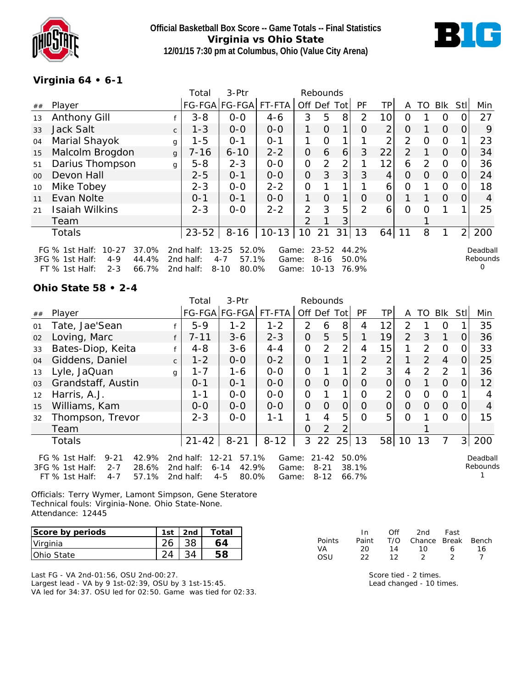



# **Virginia 64 • 6-1**

|         |                                                                                                                     |              | Total                               | 3-Ptr                                                       |                         |                | Rebounds                           |             |                         |                |                |                |          |                |                           |
|---------|---------------------------------------------------------------------------------------------------------------------|--------------|-------------------------------------|-------------------------------------------------------------|-------------------------|----------------|------------------------------------|-------------|-------------------------|----------------|----------------|----------------|----------|----------------|---------------------------|
| ##      | Player                                                                                                              |              |                                     | FG-FGA FG-FGA                                               | $FT-FTA$                | Off Def        |                                    | Totl        | PF                      | TP.            | A              | TO             | Blk      | Stll           | Min                       |
| 13      | <b>Anthony Gill</b>                                                                                                 |              | $3 - 8$                             | $0-0$                                                       | $4 - 6$                 | 3              | 5                                  | 8           | 2                       | 10             | $\Omega$       |                | 0        |                | 27                        |
| 33      | <b>Jack Salt</b>                                                                                                    | $\mathsf{C}$ | $1 - 3$                             | $0 - 0$                                                     | $0 - 0$                 | 1.             | $\Omega$                           | 1           | O                       | $\overline{2}$ | 0              |                | $\Omega$ | O              | 9                         |
| 04      | Marial Shayok                                                                                                       | g            | $1 - 5$                             | $O - 1$                                                     | $0 - 1$                 | 1              | 0                                  |             |                         | 2              | $\overline{2}$ | $\Omega$       | 0        |                | 23                        |
| 15      | Malcolm Brogdon                                                                                                     | $\mathbf{q}$ | $7 - 16$                            | $6 - 10$                                                    | $2 - 2$                 | O              | 6                                  | 6           | 3                       | 22             | 2              |                | $\Omega$ | O              | 34                        |
| 51      | Darius Thompson                                                                                                     | $\mathsf{q}$ | $5 - 8$                             | $2 - 3$                                                     | $0 - 0$                 | 0              | $\overline{2}$                     | 2           |                         | 12             | 6              | $\overline{2}$ | $\Omega$ | 0              | 36                        |
| $00 \,$ | Devon Hall                                                                                                          |              | $2 - 5$                             | $O - 1$                                                     | $0 - 0$                 | 0              | 3                                  | 3           | 3                       | 4              | 0              | $\Omega$       | $\Omega$ | 0              | 24                        |
| 10      | Mike Tobey                                                                                                          |              | $2 - 3$                             | $0 - 0$                                                     | $2 - 2$                 | 0              |                                    |             |                         | 6              | 0              |                | 0        |                | 18                        |
| 11      | Evan Nolte                                                                                                          |              | $0 - 1$                             | $O - 1$                                                     | $0 - 0$                 | 1.             | $\Omega$                           | $\mathbf 1$ | O                       | $\Omega$       |                |                | $\Omega$ | 0              | 4                         |
| 21      | <b>Isaiah Wilkins</b>                                                                                               |              | $2 - 3$                             | $O - O$                                                     | $2 - 2$                 | 2              | 3                                  | 5           | $\mathcal{P}$           | 6              | $\Omega$       | O              |          |                | 25                        |
|         | Team                                                                                                                |              |                                     |                                                             |                         | $\overline{2}$ |                                    |             |                         |                |                |                |          |                |                           |
|         | <b>Totals</b>                                                                                                       |              | $23 - 52$                           | $8 - 16$                                                    | $10-13$                 | 10             | 21                                 | 31          | 13                      | 64             | 11             | 8              |          | $\overline{2}$ | 200                       |
|         | 37.0%<br>FG $%$ 1st Half:<br>$10 - 27$<br>3FG % 1st Half:<br>$4 - 9$<br>44.4%<br>$2 - 3$<br>66.7%<br>FT % 1st Half: |              | 2nd half:<br>2nd half:<br>2nd half: | 52.0%<br>$13 - 25$<br>57.1%<br>$4 - 7$<br>80.0%<br>$8 - 10$ | Game:<br>Game:<br>Game: |                | $23 - 52$<br>$8 - 16$<br>$10 - 13$ |             | 44.2%<br>50.0%<br>76.9% |                |                |                |          |                | Deadball<br>Rebounds<br>O |

#### **Ohio State 58 • 2-4**

|    |                                                                                                                    |              | Total                               | $3-$ Ptr                                                    |                         |          | Rebounds                          |          |                         |                |          |          |                |                |                      |
|----|--------------------------------------------------------------------------------------------------------------------|--------------|-------------------------------------|-------------------------------------------------------------|-------------------------|----------|-----------------------------------|----------|-------------------------|----------------|----------|----------|----------------|----------------|----------------------|
| ## | Player                                                                                                             |              | FG-FGA FG-FGA                       |                                                             | FT-FTA                  | Off Def  |                                   | Totl     | PF                      | ТP             | A        | TO       | Blk            | Stll           | Min                  |
| 01 | Tate, Jae'Sean                                                                                                     |              | $5-9$                               | $1 - 2$                                                     | $1 - 2$                 | 2        | 6                                 | 8        | 4                       | 12             | 2        |          | 0              |                | 35                   |
| 02 | Loving, Marc                                                                                                       |              | $7 - 11$                            | $3 - 6$                                                     | $2 - 3$                 | $\Omega$ | 5                                 | 5        |                         | 19             | 2        | 3        | $\mathbf{1}$   | $\mathbf{O}$   | 36                   |
| 33 | Bates-Diop, Keita                                                                                                  |              | $4 - 8$                             | $3 - 6$                                                     | $4 - 4$                 | 0        | 2                                 | 2        | 4                       | 15             |          | 2        | $\overline{0}$ | 0              | 33                   |
| 04 | Giddens, Daniel                                                                                                    | $\mathsf{C}$ | $1 - 2$                             | $0 - 0$                                                     | $0 - 2$                 | $\Omega$ |                                   |          | 2                       | $\overline{2}$ |          | 2        | 4              | $\mathbf{O}$   | 25                   |
| 13 | Lyle, JaQuan                                                                                                       | $\alpha$     | $1 - 7$                             | $1 - 6$                                                     | $0 - 0$                 | 0        |                                   |          | 2                       | 3              | 4        | 2        | 2              | 1              | 36                   |
| 03 | Grandstaff, Austin                                                                                                 |              | $0 - 1$                             | $O - 1$                                                     | $0 - 0$                 | $\Omega$ | $\Omega$                          | $\Omega$ | $\Omega$                | $\overline{O}$ | $\Omega$ |          | $\Omega$       | $\Omega$       | 12                   |
| 12 | Harris, A.J.                                                                                                       |              | $1 - 1$                             | $O-O$                                                       | $0-0$                   | 0        |                                   |          | $\Omega$                | $\overline{2}$ | O        | 0        | $\mathbf 0$    |                | 4                    |
| 15 | Williams, Kam                                                                                                      |              | $0 - 0$                             | $0 - 0$                                                     | $0 - 0$                 | $\Omega$ | $\Omega$                          | $\Omega$ | $\Omega$                | 0              | $\Omega$ | $\Omega$ | $\overline{0}$ | 0              | $\overline{4}$       |
| 32 | Thompson, Trevor                                                                                                   |              | $2 - 3$                             | $0 - 0$                                                     | $1 - 1$                 |          | 4                                 | 5        | $\Omega$                | 5              | $\Omega$ |          | $\Omega$       | $\Omega$       | 15                   |
|    | Team                                                                                                               |              |                                     |                                                             |                         | $\Omega$ | 2                                 |          |                         |                |          |          |                |                |                      |
|    | <b>Totals</b>                                                                                                      |              | $21 - 42$                           | $8 - 21$                                                    | $8 - 12$                | 3        | 22                                | 25       | 13                      | 58             | 10       | 13       | 7              | 3 <sub>l</sub> | 200                  |
|    | FG $%$ 1st Half:<br>$9 - 21$<br>42.9%<br>3FG % 1st Half:<br>$2 - 7$<br>28.6%<br>57.1%<br>FT % 1st Half:<br>$4 - 7$ |              | 2nd half:<br>2nd half:<br>2nd half: | 57.1%<br>$12 - 21$<br>42.9%<br>$6 - 14$<br>$4 - 5$<br>80.0% | Game:<br>Game:<br>Game: |          | $21 - 42$<br>$8 - 21$<br>$8 - 12$ |          | 50.0%<br>38.1%<br>66.7% |                |          |          |                |                | Deadball<br>Rebounds |

Officials: Terry Wymer, Lamont Simpson, Gene Steratore Technical fouls: Virginia-None. Ohio State-None. Attendance: 12445

| Score by periods | 1st | 2nd | Total |
|------------------|-----|-----|-------|
| Virginia         |     |     | 64    |
| IOhio State      |     |     |       |

Last FG - VA 2nd-01:56, OSU 2nd-00:27. Largest lead - VA by 9 1st-02:39, OSU by 3 1st-15:45. VA led for 34:37. OSU led for 02:50. Game was tied for 02:33.

|        | In. | ∩ff | 2nd                          | Fast |    |
|--------|-----|-----|------------------------------|------|----|
| Points |     |     | Paint T/O Chance Break Bench |      |    |
| VA.    | 20. | 14  | 10 I                         | 6.   | 16 |
| OSU    | フフ  | 12  |                              |      |    |

Score tied - 2 times. Lead changed - 10 times.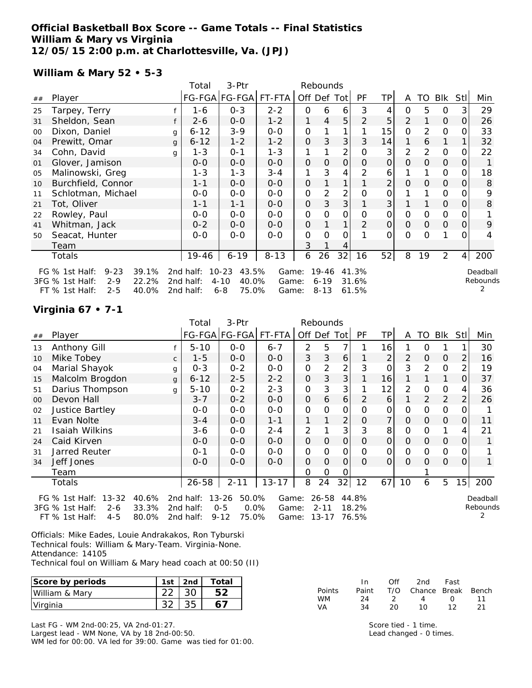#### **Official Basketball Box Score -- Game Totals -- Final Statistics William & Mary vs Virginia 12/05/15 2:00 p.m. at Charlottesville, Va. (JPJ)**

#### **William & Mary 52 • 5-3**

|        |                                     |   | Total     | 3-Ptr                |          |              | Rebounds  |                |                |          |                |                |                |                |          |
|--------|-------------------------------------|---|-----------|----------------------|----------|--------------|-----------|----------------|----------------|----------|----------------|----------------|----------------|----------------|----------|
| ##     | Player                              |   |           | FG-FGA FG-FGA FT-FTA |          | Off Def Tot  |           |                | PF             | TP       | A              | TO             | <b>BIK</b>     | StII           | Min      |
| 25     | Tarpey, Terry                       |   | 1-6       | $0 - 3$              | $2 - 2$  | 0            | 6         | 6              | 3              |          | 0              | 5              | 0              | 3              | 29       |
| 31     | Sheldon, Sean                       |   | $2 - 6$   | $0-0$                | $1 - 2$  | 1            | 4         | 5              | 2              | 5        | 2              |                | $\Omega$       | 0              | 26       |
| $00\,$ | Dixon, Daniel                       | g | $6 - 12$  | $3-9$                | $0 - 0$  | 0            |           |                |                | 15       | 0              | $\overline{2}$ | 0              |                | 33       |
| 04     | Prewitt, Omar                       | g | $6 - 12$  | $1 - 2$              | $1 - 2$  | 0            | 3         | 3              | 3              | 14       | 1              | 6              | 1              |                | 32       |
| 34     | Cohn, David                         | g | $1 - 3$   | $0 - 1$              | $1 - 3$  | 1            |           | $\overline{2}$ | $\Omega$       | 3        | $\overline{2}$ | 2              | $\mathbf 0$    |                | 22       |
| 01     | Glover, Jamison                     |   | $0 - 0$   | $0 - 0$              | $0 - 0$  | $\mathbf{O}$ | 0         | $\mathbf{O}$   | 0              | $\Omega$ | $\overline{0}$ | $\Omega$       | $\mathbf{O}$   | 0              | 1        |
| 05     | Malinowski, Greg                    |   | $1 - 3$   | $1 - 3$              | $3 - 4$  | 1            | 3         | 4              | 2              | 6        |                | 1              | 0              | 0              | 18       |
| 10     | Burchfield, Connor                  |   | $1 - 1$   | $0-0$                | $0 - 0$  | 0            |           |                |                | 2        | 0              | 0              | $\mathbf{O}$   | O              | 8        |
| 11     | Schlotman, Michael                  |   | $0 - 0$   | $0-0$                | $0 - 0$  | 0            | 2         | 2              | 0              | 0        |                |                | 0              |                | 9        |
| 21     | Tot, Oliver                         |   | $1 - 1$   | $1 - 1$              | $0-0$    | 0            | 3         | 3              |                | 3        |                |                | $\mathbf{O}$   | O              | 8        |
| 22     | Rowley, Paul                        |   | $0 - 0$   | $0-0$                | $0 - 0$  | 0            | 0         | 0              | $\Omega$       | 0        | $\Omega$       | $\Omega$       | 0              |                |          |
| 41     | Whitman, Jack                       |   | $0 - 2$   | $0 - 0$              | $0 - 0$  | $\mathbf{O}$ |           | 1              | $\overline{2}$ | 0        | $\mathbf{O}$   | $\Omega$       | $\mathbf{O}$   | 0              | 9        |
| 50     | Seacat, Hunter                      |   | $0 - 0$   | $0-0$                | $0-0$    | 0            | $\Omega$  | $\Omega$       |                | 0        | $\Omega$       | O              | 1              | Ω              | 4        |
|        | Team                                |   |           |                      |          | 3            |           | 4              |                |          |                |                |                |                |          |
|        | Totals                              |   | 19-46     | $6 - 19$             | $8 - 13$ | 6            | 26        | 32             | 16             | 52       | 8              | 19             | $\overline{2}$ | $\overline{4}$ | 200      |
|        | 39.1%<br>FG % 1st Half:<br>$9 - 23$ |   | 2nd half: | 43.5%<br>$10 - 23$   | Game:    |              | $19 - 46$ |                | 41.3%          |          |                |                |                |                | Deadball |
|        | 3FG % 1st Half:<br>$2 - 9$<br>22.2% |   | 2nd half: | $4 - 10$<br>40.0%    | Game:    |              | $6 - 19$  |                | 31.6%          |          |                |                |                |                | Rebounds |
|        | $2 - 5$<br>40.0%<br>FT % 1st Half:  |   | 2nd half: | $6 - 8$<br>75.0%     | Game:    |              | $8 - 13$  |                | 61.5%          |          |                |                |                |                |          |

#### **Virginia 67 • 7-1**

|    |                                      |              | Total           | 3-Ptr              |           |                          | Rebounds |          |              |                |          |               |                |      |          |
|----|--------------------------------------|--------------|-----------------|--------------------|-----------|--------------------------|----------|----------|--------------|----------------|----------|---------------|----------------|------|----------|
| ## | Player                               |              |                 | FG-FGA FG-FGA      | $FT-FTA$  | Off Def Tot              |          |          | <b>PF</b>    | TP             | A        |               | TO BIK         | Stll | Min      |
| 13 | Anthony Gill                         |              | $5 - 10$        | $O-O$              | $6 - 7$   | 2                        | 5        | 7        |              | 16             |          | Ω             |                |      | 30       |
| 10 | Mike Tobey                           | $\mathsf{C}$ | $1 - 5$         | $0 - 0$            | $0 - 0$   | 3                        | 3        | 6        |              | 2              | 2        | 0             | $\Omega$       |      | 16       |
| 04 | Marial Shayok                        | q            | $0 - 3$         | $0 - 2$            | $0 - 0$   | 0                        | 2        | 2        | 3            | O              | 3        | 2             | 0              |      | 19       |
| 15 | Malcolm Brogdon                      | $\mathbf{q}$ | $6 - 12$        | $2 - 5$            | $2 - 2$   | $\Omega$                 | 3        | 3        |              | 16             |          |               | 1              | Ο    | 37       |
| 51 | Darius Thompson                      | q            | $5 - 10$        | $0 - 2$            | $2 - 3$   | 0                        | 3        | 3        |              | 12             | 2        | 0             | 0              | 4    | 36       |
| 00 | Devon Hall                           |              | $3 - 7$         | $0 - 2$            | $0-0$     | $\mathbf{O}$             | 6        | 6        | 2            | 6              |          | $\mathcal{P}$ | 2              |      | 26       |
| 02 | <b>Justice Bartley</b>               |              | $0 - 0$         | $0 - 0$            | $0 - 0$   | 0                        | 0        | 0        | 0            | 0              | $\Omega$ | 0             | 0              |      |          |
| 11 | Evan Nolte                           |              | $3 - 4$         | $0-0$              | $1 - 1$   |                          |          | 2        | 0            | $\overline{7}$ | $\Omega$ | $\Omega$      | $\overline{0}$ | Ω    | 11       |
| 21 | Isaiah Wilkins                       |              | 3-6             | $0 - 0$            | $2 - 4$   | 2                        |          | 3        | 3            | 8              | 0        | 0             |                | 4    | 21       |
| 24 | Caid Kirven                          |              | $0 - 0$         | $0 - 0$            | $0 - 0$   | 0                        | $\Omega$ | $\Omega$ | 0            | O              | 0        | 0             | 0              | O    |          |
| 31 | Jarred Reuter                        |              | $0 - 1$         | $0 - 0$            | $0 - 0$   | 0                        | 0        | Ο        | 0            | 0              | 0        | 0             | 0              |      |          |
| 34 | Jeff Jones                           |              | $0 - 0$         | $0 - 0$            | $O-O$     | 0                        | $\Omega$ | 0        | 0            | $\Omega$       | $\Omega$ | $\Omega$      | $\Omega$       | 0    |          |
|    | Team                                 |              |                 |                    |           | 0                        | 0        | O        |              |                |          |               |                |      |          |
|    | Totals                               |              | 26-58           | $2 - 11$           | $13 - 17$ | 8                        | 24       | 32       | 12           | 67             | 10       | 6             | 5              | 15   | 200      |
|    | FG % 1st Half: 13-32                 | 40.6%        | 2nd half: 13-26 | 50.0%              | Game:     |                          | 26-58    |          | 44.8%        |                |          |               |                |      | Deadball |
|    | 3FG % 1st Half:<br>$2 - 6$           | 33.3%        | 2nd half:       | $0 - 5$<br>$0.0\%$ | Game:     |                          | $2 - 11$ |          | 18.2%        |                |          |               |                |      | Rebounds |
|    | $FT$ $Q$ $1$ $ct$ $H$ $3$ $F$<br>1 F | 80.02        | 2nd half.       | 75 OOL<br>O 1 2    |           | C <sub>2</sub> ma: 12 17 |          |          | <b>76 5%</b> |                |          |               |                |      |          |

FT % 1st Half: 4-5 80.0% 2nd half: 9-12 75.0% Game: 13-17 76.5%

Officials: Mike Eades, Louie Andrakakos, Ron Tyburski Technical fouls: William & Mary-Team. Virginia-None. Attendance: 14105

Technical foul on William & Mary head coach at 00:50 (II)

| Score by periods | 1st | 2nd <sub>1</sub> | Total |
|------------------|-----|------------------|-------|
| William & Mary   |     |                  |       |
| Virginia         |     | २५               |       |

Last FG - WM 2nd-00:25, VA 2nd-01:27. Largest lead - WM None, VA by 18 2nd-00:50. WM led for 00:00. VA led for 39:00. Game was tied for 01:00.

|               | In    | Off.          | 2nd -                  | Fast             |     |
|---------------|-------|---------------|------------------------|------------------|-----|
| <b>Points</b> | Paint |               | T/O Chance Break Bench |                  |     |
| <b>WM</b>     | - 24  | $\mathcal{L}$ | $\mathbf{\Delta}$      | $\left( \right)$ | 11  |
| VА            | 34    | 20            | 1 O                    | 12               | -21 |

Score tied - 1 time. Lead changed - 0 times.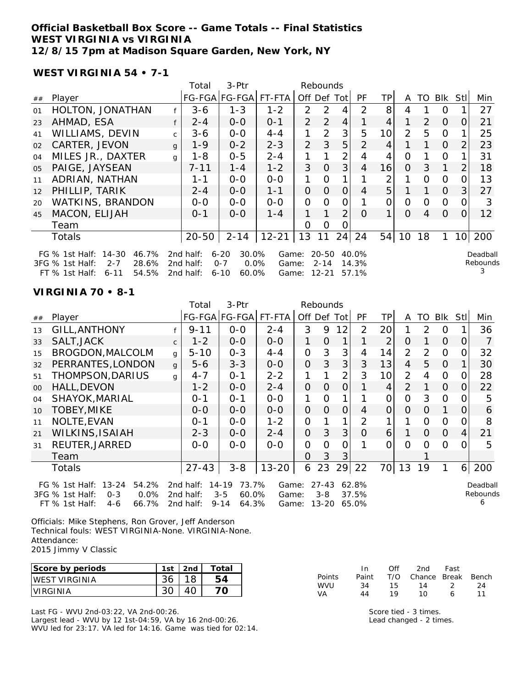#### **Official Basketball Box Score -- Game Totals -- Final Statistics WEST VIRGINIA vs VIRGINIA 12/8/15 7pm at Madison Square Garden, New York, NY**

**WEST VIRGINIA 54 • 7-1**

|    |                                                                      |              | Total                  | 3-Ptr                                   |                |               | Rebounds              |                |                |    |               |                |                |                 |                      |
|----|----------------------------------------------------------------------|--------------|------------------------|-----------------------------------------|----------------|---------------|-----------------------|----------------|----------------|----|---------------|----------------|----------------|-----------------|----------------------|
| ## | Player                                                               |              |                        | FG-FGA FG-FGA                           | FT-FTA         |               | Off Def Tot           |                | <b>PF</b>      | TP | A             | TO.            | Blk            | Stll            | Min                  |
| 01 | HOLTON, JONATHAN                                                     |              | $3 - 6$                | $1 - 3$                                 | $1 - 2$        | $\mathcal{P}$ | $\mathcal{P}$         |                | $\mathcal{P}$  | 8  | 4             |                | 0              |                 | 27                   |
| 23 | AHMAD, ESA                                                           |              | $2 - 4$                | $0-0$                                   | $0 - 1$        | $\mathcal{P}$ | 2                     | 4              |                | 4  |               | $\overline{2}$ | $\Omega$       | O               | 21                   |
| 41 | WILLIAMS, DEVIN                                                      | $\mathsf{C}$ | 3-6                    | $0 - 0$                                 | $4 - 4$        |               | $\mathcal{P}$         | 3              | 5              | 10 | $\mathcal{P}$ | 5              | 0              |                 | 25                   |
| 02 | CARTER, JEVON                                                        | $\mathbf{g}$ | $1 - 9$                | $0 - 2$                                 | $2 - 3$        | $\mathcal{P}$ | 3                     | 5              | $\overline{2}$ | 4  |               | 1.             | $\Omega$       | $\overline{2}$  | 23                   |
| 04 | MILES JR., DAXTER                                                    | $\mathsf{q}$ | $1 - 8$                | $0 - 5$                                 | $2 - 4$        |               |                       | $\overline{2}$ | 4              | 4  | $\Omega$      |                | 0              |                 | 31                   |
| 05 | PAIGE, JAYSEAN                                                       |              | $7 - 11$               | $1 - 4$                                 | $1 - 2$        | 3             | $\Omega$              | 3 <sup>1</sup> | 4              | 16 | $\Omega$      | 3              | $\mathbf{1}$   | 2               | 18                   |
| 11 | ADRIAN, NATHAN                                                       |              | $1 - 1$                | $0-0$                                   | $O-O$          | 1             | 0                     |                |                | 2  |               | 0              | $\mathbf 0$    | O               | 13                   |
| 12 | PHILLIP, TARIK                                                       |              | $2 - 4$                | $0-0$                                   | $1 - 1$        | 0             | 0                     | 0              | 4              | 5  |               |                | $\overline{O}$ | 3               | 27                   |
| 20 | <b>WATKINS, BRANDON</b>                                              |              | $0 - 0$                | $0 - 0$                                 | $0 - 0$        | 0             | 0                     | 0              |                | 0  | $\Omega$      | $\Omega$       | $\Omega$       | Ω               | 3                    |
| 45 | MACON, ELIJAH                                                        |              | $0 - 1$                | $0-0$                                   | $1 - 4$        | 1.            |                       | 2              | $\Omega$       | 1  | $\Omega$      | 4              | 0              | O.              | 12                   |
|    | Team                                                                 |              |                        |                                         |                | $\Omega$      | $\Omega$              |                |                |    |               |                |                |                 |                      |
|    | <b>Totals</b>                                                        |              | $20 - 50$              | $2 - 14$                                | $12 - 21$      | 13            | 11                    | 24             | 24             | 54 | 10            | 18             | 1.             | 10 <sup>1</sup> | 200                  |
|    | FG % 1st Half: 14-30<br>46.7%<br>3FG % 1st Half:<br>28.6%<br>$2 - 7$ |              | 2nd half:<br>2nd half: | $6 - 20$<br>30.0%<br>$O - 7$<br>$0.0\%$ | Game:<br>Game: |               | $20 - 50$<br>$2 - 14$ |                | 40.0%<br>14.3% |    |               |                |                |                 | Deadball<br>Rebounds |
|    | 54.5%<br>FT % 1st Half:<br>$6 - 11$                                  |              | 2nd half:              | $6 - 10$<br>60.0%                       | Game:          |               | 12-21                 |                | 57.1%          |    |               |                |                |                 | 3                    |

#### **VIRGINIA 70 • 8-1**

|        |                                                                                                                          |              | Total                                           | 3-Ptr                                                      |                                     |                | Rebounds                      |                |                         |                 |                |          |                |          |                           |
|--------|--------------------------------------------------------------------------------------------------------------------------|--------------|-------------------------------------------------|------------------------------------------------------------|-------------------------------------|----------------|-------------------------------|----------------|-------------------------|-----------------|----------------|----------|----------------|----------|---------------------------|
| ##     | Player                                                                                                                   |              |                                                 | FG-FGA FG-FGA                                              | FT-FTA                              |                |                               | Off Def Tot    | <b>PF</b>               | ТP              | A              | TO.      | Blk            | Stll     | Min                       |
| 13     | <b>GILL, ANTHONY</b>                                                                                                     |              | $9 - 11$                                        | $0 - 0$                                                    | $2 - 4$                             | 3              | 9                             | 12             | $\mathcal{P}$           | 20 <sub>l</sub> |                | 2        | 0              |          | 36                        |
| 33     | SALT, JACK                                                                                                               | $\mathsf{C}$ | $1 - 2$                                         | $0 - 0$                                                    | $0 - 0$                             | 1              | O                             | 1.             |                         | $\overline{2}$  | 0              |          | $\Omega$       | $\Omega$ | 7                         |
| 15     | BROGDON, MALCOLM                                                                                                         | $\mathsf{q}$ | $5 - 10$                                        | $0 - 3$                                                    | $4 - 4$                             | $\overline{O}$ | 3                             | 3              | 4                       | 14              | $\overline{2}$ | 2        | $\Omega$       |          | 32                        |
| 32     | PERRANTES, LONDON                                                                                                        | $\mathbf{q}$ | 5-6                                             | $3 - 3$                                                    | $0 - 0$                             | 0              | 3                             | 3              | 3                       | 13              | 4              | 5        | $\Omega$       |          | 30                        |
| 51     | THOMPSON, DARIUS                                                                                                         | $\mathsf{q}$ | $4 - 7$                                         | $O - 1$                                                    | $2 - 2$                             | 1              |                               | $\overline{2}$ | 3                       | 10              | $\overline{2}$ | 4        | $\mathbf 0$    | O        | 28                        |
| $00\,$ | <b>HALL, DEVON</b>                                                                                                       |              | $1 - 2$                                         | $O-O$                                                      | $2 - 4$                             | $\Omega$       | 0                             | 0              |                         | 4               | 2              |          | $\Omega$       | 0        | 22                        |
| 04     | SHAYOK, MARIAL                                                                                                           |              | $0 - 1$                                         | $0 - 1$                                                    | $0 - 0$                             | 1              | Ω                             |                |                         | 0               | 0              | 3        | $\overline{0}$ |          | 5                         |
| 10     | <b>TOBEY, MIKE</b>                                                                                                       |              | $0 - 0$                                         | $0 - 0$                                                    | $0 - 0$                             | $\Omega$       | 0                             | 0              | 4                       | 0               | 0              | $\Omega$ | 1              | $\Omega$ | 6                         |
| 11     | NOLTE, EVAN                                                                                                              |              | $0 - 1$                                         | $0 - 0$                                                    | $1 - 2$                             | 0              |                               | 1              | 2                       |                 |                | $\Omega$ | 0              | O        | 8                         |
| 21     | <b>WILKINS, ISAIAH</b>                                                                                                   |              | $2 - 3$                                         | $O-O$                                                      | $2 - 4$                             | $\Omega$       | 3                             | 3              | $\Omega$                | 6               |                | $\Omega$ | $\overline{0}$ | 4        | 21                        |
| 31     | REUTER, JARRED                                                                                                           |              | $0 - 0$                                         | $0 - 0$                                                    | $O-O$                               | 0              | 0                             | O              |                         | O               | $\Omega$       | $\Omega$ | $\Omega$       |          | 5                         |
|        | Team                                                                                                                     |              |                                                 |                                                            |                                     | O              | 3                             | 3              |                         |                 |                |          |                |          |                           |
|        | <b>Totals</b>                                                                                                            |              | $27 - 43$                                       | $3 - 8$                                                    | $13 - 20$                           | 6              | 23                            | 29             | 22                      | 70              | 13             | 19       |                | 6        | 200                       |
|        | $13 - 24$<br>54.2%<br>FG % 1st Half:<br>0.0%<br>3FG % 1st Half:<br>$0 - 3$<br>66 7%<br>$FT \%$ 1st Half $\cdot$<br>$4-6$ |              | 2nd half:<br>2nd half:<br>2nd half <sup>.</sup> | 73.7%<br>14-19<br>$3 - 5$<br>$60.0\%$<br>$9 - 14$<br>64 3% | Game:<br>Game:<br>Game <sup>.</sup> |                | $27 - 43$<br>$3 - 8$<br>13-20 |                | 62.8%<br>37.5%<br>65.0% |                 |                |          |                |          | Deadball<br>Rebounds<br>6 |

Officials: Mike Stephens, Ron Grover, Jeff Anderson Technical fouls: WEST VIRGINIA-None. VIRGINIA-None. Attendance: 2015 Jimmy V Classic

FT % 1st Half: 4-6 66.7% 2nd half: 9-14 64.3% Game: 13-20 65.0%

| Score by periods      | 1st | 2nd | Total |
|-----------------------|-----|-----|-------|
| <b>IWEST VIRGINIA</b> |     |     |       |
| <b>IVIRGINIA</b>      |     |     |       |

Last FG - WVU 2nd-03:22, VA 2nd-00:26.

Largest lead - WVU by 12 1st-04:59, VA by 16 2nd-00:26. WVU led for 23:17. VA led for 14:16. Game was tied for 02:14.

|               | In    | ∩ff | 2nd                | Fast |    |
|---------------|-------|-----|--------------------|------|----|
| <b>Points</b> | Paint | T/O | Chance Break Bench |      |    |
| WVU J         | 34    | 15. | 14                 |      | 24 |
| VA            | 44    | 19  | 10                 | 6    | 11 |

Score tied - 3 times. Lead changed - 2 times.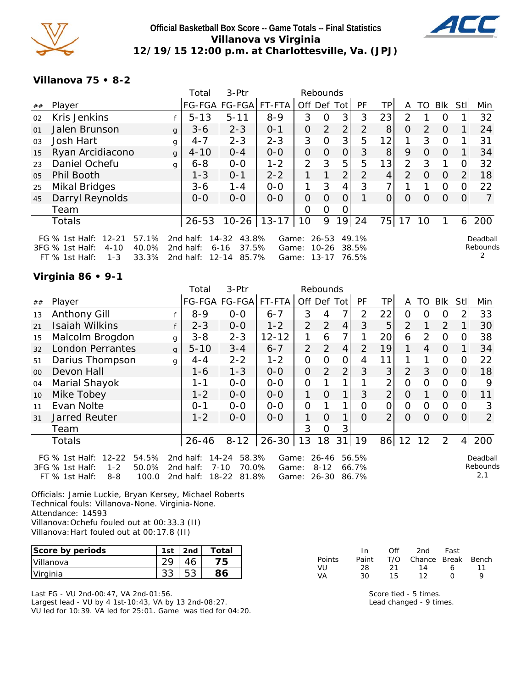

# **Official Basketball Box Score -- Game Totals -- Final Statistics Villanova vs Virginia 12/19/15 12:00 p.m. at Charlottesville, Va. (JPJ)**



#### **Villanova 75 • 8-2**

|                |                                                                                                                         |              | Total                               | 3-Ptr                                                     |                         | Rebounds      |                                 |                |                         |    |                |                |                |          |                           |
|----------------|-------------------------------------------------------------------------------------------------------------------------|--------------|-------------------------------------|-----------------------------------------------------------|-------------------------|---------------|---------------------------------|----------------|-------------------------|----|----------------|----------------|----------------|----------|---------------------------|
| ##             | Player                                                                                                                  |              |                                     | FG-FGA FG-FGA FT-FTA                                      |                         | Off Def Tot   |                                 |                | PF                      | ТP | A              |                | TO BIK StI     |          | Min                       |
| 02             | Kris Jenkins                                                                                                            |              | $5 - 13$                            | $5 - 11$                                                  | $8 - 9$                 | 3             | 0                               | 3              | 3                       | 23 | 2              |                | $\Omega$       |          | 32                        |
| 01             | Jalen Brunson                                                                                                           | $\mathsf{q}$ | $3-6$                               | $2 - 3$                                                   | $0 - 1$                 | 0             | $\overline{2}$                  | $\overline{2}$ | 2                       | 8  | $\Omega$       | $\overline{2}$ | $\Omega$       |          | 24                        |
| 03             | Josh Hart                                                                                                               | $\mathbf{q}$ | $4 - 7$                             | $2 - 3$                                                   | $2 - 3$                 | 3             | $\Omega$                        | 3 <sup>1</sup> | 5                       | 12 |                | 3              | $\Omega$       |          | 31                        |
| 15             | Ryan Arcidiacono                                                                                                        | $\mathbf{q}$ | $4 - 10$                            | $0 - 4$                                                   | $0 - 0$                 | 0             | $\Omega$                        | $\Omega$       | 3                       | 8  | 9              | $\Omega$       | $\overline{0}$ |          | 34                        |
| 23             | Daniel Ochefu                                                                                                           | q            | $6 - 8$                             | $0 - 0$                                                   | $1 - 2$                 | $\mathcal{P}$ | 3                               | 5              | 5                       | 13 | $\overline{2}$ | 3              |                | $\Omega$ | 32                        |
| 0 <sub>5</sub> | Phil Booth                                                                                                              |              | $1 - 3$                             | $0 - 1$                                                   | $2 - 2$                 | 1             | 1                               | $\overline{2}$ | $\overline{2}$          | 4  | 2              | $\Omega$       | $\Omega$       | 2        | 18                        |
| 25             | <b>Mikal Bridges</b>                                                                                                    |              | $3 - 6$                             | 1-4                                                       | $0 - 0$                 | 1             | 3                               | 4              | 3                       |    |                |                | $\Omega$       | 0        | 22                        |
| 45             | Darryl Reynolds                                                                                                         |              | $0 - 0$                             | $0 - 0$                                                   | $0 - 0$                 | O             | O                               | 0              |                         | O  | $\Omega$       | $\Omega$       | $\Omega$       | $\Omega$ |                           |
|                | Team                                                                                                                    |              |                                     |                                                           |                         | 0             | 0                               | 0              |                         |    |                |                |                |          |                           |
|                | <b>Totals</b>                                                                                                           |              | $26 - 53$                           | $10-26$   13-17                                           |                         | 10            | 9                               | 19             | 24                      | 75 | 17             | 10             |                | 6        | 200                       |
|                | FG $\%$ 1st Half:<br>$12 - 21$<br>57.1%<br>3FG % 1st Half:<br>$4 - 10$<br>40.0%<br>$FT$ % 1st Half:<br>$1 - 3$<br>33.3% |              | 2nd half:<br>2nd half:<br>2nd half: | 43.8%<br>14-32<br>37.5%<br>$6 - 16$<br>$12 - 14$<br>85.7% | Game:<br>Game:<br>Game: |               | 26-53<br>$10 - 26$<br>$13 - 17$ |                | 49.1%<br>38.5%<br>76.5% |    |                |                |                |          | Deadball<br>Rebounds<br>2 |

### **Virginia 86 • 9-1**

|         |                                                                                                            |              | Total                               | 3-Ptr                                                     |                         |                | Rebounds                   |                |                         |                |                |              |                |                |                             |
|---------|------------------------------------------------------------------------------------------------------------|--------------|-------------------------------------|-----------------------------------------------------------|-------------------------|----------------|----------------------------|----------------|-------------------------|----------------|----------------|--------------|----------------|----------------|-----------------------------|
| ##      | Player                                                                                                     |              |                                     | FG-FGA FG-FGA                                             | FT-FTA                  | Off Def Tot    |                            |                | <b>PF</b>               | TР             | A              | TO.          | BIK            | Stll           | Min                         |
| 13      | <b>Anthony Gill</b>                                                                                        |              | $8 - 9$                             | $O-O$                                                     | $6 - 7$                 | 3              | 4                          | 7              | 2                       | 22             | 0              | O            | 0              | 2              | 33                          |
| 21      | <b>Isaiah Wilkins</b>                                                                                      |              | $2 - 3$                             | $O-O$                                                     | $1 - 2$                 | $\mathcal{P}$  | 2                          | $\overline{4}$ | 3                       | 5              | $\overline{2}$ | $\mathbf{1}$ | 2              |                | 30                          |
| 15      | Malcolm Brogdon                                                                                            | q            | $3 - 8$                             | $2 - 3$                                                   | $12 - 12$               |                | 6                          |                |                         | 20             | 6              | 2            | $\mathbf 0$    | 0              | 38                          |
| 32      | <b>London Perrantes</b>                                                                                    | $\mathbf{q}$ | $5 - 10$                            | $3 - 4$                                                   | $6 - 7$                 | $\overline{2}$ | 2                          | $\overline{4}$ | 2                       | 19             | $\mathbf 1$    | 4            | $\overline{0}$ | 1              | 34                          |
| 51      | Darius Thompson                                                                                            | g            | $4 - 4$                             | $2 - 2$                                                   | $1 - 2$                 | 0              | $\Omega$                   | 0              | 4                       | 11             |                |              | 0              | 0              | 22                          |
| $00 \,$ | Devon Hall                                                                                                 |              | 1-6                                 | $1 - 3$                                                   | $0 - 0$                 | $\Omega$       | 2                          | 2              | 3                       | 3              | 2              | 3            | $\Omega$       | $\Omega$       | 18                          |
| 04      | Marial Shayok                                                                                              |              | 1-1                                 | $0-0$                                                     | $O-O$                   | 0              |                            |                |                         | 2              | $\Omega$       | 0            | $\mathbf 0$    | 0              | 9                           |
| 10      | Mike Tobey                                                                                                 |              | $1 - 2$                             | $0-0$                                                     | $0 - 0$                 | 1              | $\Omega$                   |                | 3                       | $\overline{2}$ | $\Omega$       |              | $\overline{O}$ | 0              | 11                          |
| 11      | Evan Nolte                                                                                                 |              | $0 - 1$                             | $0 - 0$                                                   | $0-0$                   | $\overline{0}$ |                            |                | $\Omega$                | $\mathbf 0$    | $\Omega$       | 0            | $\Omega$       | $\overline{O}$ | 3                           |
| 31      | <b>Jarred Reuter</b>                                                                                       |              | $1 - 2$                             | $O-O$                                                     | $0 - 0$                 | 1              | $\Omega$                   |                | $\Omega$                | 2              | $\Omega$       | $\Omega$     | $\overline{O}$ | 0              | $\overline{2}$              |
|         | Team                                                                                                       |              |                                     |                                                           |                         | 3              | 0                          | 3              |                         |                |                |              |                |                |                             |
|         | <b>Totals</b>                                                                                              |              | $26 - 46$                           | $8 - 12$                                                  | $26 - 30$               | 13             | 18                         | 31             | 19                      | 86             | 12             | 12           | 2              | 4              | 200                         |
|         | FG % 1st Half: 12-22<br>54.5%<br>50.0%<br>3FG % 1st Half:<br>$1 - 2$<br>FT % 1st Half:<br>$8 - 8$<br>100.0 |              | 2nd half:<br>2nd half:<br>2nd half: | $14 - 24$<br>58.3%<br>$7 - 10$<br>70.0%<br>18-22<br>81.8% | Game:<br>Game:<br>Game: |                | 26-46<br>$8 - 12$<br>26-30 |                | 56.5%<br>66.7%<br>86.7% |                |                |              |                |                | Deadball<br>Rebounds<br>2,1 |

Officials: Jamie Luckie, Bryan Kersey, Michael Roberts Technical fouls: Villanova-None. Virginia-None. Attendance: 14593 Villanova:Ochefu fouled out at 00:33.3 (II) Villanova:Hart fouled out at 00:17.8 (II)

| Score by periods | 1st | 2nd | Total |
|------------------|-----|-----|-------|
| <b>Villanova</b> |     |     | פי    |
| Virginia         |     |     |       |

Last FG - VU 2nd-00:47, VA 2nd-01:56. Largest lead - VU by 4 1st-10:43, VA by 13 2nd-08:27. VU led for 10:39. VA led for 25:01. Game was tied for 04:20.

|               | In.   | Off  | 2nd                    | Fast         |    |
|---------------|-------|------|------------------------|--------------|----|
| <b>Points</b> | Paint |      | T/O Chance Break Bench |              |    |
| VU            | -28   | -21- | 14                     | 6.           | 11 |
| VА            | 30.   | 15.  | 12                     | $\mathbf{I}$ | Q  |

Score tied - 5 times. Lead changed - 9 times.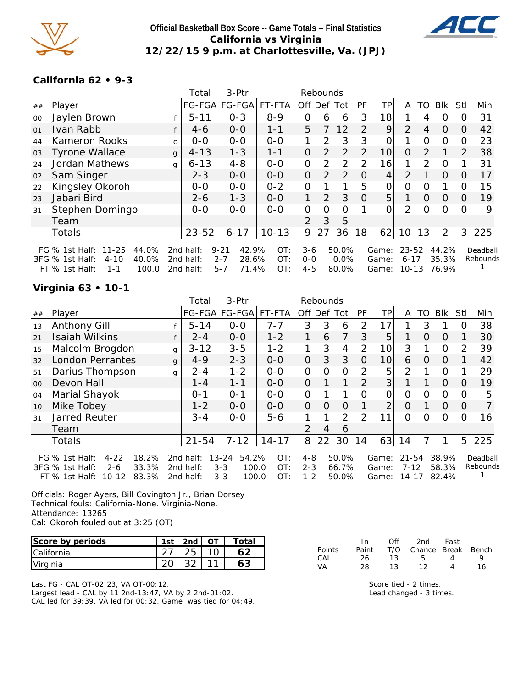

### **Official Basketball Box Score -- Game Totals -- Final Statistics California vs Virginia 12/22/15 9 p.m. at Charlottesville, Va. (JPJ)**



### **California 62 • 9-3**

|    |                                      |              | Total     | 3-Ptr             |         |                | Rebounds       |                |                |       |                |               |                |          |          |
|----|--------------------------------------|--------------|-----------|-------------------|---------|----------------|----------------|----------------|----------------|-------|----------------|---------------|----------------|----------|----------|
| ## | Player                               |              |           | FG-FGA FG-FGA     | FT-FTA  | Off Def        |                | Totl           | <b>PF</b>      | TР    | A              | TO            | Blk            | Stll     | Min      |
| 00 | Jaylen Brown                         |              | $5 - 11$  | $0 - 3$           | $8 - 9$ | 0              | 6              | 6              | 3              | 18    |                | 4             | 0              |          | 31       |
| 01 | Ivan Rabb                            | f            | $4-6$     | $0 - 0$           | $1 - 1$ | 5              |                | 12             | $\mathcal{P}$  | 9     | $\overline{2}$ | 4             | $\Omega$       | 0        | 42       |
| 44 | <b>Kameron Rooks</b>                 | $\mathsf{C}$ | $0 - 0$   | $O - O$           | $0 - 0$ | 1              | 2              | 3              | 3              | 0     |                | $\Omega$      | 0              |          | 23       |
| 03 | <b>Tyrone Wallace</b>                | $\mathsf{q}$ | $4 - 13$  | $1 - 3$           | $1 - 1$ | 0              | $\overline{2}$ | $\overline{2}$ | $\overline{2}$ | 10    | O              | $\mathcal{P}$ |                | 2        | 38       |
| 24 | Jordan Mathews                       | q            | $6 - 13$  | $4 - 8$           | $0-0$   | 0              | 2              | $\overline{2}$ | $\overline{2}$ | 16    | 1              | $\mathcal{P}$ | $\Omega$       |          | 31       |
| 02 | Sam Singer                           |              | $2 - 3$   | $0 - 0$           | $0 - 0$ | $\Omega$       | $\overline{2}$ | $\overline{2}$ | $\Omega$       | 4     | $\mathcal{P}$  |               | $\overline{0}$ | 0        | 17       |
| 22 | Kingsley Okoroh                      |              | $0-0$     | $0 - 0$           | $0 - 2$ | 0              |                |                | 5              | 0     | 0              | $\Omega$      |                |          | 15       |
| 23 | Jabari Bird                          |              | $2 - 6$   | $1 - 3$           | $0 - 0$ | 1              | 2              | 3              | $\Omega$       | 5     | 1              | $\Omega$      | $\Omega$       | $\Omega$ | 19       |
| 31 | Stephen Domingo                      |              | $0-0$     | $0 - 0$           | $0 - 0$ | 0              | $\Omega$       | Ω              |                | 0     | $\overline{2}$ | $\Omega$      | $\Omega$       |          | 9        |
|    | Team                                 |              |           |                   |         | $\overline{2}$ | 3              | 5              |                |       |                |               |                |          |          |
|    | <b>Totals</b>                        |              | $23 - 52$ | $6 - 17$          | $10-13$ | 9              | 27             | 36             | 18             | 62    | 10             | 13            | $\overline{2}$ | 3        | 225      |
|    | FG % 1st Half: 11-25<br>44.0%        |              | 2nd half: | 42.9%<br>$9 - 21$ | OT:     | $3-6$          |                | 50.0%          |                | Game: | 23-52          |               | 44.2%          |          | Deadball |
|    | 3FG % 1st Half:<br>40.0%<br>$4 - 10$ |              | 2nd half: | $2 - 7$<br>28.6%  | OT:     | $0 - 0$        |                | 0.0%           |                | Game: | $6 - 17$       |               | 35.3%          |          | Rebounds |
|    | $FT$ % 1st Half:<br>100.0<br>1-1     |              | 2nd half: | 71.4%<br>$5 - 7$  | OT:     | $4 - 5$        |                | 80.0%          |                | Game: | $10 - 13$      |               | 76.9%          |          |          |

### **Virginia 63 • 10-1**

|    |                                       |              | Total     | 3-Ptr                |           |                | Rebounds |                 |                |                 |           |          |            |          |          |
|----|---------------------------------------|--------------|-----------|----------------------|-----------|----------------|----------|-----------------|----------------|-----------------|-----------|----------|------------|----------|----------|
| ## | Player                                |              |           | FG-FGA FG-FGA FT-FTA |           | Off Def        |          | Tot             | <b>PF</b>      | TP              | A         | TO       | <b>Blk</b> | Stll     | Min      |
| 13 | <b>Anthony Gill</b>                   |              | $5 - 14$  | $0-0$                | $7 - 7$   | 3              | 3        | 6               | 2              | 17              |           | 3        |            |          | 38       |
| 21 | <b>Isaiah Wilkins</b>                 | f            | $2 - 4$   | $0-0$                | $1 - 2$   | 1              | 6        | 7               | 3              | 5               |           | $\Omega$ | $\Omega$   |          | 30       |
| 15 | Malcolm Brogdon                       | $\mathbf{q}$ | $3 - 12$  | $3 - 5$              | $1 - 2$   | 1              | 3        | 4               | $\overline{2}$ | 10              | 3         |          | 0          | 2        | 39       |
| 32 | <b>London Perrantes</b>               | g            | $4 - 9$   | $2 - 3$              | $0 - 0$   | $\overline{0}$ | 3        | 3               | 0              | 10 <sup>1</sup> | 6         | 0        | $\Omega$   |          | 42       |
| 51 | Darius Thompson                       | g            | $2 - 4$   | $1 - 2$              | $0 - 0$   | $\Omega$       | 0        | 0               | 2              | 5               | 2         |          | $\Omega$   |          | 29       |
| 00 | Devon Hall                            |              | 1 - 4     | $1 - 1$              | $0 - 0$   | $\Omega$       |          | 1               | $\overline{2}$ | $\mathbf{3}$    |           |          | $\Omega$   | Ω        | 19       |
| 04 | Marial Shayok                         |              | $0 - 1$   | $O - 1$              | $0 - 0$   | 0              |          |                 | 0              | 0               | $\Omega$  | $\Omega$ | O          |          | 5        |
| 10 | Mike Tobey                            |              | $1 - 2$   | $0 - 0$              | $0 - 0$   | $\Omega$       | $\Omega$ | 0               |                | 2               | $\Omega$  |          | $\Omega$   | $\Omega$ |          |
| 31 | <b>Jarred Reuter</b>                  |              | $3 - 4$   | $0-0$                | $5 - 6$   | 1              |          | $\overline{2}$  | $\overline{2}$ | 11              | $\Omega$  | ∩        | $\Omega$   | Ω        | 16       |
|    | Team                                  |              |           |                      |           | $\mathcal{P}$  | 4        | 6               |                |                 |           |          |            |          |          |
|    | <b>Totals</b>                         |              | $21 - 54$ | $7 - 12$             | $14 - 17$ | 8              | 22       | 30 <sup>1</sup> | 14             | $63$   14       |           | 7        |            |          | 5 225    |
|    | FG $%$ 1st Half:<br>$4 - 22$<br>18.2% |              | 2nd half: | $13 - 24$<br>54.2%   | OT:       | $4 - 8$        |          | 50.0%           |                | Game:           | $21 - 54$ |          | 38.9%      |          | Deadball |
|    | 33.3%<br>3FG % 1st Half:<br>$2 - 6$   |              | 2nd half: | $3 - 3$<br>100.0     | OT:       | $2 - 3$        |          | 66.7%           |                | Game:           | $7 - 12$  |          | 58.3%      |          | Rebounds |
|    | 83.3%<br>$10 - 12$<br>FT % 1st Half:  |              | 2nd half: | 100.0<br>$3 - 3$     | OT:       | $1 - 2$        |          | 50.0%           |                | Game:           | $14 - 17$ |          | 82.4%      |          |          |

Officials: Roger Ayers, Bill Covington Jr., Brian Dorsey Technical fouls: California-None. Virginia-None. Attendance: 13265 Cal: Okoroh fouled out at 3:25 (OT)

| Score by periods | 1st | 2nd | $O^+$ | Total |
|------------------|-----|-----|-------|-------|
| I California     |     |     |       |       |
| Virginia         |     |     |       |       |

Last FG - CAL OT-02:23, VA OT-00:12. Largest lead - CAL by 11 2nd-13:47, VA by 2 2nd-01:02. CAL led for 39:39. VA led for 00:32. Game was tied for 04:49.

|               | In.   | Off | 2nd -                  | Fast           |    |
|---------------|-------|-----|------------------------|----------------|----|
| <b>Points</b> | Paint |     | T/O Chance Break Bench |                |    |
| CAL           | 26.   | 13. | -5-                    | $\overline{4}$ | Q  |
| VA            | 28    | 13. | 12                     |                | 16 |

Score tied - 2 times. Lead changed - 3 times.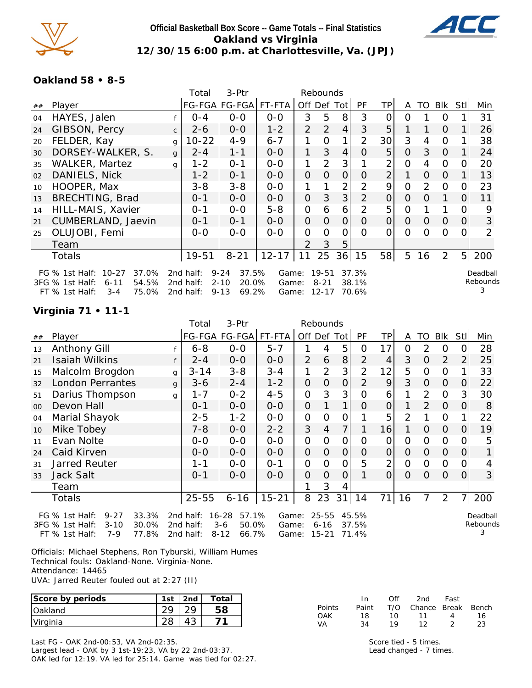

### **Official Basketball Box Score -- Game Totals -- Final Statistics Oakland vs Virginia 12/30/15 6:00 p.m. at Charlottesville, Va. (JPJ)**



**Oakland 58 • 8-5**

|    |                                                                                                   |              | Total                    | 3-Ptr                                                            |           |                             | Rebounds    |                |                |                |          |          |                |                |               |
|----|---------------------------------------------------------------------------------------------------|--------------|--------------------------|------------------------------------------------------------------|-----------|-----------------------------|-------------|----------------|----------------|----------------|----------|----------|----------------|----------------|---------------|
| ## | Player                                                                                            |              |                          | FG-FGA FG-FGA                                                    | FT-FTA    |                             | Off Def Tot |                | PF.            | TP.            | A        | TO       | <b>BIK</b>     | Stl            | Min           |
| 04 | HAYES, Jalen                                                                                      |              | $O - 4$                  | $0-0$                                                            | $0 - 0$   | 3                           | 5           | 8              | 3              | Ω              | Ω        |          | 0              |                | 31            |
| 24 | GIBSON, Percy                                                                                     | $\mathsf{C}$ | $2 - 6$                  | $0 - 0$                                                          | $1 - 2$   | 2                           | 2           | 4              | 3              | 5              |          |          | $\Omega$       |                | 26            |
| 20 | FELDER, Kay                                                                                       | g            | $10 - 22$                | $4 - 9$                                                          | $6 - 7$   | 1                           | 0           | 1              | 2              | 30             | 3        | 4        | 0              |                | 38            |
| 30 | DORSEY-WALKER, S.                                                                                 | g            | $2 - 4$                  | $1 - 1$                                                          | $0-0$     | 1                           | 3           | 4              | O              | 5              | O        | 3        | 0              |                | 24            |
| 35 | <b>WALKER, Martez</b>                                                                             | q            | $1 - 2$                  | $O - 1$                                                          | $0-0$     | 1                           | 2           | 3              |                | $\overline{2}$ | 0        | 4        | 0              |                | 20            |
| 02 | DANIELS, Nick                                                                                     |              | $1 - 2$                  | $0 - 1$                                                          | $0-0$     | $\mathbf{O}$                | 0           | $\overline{O}$ | $\Omega$       | $\overline{2}$ |          | O        | 0              |                | 13            |
| 10 | HOOPER, Max                                                                                       |              | 3-8                      | $3 - 8$                                                          | $0-0$     |                             |             | 2              | 2              | 9              | $\Omega$ | 2        | 0              | Ω              | 23            |
| 13 | <b>BRECHTING, Brad</b>                                                                            |              | $0 - 1$                  | $O-O$                                                            | $0 - 0$   | $\Omega$                    | 3           | 3              | 2              | $\Omega$       | $\Omega$ | 0        | 1              | 0              | 11            |
| 14 | HILL-MAIS, Xavier                                                                                 |              | $0 - 1$                  | $0-0$                                                            | $5 - 8$   | 0                           | 6           | 6              | $\mathcal{P}$  | 5              | $\Omega$ |          | 1              |                | 9             |
| 21 | CUMBERLAND, Jaevin                                                                                |              | $0 - 1$                  | $0 - 1$                                                          | $0 - 0$   | $\mathbf{O}$                | 0           | 0              | $\Omega$       | $\Omega$       | $\Omega$ | $\Omega$ | $\Omega$       | 0              | 3             |
| 25 | OLUJOBI, Femi                                                                                     |              | $0-0$                    | $0 - 0$                                                          | $0 - 0$   | 0                           | $\Omega$    | 0              | $\Omega$       | ი              | $\Omega$ | O        | $\Omega$       | O              | 2             |
|    | Team                                                                                              |              |                          |                                                                  |           | $\mathcal{P}$               | 3           | 5              |                |                |          |          |                |                |               |
|    | Totals                                                                                            |              | 19-51                    | $8 - 21$                                                         | $12 - 17$ | 11                          | 25          | 36             | 15             | 58             | 5        | 16       | $\overline{2}$ | 5 <sup>1</sup> | 200           |
|    | $10 - 27$<br>37.0%<br>FG $%$ 1st Half:                                                            |              | 2nd half:                | $9 - 24$<br>37.5%                                                | Game:     |                             | $19 - 51$   |                | 37.3%          |                |          |          |                |                | Deadball      |
|    | 54.5%<br>3FG % 1st Half:<br>$6 - 11$<br>75. OOZ<br>$TT$ $0/1$ $\rightarrow$ $H$<br>2 <sub>1</sub> |              | 2nd half:<br>$2nd$ holf. | $2 - 10$<br>20.0%<br><u>ດ າາ</u><br>$\epsilon$ $\alpha$ $\gamma$ | Game:     | $C_{2}$ $\sim$ $\sim$ 10.17 | $8 - 21$    |                | 38.1%<br>70.62 |                |          |          |                |                | Rebounds<br>3 |

FT % 1st Half: 3-4 75.0% 2nd half: 9-13 69.2% Game: 12-17 70.6%

**Virginia 71 • 11-1**

|        |                                                                                                                   |   | Total                               | 3-Ptr                                                       |                         |                | Rebounds                           |                     |                         |                |                |                |                |                |                           |
|--------|-------------------------------------------------------------------------------------------------------------------|---|-------------------------------------|-------------------------------------------------------------|-------------------------|----------------|------------------------------------|---------------------|-------------------------|----------------|----------------|----------------|----------------|----------------|---------------------------|
| ##     | Player                                                                                                            |   |                                     | FG-FGA FG-FGA FT-FTA                                        |                         |                | Off Def Tot                        |                     | PF                      | ТP             | A              | TO             | Blk            | Stll           | Min                       |
| 13     | <b>Anthony Gill</b>                                                                                               |   | $6 - 8$                             | $0-0$                                                       | $5 - 7$                 |                | 4                                  | 5                   | 0                       | 17             | 0              | 2              | 0              | 0              | 28                        |
| 21     | Isaiah Wilkins                                                                                                    |   | $2 - 4$                             | $0-0$                                                       | $0-0$                   | $\overline{2}$ | 6                                  | 8                   | $\overline{2}$          | 4              | 3              | $\Omega$       | $\overline{2}$ | $\overline{2}$ | 25                        |
| 15     | Malcolm Brogdon                                                                                                   | g | $3 - 14$                            | $3 - 8$                                                     | $3 - 4$                 | 1              | $\overline{2}$                     | 3                   | $\overline{2}$          | 12             | 5              | 0              | 0              |                | 33                        |
| 32     | <b>London Perrantes</b>                                                                                           | g | $3 - 6$                             | $2 - 4$                                                     | $1 - 2$                 | 0              | $\overline{O}$                     | $\mathsf{O}\xspace$ | 2                       | 9              | 3              | $\Omega$       | $\Omega$       | 0              | 22                        |
| 51     | Darius Thompson                                                                                                   | g | $1 - 7$                             | $0 - 2$                                                     | $4 - 5$                 | 0              | 3                                  | 3                   | 0                       | 6              |                | $\overline{2}$ | $\mathbf 0$    | 3              | 30                        |
| $00\,$ | Devon Hall                                                                                                        |   | $0 - 1$                             | $0-0$                                                       | $0-0$                   | 0              |                                    | 1                   | 0                       | 0              |                | $\overline{2}$ | $\Omega$       | 0              | 8                         |
| 04     | Marial Shayok                                                                                                     |   | $2 - 5$                             | $1 - 2$                                                     | $0-0$                   | 0              | $\overline{O}$                     | 0                   |                         | 5              | $\overline{2}$ |                | $\Omega$       |                | 22                        |
| 10     | Mike Tobey                                                                                                        |   | $7 - 8$                             | $0-0$                                                       | $2 - 2$                 | 3              | $\overline{4}$                     | 7                   |                         | 16             | 1              | $\Omega$       | $\Omega$       | 0              | 19                        |
| 11     | Evan Nolte                                                                                                        |   | $0-0$                               | $0-0$                                                       | $0-0$                   | 0              | $\overline{O}$                     | $\overline{0}$      | O                       | 0              | $\overline{O}$ | 0              | $\Omega$       | O              | 5                         |
| 24     | Caid Kirven                                                                                                       |   | 0-0                                 | $0-0$                                                       | $0-0$                   | 0              | $\overline{O}$                     | $\Omega$            | $\Omega$                | 0              | $\overline{O}$ | $\overline{O}$ | $\Omega$       | 0              |                           |
| 31     | <b>Jarred Reuter</b>                                                                                              |   | $1 - 1$                             | $0 - 0$                                                     | $0 - 1$                 | 0              | $\Omega$                           | $\overline{0}$      | 5                       | $\overline{2}$ | 0              | $\Omega$       | $\mathbf 0$    | 0              | 4                         |
| 33     | <b>Jack Salt</b>                                                                                                  |   | $0 - 1$                             | $0-0$                                                       | $0-0$                   | 0              | $\overline{O}$                     | 0                   |                         | 0              | O              | $\Omega$       | $\Omega$       | 0              | 3                         |
|        | Team                                                                                                              |   |                                     |                                                             |                         |                | 3                                  | 4                   |                         |                |                |                |                |                |                           |
|        | Totals                                                                                                            |   | $25 - 55$                           | $6 - 16$                                                    | $15 - 21$               | 8              | 23                                 | 31                  | 14                      | 71             | 16             | 7              | 2              | $\overline{7}$ | 200                       |
|        | $9 - 27$<br>33.3%<br>FG % 1st Half:<br>3FG % 1st Half:<br>$3 - 10$<br>30.0%<br>$7 - 9$<br>77.8%<br>FT % 1st Half: |   | 2nd half:<br>2nd half:<br>2nd half: | 57.1%<br>$16 - 28$<br>$3 - 6$<br>50.0%<br>$8 - 12$<br>66.7% | Game:<br>Game:<br>Game: |                | $25 - 55$<br>$6 - 16$<br>$15 - 21$ |                     | 45.5%<br>37.5%<br>71.4% |                |                |                |                |                | Deadball<br>Rebounds<br>3 |

Officials: Michael Stephens, Ron Tyburski, William Humes Technical fouls: Oakland-None. Virginia-None. Attendance: 14465 UVA: Jarred Reuter fouled out at 2:27 (II)

| Score by periods | 1st | 2 <sub>nd</sub> | Total |
|------------------|-----|-----------------|-------|
| <b>IOakland</b>  |     |                 |       |
| Virginia         |     |                 |       |

Last FG - OAK 2nd-00:53, VA 2nd-02:35. Largest lead - OAK by 3 1st-19:23, VA by 22 2nd-03:37. OAK led for 12:19. VA led for 25:14. Game was tied for 02:27.

|        | In    | ∩ff | 2nd                    | Fast |    |
|--------|-------|-----|------------------------|------|----|
| Points | Paint |     | T/O Chance Break Bench |      |    |
| OAK    | 18    | 1 O | 11                     | 4    | 16 |
| VA     | 34    | 19  | 12                     |      | 23 |

Score tied - 5 times. Lead changed - 7 times.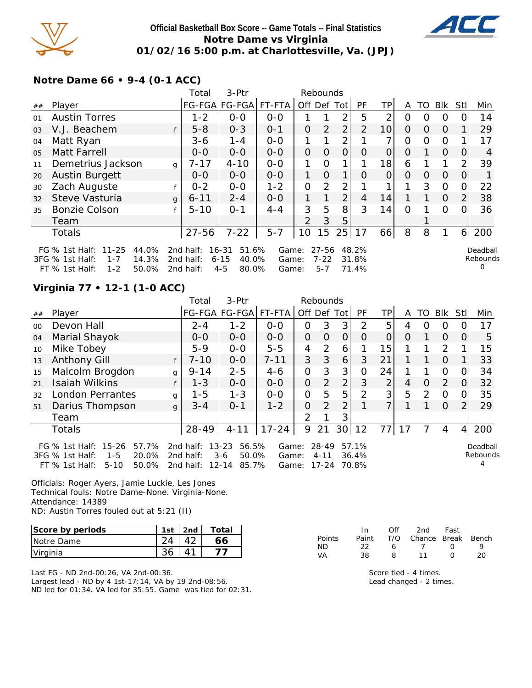

### **Official Basketball Box Score -- Game Totals -- Final Statistics Notre Dame vs Virginia 01/02/16 5:00 p.m. at Charlottesville, Va. (JPJ)**



**Notre Dame 66 • 9-4 (0-1 ACC)**

|    |                                     |              | Total     | 3-Ptr              |         |             | Rebounds |                |                |                 |          |    |            |                |               |
|----|-------------------------------------|--------------|-----------|--------------------|---------|-------------|----------|----------------|----------------|-----------------|----------|----|------------|----------------|---------------|
| ## | Player                              |              |           | FG-FGA FG-FGA      | FT-FTA  | Off Def Tot |          |                | PF             | TP              | A        | TO | <b>BIK</b> | Stl            | Min           |
| 01 | <b>Austin Torres</b>                |              | $1 - 2$   | $0 - 0$            | $0 - 0$ |             |          | 2              | 5              | 2               | O        | 0  | 0          |                | 14            |
| 03 | V.J. Beachem                        | f            | $5 - 8$   | $0 - 3$            | $O - 1$ | $\Omega$    | 2        | $\overline{2}$ | $\overline{2}$ | 10 <sup>1</sup> | $\Omega$ | O  | $\Omega$   |                | 29            |
| 04 | Matt Ryan                           |              | $3 - 6$   | $1 - 4$            | $0-0$   |             |          | 2              |                | ⇁               | 0        | Ω  | $\Omega$   |                | 17            |
| 05 | <b>Matt Farrell</b>                 |              | $0 - 0$   | $0 - 0$            | $0 - 0$ | $\Omega$    | $\Omega$ | 0              | O              | 0               | 0        |    | $\Omega$   | 0              | 4             |
| 11 | Demetrius Jackson                   | g            | 7-17      | $4 - 10$           | $0-0$   | 1           | 0        | 1              |                | 18              | 6        |    | 1          | 2              | 39            |
| 20 | <b>Austin Burgett</b>               |              | $0 - 0$   | $0-0$              | $0-0$   | 1           | $\Omega$ |                | $\Omega$       | O               | O        | 0  | $\Omega$   | O              |               |
| 30 | Zach Auguste                        | f            | $0 - 2$   | $0-0$              | $1 - 2$ | $\Omega$    | 2        | $\overline{2}$ |                |                 | 1        | 3  | $\Omega$   | 0              | 22            |
| 32 | Steve Vasturia                      | $\mathsf{q}$ | $6 - 11$  | $2 - 4$            | $0-0$   | 1           | 1        | $\overline{2}$ | $\overline{4}$ | 14              | 1        | 1. | $\Omega$   | $\overline{2}$ | 38            |
| 35 | <b>Bonzie Colson</b>                |              | $5 - 10$  | $O - 1$            | $4 - 4$ | 3           | 5        | 8              | 3              | 14              | $\Omega$ |    | $\Omega$   | ი              | 36            |
|    | Team                                |              |           |                    |         | 2           | 3        | 5              |                |                 |          |    |            |                |               |
|    | <b>Totals</b>                       |              | $27 - 56$ | $7 - 22$           | $5 - 7$ | 10          | 15       | 25             | 17             | 66              | 8        | 8  | 1          | 6              | 200           |
|    | 44.0%<br>FG % 1st Half: 11-25       |              | 2nd half: | $16 - 31$<br>51.6% | Game:   |             | 27-56    |                | 48.2%          |                 |          |    |            |                | Deadball      |
|    | 3FG % 1st Half:<br>14.3%<br>$1 - 7$ |              | 2nd half: | $6 - 15$<br>40.0%  | Game:   |             | $7 - 22$ |                | 31.8%          |                 |          |    |            |                | Rebounds<br>0 |
|    | 50.0%<br>$1 - 2$<br>FT % 1st Half:  |              | 2nd half: | $4 - 5$<br>80.0%   | Game:   |             | $5 - 7$  |                | 71.4%          |                 |          |    |            |                |               |

# **Virginia 77 • 12-1 (1-0 ACC)**

|         |                                                                                                                       |   | Total                               | $3-$ Ptr                                                   |                         |               | Rebounds                   |                |                         |                |    |               |               |                |                      |
|---------|-----------------------------------------------------------------------------------------------------------------------|---|-------------------------------------|------------------------------------------------------------|-------------------------|---------------|----------------------------|----------------|-------------------------|----------------|----|---------------|---------------|----------------|----------------------|
| ##      | Player                                                                                                                |   |                                     | FG-FGA FG-FGA                                              | FT-FTA                  |               |                            | Off Def Tot    | PF                      | TPI            | A  |               | TO BIK        | Stll           | Min                  |
| $00 \,$ | Devon Hall                                                                                                            |   | $2 - 4$                             | $1 - 2$                                                    | $0-0$                   | 0             | 3                          | 3              | 2                       | 5              | 4  | 0             | 0             |                | 17                   |
| 04      | Marial Shayok                                                                                                         |   | $0 - 0$                             | $0 - 0$                                                    | $0-0$                   | $\mathbf{O}$  | $\Omega$                   | 0              | 0                       | 0              | O  |               | $\Omega$      | O              | 5                    |
| 10      | Mike Tobey                                                                                                            |   | $5-9$                               | $0 - 0$                                                    | $5 - 5$                 | 4             | 2                          | 6              |                         | 15             |    |               | $\mathcal{P}$ |                | 15                   |
| 13      | <b>Anthony Gill</b>                                                                                                   |   | $7 - 10$                            | $0-0$                                                      | $7 - 11$                | 3             | 3                          | 6              | 3                       | 21             |    |               | $\Omega$      |                | 33                   |
| 15      | Malcolm Brogdon                                                                                                       | g | $9 - 14$                            | $2 - 5$                                                    | $4 - 6$                 | $\Omega$      | 3                          | 3              | 0                       | 24             |    |               | 0             | 0              | 34                   |
| 21      | <b>Isaiah Wilkins</b>                                                                                                 |   | $1 - 3$                             | $0-0$                                                      | $0-0$                   | $\mathbf{O}$  | 2                          | $\overline{2}$ | 3                       | 2              | 4  | 0             | 2             | O              | 32                   |
| 32      | <b>London Perrantes</b>                                                                                               | g | $1 - 5$                             | $1 - 3$                                                    | $0 - 0$                 | $\Omega$      | 5                          | 5              | $\mathcal{P}$           | 3              | 5  | $\mathcal{P}$ | 0             | 0              | 35                   |
| 51      | Darius Thompson                                                                                                       | g | $3 - 4$                             | $0 - 1$                                                    | $1 - 2$                 | O             | 2                          | $\overline{2}$ |                         | $\overline{7}$ |    |               | $\Omega$      | $\overline{2}$ | 29                   |
|         | Team                                                                                                                  |   |                                     |                                                            |                         | $\mathcal{P}$ |                            | 3              |                         |                |    |               |               |                |                      |
|         | <b>Totals</b>                                                                                                         |   | 28-49                               | $4 - 11$                                                   | $17 - 24$               | 9             | 21                         |                | 30 12                   | 77             | 17 | 7             | 4             | 4 <sup>1</sup> | 200                  |
|         | $15 - 26$<br>57.7%<br>FG $\%$ 1st Half:<br>20.0%<br>3FG % 1st Half:<br>$1 - 5$<br>50.0%<br>FT % 1st Half:<br>$5 - 10$ |   | 2nd half:<br>2nd half:<br>2nd half: | 56.5%<br>$13 - 23$<br>50.0%<br>$3-6$<br>$12 - 14$<br>85.7% | Game:<br>Game:<br>Game: |               | 28-49<br>$4 - 11$<br>17-24 |                | 57.1%<br>36.4%<br>70.8% |                |    |               |               |                | Deadball<br>Rebounds |

Officials: Roger Ayers, Jamie Luckie, Les Jones Technical fouls: Notre Dame-None. Virginia-None. Attendance: 14389 ND: Austin Torres fouled out at 5:21 (II)

| Score by periods | 1 <sub>ct</sub> | 2nd | Total |
|------------------|-----------------|-----|-------|
| Notre Dame       |                 |     |       |
| Virginia         |                 |     |       |

Last FG - ND 2nd-00:26, VA 2nd-00:36. Largest lead - ND by 4 1st-17:14, VA by 19 2nd-08:56. ND led for 01:34. VA led for 35:55. Game was tied for 02:31.

|        | In.   | Off | 2nd                    | Fast         |    |
|--------|-------|-----|------------------------|--------------|----|
| Points | Paint |     | T/O Chance Break Bench |              |    |
| ND.    | つつ    | 6.  | 7                      | <sup>n</sup> | Q  |
| VA     | 38.   | 8.  | 11                     | O            | 20 |

Score tied - 4 times. Lead changed - 2 times.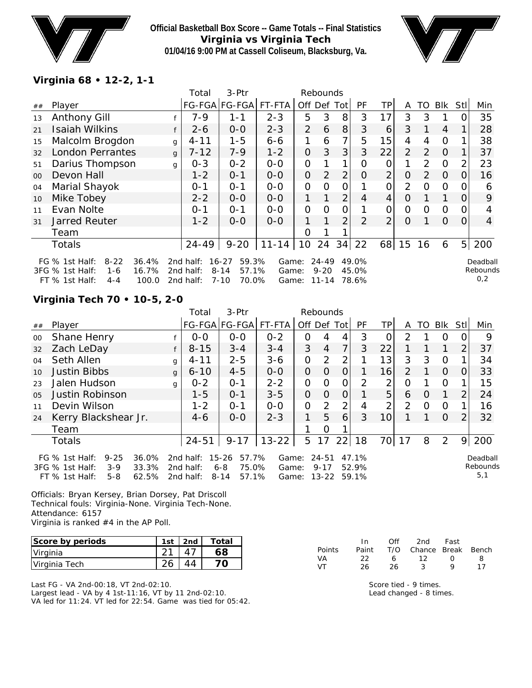

**Official Basketball Box Score -- Game Totals -- Final Statistics Virginia vs Virginia Tech 01/04/16 9:00 PM at Cassell Coliseum, Blacksburg, Va.**



### **Virginia 68 • 12-2, 1-1**

|                |                                                                                                                |              | Total                               | 3-Ptr                                                    |                         |                | Rebounds                           |                |                         |                |                |          |                |                |                             |
|----------------|----------------------------------------------------------------------------------------------------------------|--------------|-------------------------------------|----------------------------------------------------------|-------------------------|----------------|------------------------------------|----------------|-------------------------|----------------|----------------|----------|----------------|----------------|-----------------------------|
| ##             | Player                                                                                                         |              |                                     | FG-FGA FG-FGA                                            | $FT-FTA$                | Off Def Tot    |                                    |                | <b>PF</b>               | ТP             | A              |          | TO BIK         | Stl            | Min                         |
| 13             | <b>Anthony Gill</b>                                                                                            |              | 7-9                                 | 1-1                                                      | $2 - 3$                 | 5              | 3                                  | 8              | 3                       | 17             | 3              | 3        |                |                | 35                          |
| 21             | <b>Isaiah Wilkins</b>                                                                                          | f            | $2 - 6$                             | $0 - 0$                                                  | $2 - 3$                 | $\overline{2}$ | 6                                  | 8              | 3                       | 6              | 3              |          | $\overline{4}$ |                | 28                          |
| 15             | Malcolm Brogdon                                                                                                | $\mathsf{q}$ | $4 - 11$                            | $1 - 5$                                                  | $6 - 6$                 |                | 6                                  | 7 <sub>1</sub> | 5                       | 15             | 4              | 4        | $\overline{0}$ |                | 38                          |
| 32             | <b>London Perrantes</b>                                                                                        | $\mathsf{q}$ | $7 - 12$                            | $7 - 9$                                                  | $1 - 2$                 | $\Omega$       | 3                                  | 3              | 3                       | 22             | $\overline{2}$ | 2        | $\overline{0}$ |                | 37                          |
| 51             | Darius Thompson                                                                                                | $\mathsf{q}$ | $0 - 3$                             | $0 - 2$                                                  | $0 - 0$                 | $\overline{O}$ |                                    | $\mathbf 1$    | 0                       | 0              | 1              | 2        | $\overline{0}$ | 2              | 23                          |
| 0 <sup>0</sup> | Devon Hall                                                                                                     |              | $1 - 2$                             | $O - 1$                                                  | $0 - 0$                 | $\Omega$       | $\overline{2}$                     | $\overline{2}$ | O                       | $\overline{2}$ | O              | 2        | $\overline{0}$ | O              | 16                          |
| 04             | Marial Shayok                                                                                                  |              | $0 - 1$                             | $O - 1$                                                  | $0-0$                   | 0              | $\Omega$                           | 0              |                         | 0              | 2              | $\Omega$ | $\Omega$       |                | 6                           |
| 10             | Mike Tobey                                                                                                     |              | $2 - 2$                             | $O-O$                                                    | $0 - 0$                 | 1.             | 1                                  | $\overline{2}$ | 4                       | 4              | 0              |          | 1              | $\Omega$       | 9                           |
| 11             | Evan Nolte                                                                                                     |              | $0 - 1$                             | $0 - 1$                                                  | $O-O$                   | 0              | $\Omega$                           | 0              |                         | 0              | 0              | $\Omega$ | 0              |                | 4                           |
| 31             | Jarred Reuter                                                                                                  |              | $1 - 2$                             | $0 - 0$                                                  | $0-0$                   | 1              |                                    | $\overline{2}$ | 2                       | $\overline{2}$ | $\Omega$       |          | $\Omega$       | 0              | $\overline{4}$              |
|                | Team                                                                                                           |              |                                     |                                                          |                         | Ω              |                                    |                |                         |                |                |          |                |                |                             |
|                | <b>Totals</b>                                                                                                  |              | $24 - 49$                           | $9 - 20$                                                 | $11 - 14$               | 10             | 24                                 |                | $34$ 22                 | 68             | 15             | 16       | 6              | 5 <sub>l</sub> | 200                         |
|                | FG $%$ 1st Half:<br>$8 - 22$<br>36.4%<br>3FG % 1st Half:<br>16.7%<br>1-6<br>FT % 1st Half:<br>100.0<br>$4 - 4$ |              | 2nd half:<br>2nd half:<br>2nd half: | 59.3%<br>16-27<br>$8 - 14$<br>57.1%<br>$7 - 10$<br>70.0% | Game:<br>Game:<br>Game: |                | $24 - 49$<br>$9 - 20$<br>$11 - 14$ |                | 49.0%<br>45.0%<br>78.6% |                |                |          |                |                | Deadball<br>Rebounds<br>0,2 |

# **Virginia Tech 70 • 10-5, 2-0**

|    |                                                                                                              |              | Total                               | 3-Ptr                                                   |                         |             | Rebounds                           |          |                         |                 |          |          |                |      |                             |
|----|--------------------------------------------------------------------------------------------------------------|--------------|-------------------------------------|---------------------------------------------------------|-------------------------|-------------|------------------------------------|----------|-------------------------|-----------------|----------|----------|----------------|------|-----------------------------|
| ## | Player                                                                                                       |              |                                     | FG-FGA FG-FGA FT-FTA                                    |                         | Off Def Tot |                                    |          | PF                      | TP              | A        |          | TO BIK         | Stll | Min                         |
| 00 | Shane Henry                                                                                                  |              | $0 - 0$                             | $0 - 0$                                                 | $0 - 2$                 | 0           | 4                                  | 4        | 3                       | 0               | 2        |          | $\Omega$       |      | 9                           |
| 32 | Zach LeDay                                                                                                   |              | $8 - 15$                            | $3 - 4$                                                 | $3 - 4$                 | 3           | $\overline{4}$                     |          | 3                       | 22              |          |          |                | 2    | 37                          |
| 04 | Seth Allen                                                                                                   | g '          | $4 - 11$                            | $2 - 5$                                                 | $3 - 6$                 | 0           | $\overline{2}$                     | 2        |                         | 13              | 3        | 3        | 0              |      | 34                          |
| 10 | <b>Justin Bibbs</b>                                                                                          | $\mathsf{q}$ | $6 - 10$                            | $4 - 5$                                                 | $O-O$                   | 0           | 0                                  | O        |                         | 16              | 2        |          | $\Omega$       | 0    | 33                          |
| 23 | Jalen Hudson                                                                                                 | g            | $0 - 2$                             | $O - 1$                                                 | $2 - 2$                 | 0           | $\Omega$                           | $\Omega$ | 2                       | 2               | $\Omega$ |          | $\Omega$       |      | 15                          |
| 05 | <b>Justin Robinson</b>                                                                                       |              | $1 - 5$                             | $0 - 1$                                                 | $3 - 5$                 | 0           | $\Omega$                           | O        |                         | 5               | 6        | 0        |                | 2    | 24                          |
| 11 | Devin Wilson                                                                                                 |              | $1 - 2$                             | $O - 1$                                                 | $0 - 0$                 | 0           | 2                                  | 2        | 4                       | 2               | 2        | $\Omega$ | $\Omega$       |      | 16                          |
| 24 | Kerry Blackshear Jr.                                                                                         |              | $4-6$                               | $0 - 0$                                                 | $2 - 3$                 | 1.          | 5                                  | 6        | 3                       | 10 <sup>1</sup> |          |          | $\overline{0}$ | 2    | 32                          |
|    | Team                                                                                                         |              |                                     |                                                         |                         |             | $\Omega$                           |          |                         |                 |          |          |                |      |                             |
|    | <b>Totals</b>                                                                                                |              | $24 - 51$                           | $9 - 17$                                                | $13 - 22$               | 5           | 17                                 | 22       | 18                      | 70              | 17       | 8        | 2              | 9    | 200                         |
|    | $9 - 25$<br>FG $%$ 1st Half:<br>36.0%<br>3FG % 1st Half:<br>$3-9$<br>33.3%<br>FT % 1st Half:<br>5-8<br>62.5% |              | 2nd half:<br>2nd half:<br>2nd half: | $15 - 26$<br>57.7%<br>75.0%<br>6-8<br>57.1%<br>$8 - 14$ | Game:<br>Game:<br>Game: |             | $24 - 51$<br>$9 - 17$<br>$13 - 22$ |          | 47.1%<br>52.9%<br>59.1% |                 |          |          |                |      | Deadball<br>Rebounds<br>5,1 |

Officials: Bryan Kersey, Brian Dorsey, Pat Driscoll Technical fouls: Virginia-None. Virginia Tech-None. Attendance: 6157 Virginia is ranked #4 in the AP Poll.

| Score by periods | 1st | 2nd | Total |
|------------------|-----|-----|-------|
| Virginia         |     |     |       |
| Virginia Tech    |     |     |       |

Last FG - VA 2nd-00:18, VT 2nd-02:10. Largest lead - VA by 4 1st-11:16, VT by 11 2nd-02:10. VA led for 11:24. VT led for 22:54. Game was tied for 05:42.

|               | In In | Off | 2nd                    | Fast             |    |
|---------------|-------|-----|------------------------|------------------|----|
| <b>Points</b> | Paint |     | T/O Chance Break Bench |                  |    |
| VA.           | つつ    | 6.  | 12                     | $\left( \right)$ | x. |
| VT.           | 26.   | 26  | ર                      | o                | 17 |

Score tied - 9 times. Lead changed - 8 times.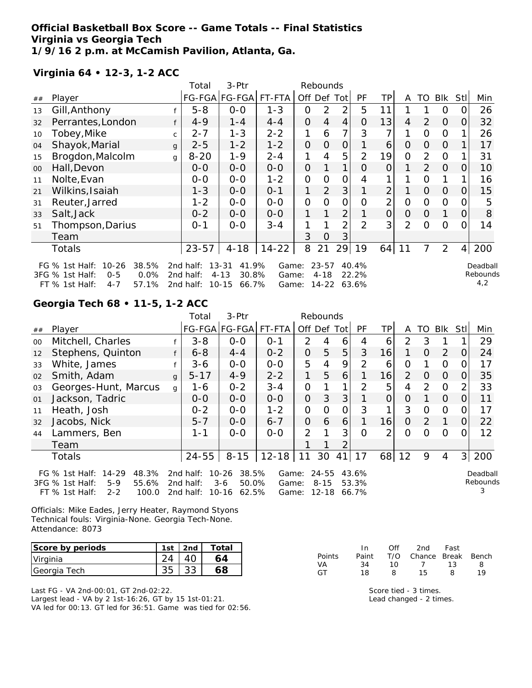#### **Official Basketball Box Score -- Game Totals -- Final Statistics Virginia vs Georgia Tech 1/9/16 2 p.m. at McCamish Pavilion, Atlanta, Ga.**

**Virginia 64 • 12-3, 1-2 ACC**

|    |                                                                                                                      |              | Total                               | 3-Ptr                                                         |                         |             | Rebounds                           |                |                         |                |              |                |                |                |                             |
|----|----------------------------------------------------------------------------------------------------------------------|--------------|-------------------------------------|---------------------------------------------------------------|-------------------------|-------------|------------------------------------|----------------|-------------------------|----------------|--------------|----------------|----------------|----------------|-----------------------------|
| ## | Player                                                                                                               |              | FG-FGA                              | <b>FG-FGA</b>                                                 | FT-FTA                  |             |                                    | Off Def Tot    | <b>PF</b>               | TPI            | A            | TO             | Blk            | Stl            | Min                         |
| 13 | Gill, Anthony                                                                                                        |              | $5 - 8$                             | $0-0$                                                         | $1 - 3$                 | 0           | $\overline{2}$                     | $\overline{2}$ | 5                       | 11             |              |                | $\Omega$       | 0              | 26                          |
| 32 | Perrantes, London                                                                                                    | f            | $4 - 9$                             | $1 - 4$                                                       | $4 - 4$                 | $\Omega$    | $\overline{4}$                     | $\overline{4}$ | $\overline{O}$          | 13             | 4            | 2              | $\overline{O}$ | 0              | 32                          |
| 10 | Tobey,Mike                                                                                                           | C            | $2 - 7$                             | $1 - 3$                                                       | $2 - 2$                 | 1           | 6                                  | 7              | 3                       |                |              | 0              | 0              |                | 26                          |
| 04 | Shayok, Marial                                                                                                       | $\mathbf{q}$ | $2 - 5$                             | $1 - 2$                                                       | $1 - 2$                 | $\Omega$    | $\Omega$                           | $\Omega$       |                         | 6              | $\Omega$     | $\overline{O}$ | $\Omega$       |                | 17                          |
| 15 | Brogdon, Malcolm                                                                                                     | g            | $8 - 20$                            | $1 - 9$                                                       | $2 - 4$                 | 1           | 4                                  | 5              | $\overline{2}$          | 19             | $\Omega$     | 2              | $\mathbf{O}$   |                | 31                          |
| 00 | Hall, Devon                                                                                                          |              | $0 - 0$                             | $0 - 0$                                                       | $0-0$                   | $\Omega$    |                                    | 1              | $\Omega$                | $\Omega$       |              | $\overline{2}$ | $\Omega$       | $\Omega$       | 10                          |
| 11 | Nolte, Evan                                                                                                          |              | $0-0$                               | $0-0$                                                         | $1 - 2$                 | $\mathbf 0$ | $\overline{O}$                     | $\mathbf{O}$   | 4                       |                |              | $\mathbf 0$    |                |                | 16                          |
| 21 | Wilkins, Isaiah                                                                                                      |              | $1 - 3$                             | $0-0$                                                         | $0 - 1$                 | 1           | 2                                  | 3              |                         | $\overline{c}$ |              | $\overline{O}$ | $\Omega$       | $\mathbf{O}$   | 15                          |
| 31 | Reuter, Jarred                                                                                                       |              | $1 - 2$                             | $0-0$                                                         | $0-0$                   | $\mathbf 0$ | $\Omega$                           | $\mathbf{O}$   | $\Omega$                | 2              | $\mathbf{O}$ | $\Omega$       | $\Omega$       | $\Omega$       | 5                           |
| 33 | Salt, Jack                                                                                                           |              | $0 - 2$                             | $0-0$                                                         | $0-0$                   | 1           |                                    | $\overline{2}$ |                         | $\overline{O}$ | $\Omega$     | $\overline{O}$ |                | 0              | 8                           |
| 51 | Thompson, Darius                                                                                                     |              | $0 - 1$                             | $0-0$                                                         | $3 - 4$                 | 1           |                                    | 2              | $\overline{2}$          | 3 <sub>1</sub> | 2            | $\Omega$       | $\Omega$       | 0              | 14                          |
|    | Team                                                                                                                 |              |                                     |                                                               |                         | 3           | $\Omega$                           | 3              |                         |                |              |                |                |                |                             |
|    | Totals                                                                                                               |              | $23 - 57$                           | $4 - 18$                                                      | $14 - 22$               | 8           | 21                                 | 29             | 19                      | 64             | 11           | 7              | 2              | $\overline{4}$ | 200                         |
|    | $10 - 26$<br>38.5%<br>FG $%$ 1st Half:<br>0.0%<br>3FG % 1st Half:<br>$0 - 5$<br>57.1%<br>$FT$ % 1st Half:<br>$4 - 7$ |              | 2nd half:<br>2nd half:<br>2nd half: | $13 - 31$<br>41.9%<br>30.8%<br>$4 - 13$<br>$10 - 15$<br>66.7% | Game:<br>Game:<br>Game: |             | $23 - 57$<br>$4 - 18$<br>$14 - 22$ |                | 40.4%<br>22.2%<br>63.6% |                |              |                |                |                | Deadball<br>Rebound:<br>4,2 |

**Georgia Tech 68 • 11-5, 1-2 ACC**

|    |                                                                                                                   |              | Total                               | 3-Ptr                                                    |                         |                | Rebounds                           |                |                         |                |                |               |                |          |                           |
|----|-------------------------------------------------------------------------------------------------------------------|--------------|-------------------------------------|----------------------------------------------------------|-------------------------|----------------|------------------------------------|----------------|-------------------------|----------------|----------------|---------------|----------------|----------|---------------------------|
| ## | Player                                                                                                            |              |                                     |                                                          | FG-FGA FG-FGA FT-FTA    |                | Off Def Tot                        |                | PF                      | TPI            | A              | TO.           | Blk            | Stll     | Min                       |
| 00 | Mitchell, Charles                                                                                                 |              | $3 - 8$                             | $0 - 0$                                                  | $O - 1$                 | $\mathcal{P}$  | 4                                  | 6              | 4                       | 6              | $\overline{2}$ | 3             |                |          | 29                        |
| 12 | Stephens, Quinton                                                                                                 | f            | $6 - 8$                             | $4 - 4$                                                  | $0 - 2$                 | $\Omega$       | 5                                  | 5              | 3                       | 16             | 1              | $\Omega$      | 2              | $\Omega$ | 24                        |
| 33 | White, James                                                                                                      |              | $3 - 6$                             | $0-0$                                                    | $0-0$                   | 5              | 4                                  | 9              | 2                       | 6              | 0              |               | 0              |          | 17                        |
| 02 | Smith, Adam                                                                                                       | $\mathbf{g}$ | $5 - 17$                            | $4 - 9$                                                  | $2 - 2$                 | 1.             | 5                                  | 6              |                         | 16             | $\mathcal{P}$  | $\Omega$      | $\overline{0}$ | 0        | 35                        |
| 03 | Georges-Hunt, Marcus                                                                                              | g            | 1-6                                 | $0 - 2$                                                  | $3 - 4$                 | 0              |                                    | 1              | 2                       | 5              | 4              | 2             | $\overline{0}$ |          | 33                        |
| 01 | Jackson, Tadric                                                                                                   |              | $O-O$                               | $0 - 0$                                                  | $0-0$                   | 0              | 3                                  | 3 <sup>1</sup> |                         | $\overline{O}$ | 0              |               | $\Omega$       | 0        | 11                        |
| 11 | Heath, Josh                                                                                                       |              | $0 - 2$                             | $0 - 0$                                                  | $1 - 2$                 | 0              | $\Omega$                           | 0              | 3                       | 1              | 3              | $\Omega$      | $\overline{0}$ | 0        | 17                        |
| 32 | Jacobs, Nick                                                                                                      |              | $5 - 7$                             | $0 - 0$                                                  | $6 - 7$                 | 0              | 6                                  | 6              |                         | 16             | $\Omega$       | $\mathcal{P}$ | $\mathbf 1$    | O        | 22                        |
| 44 | Lammers, Ben                                                                                                      |              | $1 - 1$                             | $0 - 0$                                                  | $0 - 0$                 | $\overline{2}$ |                                    | 3              | $\Omega$                | $\overline{2}$ | $\Omega$       | ∩             | $\overline{0}$ |          | 12                        |
|    | Team                                                                                                              |              |                                     |                                                          |                         |                |                                    | 2              |                         |                |                |               |                |          |                           |
|    | <b>Totals</b>                                                                                                     |              | $24 - 55$                           | $8 - 15$                                                 | $12 - 18$               | 11             | 30                                 | 41             | 17                      | 68             | 12             | 9             | $\overline{4}$ | 31       | 200                       |
|    | $14 - 29$<br>48.3%<br>FG $%$ 1st Half:<br>3FG % 1st Half:<br>$5-9$<br>55.6%<br>FT % 1st Half:<br>$2 - 2$<br>100.0 |              | 2nd half:<br>2nd half:<br>2nd half: | $10 - 26$<br>38.5%<br>$3 - 6$<br>50.0%<br>10-16<br>62.5% | Game:<br>Game:<br>Game: |                | $24 - 55$<br>$8 - 15$<br>$12 - 18$ |                | 43.6%<br>53.3%<br>66.7% |                |                |               |                |          | Deadball<br>Rebounds<br>3 |

Officials: Mike Eades, Jerry Heater, Raymond Styons Technical fouls: Virginia-None. Georgia Tech-None. Attendance: 8073

| Score by periods | 1st | 2nd | Total |
|------------------|-----|-----|-------|
| Virginia         |     |     |       |
| Georgia Tech     |     |     |       |

Last FG - VA 2nd-00:01, GT 2nd-02:22. Largest lead - VA by 2 1st-16:26, GT by 15 1st-01:21. VA led for 00:13. GT led for 36:51. Game was tied for 02:56.

|               | In.   | Off   | 2nd Fast               |   |     |
|---------------|-------|-------|------------------------|---|-----|
| <b>Points</b> | Paint |       | T/O Chance Break Bench |   |     |
| VA            | 34    | 10.   | 7 13                   |   | 8   |
| GT            | 18    | - 8 - | 15.                    | 8 | 1 Q |

Score tied - 3 times. Lead changed - 2 times.  $\mathsf s$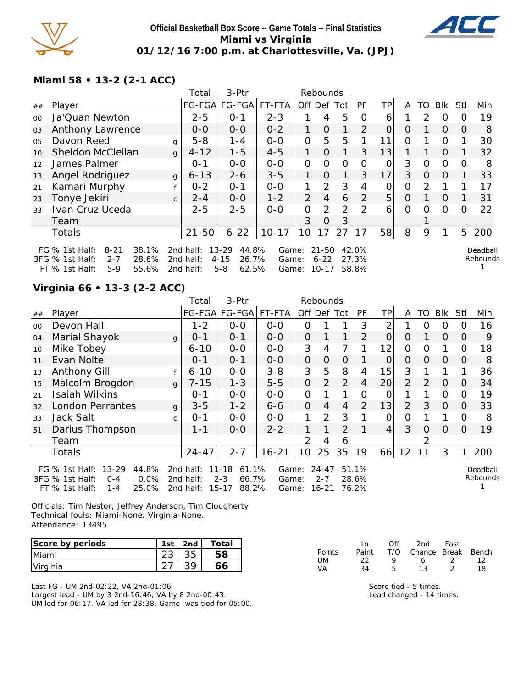

### **Official Basketball Box Score -- Game Totals -- Final Statistics Miami vs Virginia 01/12/16 7:00 p.m. at Charlottesville, Va. (JPJ)**



**Miami 58 • 13-2 (2-1 ACC)**

|         |                                                                              |              | Total                  | 3-Ptr                                   |                | Rebounds       |                       |             |                |          |          |               |          |                |                      |
|---------|------------------------------------------------------------------------------|--------------|------------------------|-----------------------------------------|----------------|----------------|-----------------------|-------------|----------------|----------|----------|---------------|----------|----------------|----------------------|
| ##      | Player                                                                       |              | FG-FGA FG-FGA  FT-FTA  |                                         |                | Off Def Tot    |                       |             | PF             | TP       | A        |               | TO BIK   | Stl            | Min                  |
| $00 \,$ | Ja'Quan Newton                                                               |              | $2 - 5$                | $O - 1$                                 | $2 - 3$        |                | 4                     | 5           | 0              | 6        |          | $\mathcal{P}$ | 0        |                | 19                   |
| 03      | Anthony Lawrence                                                             |              | $0 - 0$                | $0 - 0$                                 | $0 - 2$        | 1              | O                     | 1           | 2              | $\Omega$ | 0        |               | $\Omega$ | 0              | 8                    |
| 05      | Davon Reed                                                                   | q            | $5 - 8$                | $1 - 4$                                 | $0-0$          | 0              | 5                     | 5           |                | 11       | 0        |               | 0        |                | 30                   |
| 10      | <b>Sheldon McClellan</b>                                                     | $\mathbf{q}$ | $4 - 12$               | $1 - 5$                                 | $4 - 5$        | 1              | O                     | 1           | 3              | 13       | 1        |               | $\Omega$ |                | 32                   |
| 12      | James Palmer                                                                 |              | $0 - 1$                | $0-0$                                   | $0 - 0$        | 0              | $\Omega$              | $\Omega$    | 0              | 0        | 3        | $\Omega$      | 0        | O              | 8                    |
| 13      | Angel Rodriguez                                                              | $\mathbf{q}$ | $6 - 13$               | $2 - 6$                                 | $3 - 5$        | 1              | $\Omega$              | $\mathbf 1$ | 3              | 17       | 3        | $\Omega$      | $\Omega$ |                | 33                   |
| 21      | Kamari Murphy                                                                |              | $0 - 2$                | $0 - 1$                                 | $0-0$          | 1              | 2                     | 3           | 4              | 0        | 0        | $\mathcal{P}$ |          |                | 17                   |
| 23      | Tonye Jekiri                                                                 | $\mathsf{C}$ | $2 - 4$                | $0-0$                                   | $1 - 2$        | $\overline{2}$ | $\overline{4}$        | 6           | $\mathcal{P}$  | 5        | $\Omega$ |               | $\Omega$ |                | 31                   |
| 33      | Ivan Cruz Uceda                                                              |              | $2 - 5$                | $2 - 5$                                 | $0 - 0$        | 0              | 2                     | 2           | $\mathcal{P}$  | 6        | $\Omega$ | $\Omega$      | $\Omega$ | $\Omega$       | 22                   |
|         | Team                                                                         |              |                        |                                         |                | 3              | 0                     | 3           |                |          |          |               |          |                |                      |
|         | <b>Totals</b>                                                                |              | $21 - 50$              | $6 - 22$                                | $10 - 17$      | 10             | 17                    | ا 27        | 17             | 58       | 8        | 9             |          | 5 <sup>1</sup> | 200                  |
|         | 38.1%<br>FG $%$ 1st Half:<br>$8 - 21$<br>3FG % 1st Half:<br>$2 - 7$<br>28.6% |              | 2nd half:<br>2nd half: | 44.8%<br>$13 - 29$<br>26.7%<br>$4 - 15$ | Game:<br>Game: |                | $21 - 50$<br>$6 - 22$ |             | 42.0%<br>27.3% |          |          |               |          |                | Deadball<br>Rebounds |
|         | $FT$ % 1st Half:<br>$5-9$<br>55.6%                                           |              | 2nd half:              | $5 - 8$<br>62.5%                        | Game:          |                | $10 - 17$             |             | 58.8%          |          |          |               |          |                |                      |

# **Virginia 66 • 13-3 (2-2 ACC)**

|         |                                                                                                                    |              | Total                               | 3-Ptr                                                        |                         |                | Rebounds                          |                |                         |                 |                |                |                |          |                      |
|---------|--------------------------------------------------------------------------------------------------------------------|--------------|-------------------------------------|--------------------------------------------------------------|-------------------------|----------------|-----------------------------------|----------------|-------------------------|-----------------|----------------|----------------|----------------|----------|----------------------|
| ##      | Player                                                                                                             |              |                                     | FG-FGA FG-FGA FT-FTA                                         |                         | Off Def        |                                   | Totl           | PF                      | ТP              | A              | TO             | Blk            | Stl      | Min                  |
| $00 \,$ | Devon Hall                                                                                                         |              | $1 - 2$                             | $0 - 0$                                                      | $0 - 0$                 | 0              |                                   |                | 3                       | $\overline{2}$  |                | $\Omega$       | 0              |          | 16                   |
| 04      | Marial Shayok                                                                                                      | $\mathsf{q}$ | $0 - 1$                             | $0 - 1$                                                      | $0 - 0$                 | 0              |                                   | 1              | $\overline{2}$          | $\overline{0}$  | O              |                | $\Omega$       | O        | 9                    |
| 10      | Mike Tobey                                                                                                         |              | $6 - 10$                            | $0 - 0$                                                      | $0 - 0$                 | 3              | 4                                 | 7              |                         | 12              | 0              | 0              |                | Ω        | 18                   |
| 11      | Evan Nolte                                                                                                         |              | $0 - 1$                             | $0 - 1$                                                      | $O-O$                   | O              | 0                                 | 0              |                         | O               | O              | $\Omega$       | $\Omega$       | O        | 8                    |
| 13      | <b>Anthony Gill</b>                                                                                                |              | $6 - 10$                            | $0-0$                                                        | $3 - 8$                 | 3              | 5                                 | 8              | 4                       | 15              | 3              |                |                |          | 36                   |
| 15      | Malcolm Brogdon                                                                                                    | $\mathbf{q}$ | $7 - 15$                            | $1 - 3$                                                      | $5-5$                   | 0              | $\overline{2}$                    | 2 <sub>1</sub> | 4                       | 20              | $\overline{2}$ | $\overline{2}$ | $\overline{0}$ | O        | 34                   |
| 21      | <b>Isaiah Wilkins</b>                                                                                              |              | $0 - 1$                             | $0 - 0$                                                      | $0 - 0$                 | 0              |                                   | 1              | Ω                       | O               |                |                | $\Omega$       |          | 19                   |
| 32      | <b>London Perrantes</b>                                                                                            | $\mathbf{q}$ | $3 - 5$                             | $1 - 2$                                                      | $6 - 6$                 | O              | 4                                 | 4              | $\overline{2}$          | 13              | $\overline{2}$ | 3              | $\Omega$       | 0        | 33                   |
| 33      | Jack Salt                                                                                                          | $\mathsf{C}$ | $0 - 1$                             | $O-O$                                                        | $0 - 0$                 | 1              | 2                                 | 3              |                         | 0               | 0              |                |                | O        | 8                    |
| 51      | Darius Thompson                                                                                                    |              | 1-1                                 | $0 - 0$                                                      | $2 - 2$                 | 1              | 1                                 | $\overline{2}$ |                         | $\vert 4 \vert$ | 3              | 0              | $\overline{0}$ | $\Omega$ | 19                   |
|         | Team                                                                                                               |              |                                     |                                                              |                         | $\overline{2}$ | 4                                 | 6              |                         |                 |                |                |                |          |                      |
|         | <b>Totals</b>                                                                                                      |              | $24 - 47$                           | $2 - 7$                                                      | $16 - 21$               | 10             | 25                                | 35             | 19                      | 66              | 12             | 11             | 3              |          | 200                  |
|         | $13 - 29$<br>44.8%<br>FG % 1st Half:<br>0.0%<br>3FG % 1st Half:<br>$O - 4$<br>25.0%<br>$FT$ % 1st Half:<br>$1 - 4$ |              | 2nd half:<br>2nd half:<br>2nd half: | $11 - 18$<br>61.1%<br>$2 - 3$<br>66.7%<br>$15 - 17$<br>88.2% | Game:<br>Game:<br>Game: |                | $24 - 47$<br>$2 - 7$<br>$16 - 21$ |                | 51.1%<br>28.6%<br>76.2% |                 |                |                |                |          | Deadball<br>Rebounds |

Officials: Tim Nestor, Jeffrey Anderson, Tim Clougherty Technical fouls: Miami-None. Virginia-None. Attendance: 13495

| Score by periods | 1st | 2nd | Total |
|------------------|-----|-----|-------|
| <b>Miami</b>     |     |     |       |
| Virginia         |     |     |       |

Last FG - UM 2nd-02:22, VA 2nd-01:06. Largest lead - UM by 3 2nd-16:46, VA by 8 2nd-00:43. UM led for 06:17. VA led for 28:38. Game was tied for 05:00.

|               | In.   | Off | 2nd                    | Fast |    |
|---------------|-------|-----|------------------------|------|----|
| <b>Points</b> | Paint |     | T/O Chance Break Bench |      |    |
| UM            | フフ    | Q   | 6.                     | - 22 | 12 |
| VA            | 34    | Б.  | 13.                    |      | 18 |

Score tied - 5 times. Lead changed - 14 times.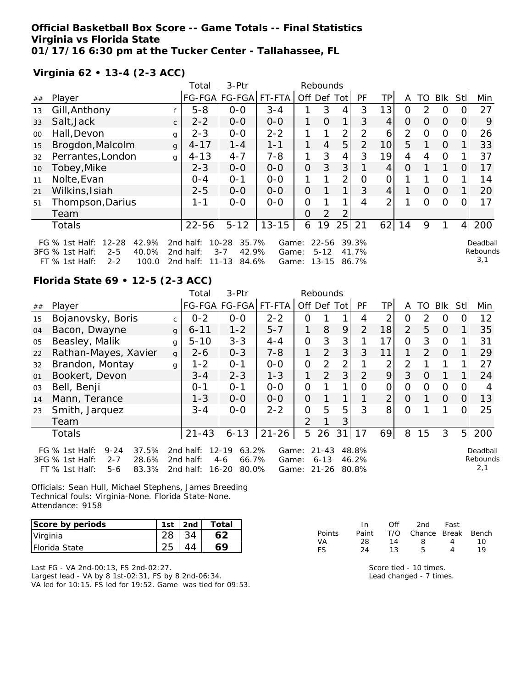#### **Official Basketball Box Score -- Game Totals -- Final Statistics Virginia vs Florida State 01/17/16 6:30 pm at the Tucker Center - Tallahassee, FL**

### **Virginia 62 • 13-4 (2-3 ACC)**

|        |                                                                                                                        |              | Total                               | 3-Ptr                                                        |                         |          | Rebounds                       |                |                         |                 |    |          |                |     |                             |
|--------|------------------------------------------------------------------------------------------------------------------------|--------------|-------------------------------------|--------------------------------------------------------------|-------------------------|----------|--------------------------------|----------------|-------------------------|-----------------|----|----------|----------------|-----|-----------------------------|
| ##     | Player                                                                                                                 |              |                                     | FG-FGA FG-FGA                                                | FT-FTA                  | Off      | Def                            | Totl           | PF                      | ТP              | A  | TO       | Blk            | Stl | Min                         |
| 13     | Gill, Anthony                                                                                                          |              | $5 - 8$                             | $0 - 0$                                                      | $3 - 4$                 |          | 3                              | 4              | 3                       | 13              | 0  | 2        | 0              |     | 27                          |
| 33     | Salt, Jack                                                                                                             | $\mathsf{C}$ | $2 - 2$                             | $0 - 0$                                                      | $0 - 0$                 | 1.       | O                              | 1 <sub>1</sub> | 3                       | 4               | 0  | $\Omega$ | $\overline{O}$ | 0   | 9                           |
| $00\,$ | Hall, Devon                                                                                                            | $\mathbf{q}$ | $2 - 3$                             | $0 - 0$                                                      | $2 - 2$                 | 1        | 1                              | $\overline{2}$ | 2                       | 6               | 2  | $\Omega$ | 0              | O   | 26                          |
| 15     | Brogdon, Malcolm                                                                                                       | $\mathbf{q}$ | $4 - 17$                            | $1 - 4$                                                      | $1 - 1$                 | 1        | $\overline{4}$                 | 5              | $\overline{2}$          | 10 <sup>1</sup> | 5  |          | $\overline{0}$ |     | 33                          |
| 32     | Perrantes, London                                                                                                      | g            | $4 - 13$                            | $4 - 7$                                                      | $7 - 8$                 | 1        | 3                              | $\overline{4}$ | 3                       | 19              | 4  | 4        | $\overline{0}$ |     | 37                          |
| 10     | Tobey, Mike                                                                                                            |              | $2 - 3$                             | $0 - 0$                                                      | $0 - 0$                 | $\Omega$ | 3                              | 3              |                         | 4               | O  |          | $\mathbf{1}$   | 0   | 17                          |
| 11     | Nolte, Evan                                                                                                            |              | $0 - 4$                             | $O - 1$                                                      | $0 - 0$                 |          |                                | $\overline{2}$ | 0                       | 0               |    |          | 0              |     | 14                          |
| 21     | Wilkins, Isiah                                                                                                         |              | $2 - 5$                             | $0-0$                                                        | $0 - 0$                 | $\Omega$ |                                | 1              | 3                       | 4               |    | $\Omega$ | $\overline{O}$ |     | 20                          |
| 51     | Thompson, Darius                                                                                                       |              | $1 - 1$                             | $0 - 0$                                                      | $0 - 0$                 | 0        |                                |                | 4                       | 2 <sub>1</sub>  |    | 0        | 0              |     | 17                          |
|        | Team                                                                                                                   |              |                                     |                                                              |                         | 0        | $\overline{2}$                 | $\overline{2}$ |                         |                 |    |          |                |     |                             |
|        | <b>Totals</b>                                                                                                          |              | $22 - 56$                           | $5 - 12$                                                     | $13 - 15$               | 6        | 19                             | 25             | 21                      | 62              | 14 | 9        |                | 4   | 200                         |
|        | $12 - 28$<br>42.9%<br>FG $\%$ 1st Half:<br>3FG % 1st Half:<br>$2 - 5$<br>40.0%<br>100.0<br>$FT$ % 1st Half:<br>$2 - 2$ |              | 2nd half:<br>2nd half:<br>2nd half: | $10 - 28$<br>35.7%<br>42.9%<br>$3 - 7$<br>$11 - 13$<br>84.6% | Game:<br>Game:<br>Game: |          | 22-56<br>$5 - 12$<br>$13 - 15$ |                | 39.3%<br>41.7%<br>86.7% |                 |    |          |                |     | Deadball<br>Rebounds<br>3,1 |

### **Florida State 69 • 12-5 (2-3 ACC)**

|    |                                                                                                                    |              | Total                               | $3-$ Ptr                                                 |                         |                | Rebounds                           |                |                         |                |                |          |            |                |                             |
|----|--------------------------------------------------------------------------------------------------------------------|--------------|-------------------------------------|----------------------------------------------------------|-------------------------|----------------|------------------------------------|----------------|-------------------------|----------------|----------------|----------|------------|----------------|-----------------------------|
| ## | Player                                                                                                             |              |                                     | FG-FGA FG-FGA FT-FTA                                     |                         |                |                                    | Off Def Tot    | <b>PF</b>               | TPI            | A              | TO       | <b>Blk</b> | <b>Stl</b>     | Min                         |
| 15 | Bojanovsky, Boris                                                                                                  | $\mathsf{C}$ | $0 - 2$                             | $0-0$                                                    | $2 - 2$                 | 0              |                                    |                | 4                       | 2              | 0              | 2        | 0          |                | 12                          |
| 04 | Bacon, Dwayne                                                                                                      | $\mathbf{g}$ | $6 - 11$                            | $1 - 2$                                                  | $5 - 7$                 | $\mathbf 1$    | 8                                  | 9              | 2                       | 18             | 2              | 5        | $\Omega$   |                | 35                          |
| 05 | Beasley, Malik                                                                                                     | g            | $5 - 10$                            | $3 - 3$                                                  | $4 - 4$                 | $\Omega$       | 3                                  | 3              |                         | 17             | $\Omega$       | 3        | 0          |                | 31                          |
| 22 | Rathan-Mayes, Xavier                                                                                               | g            | $2 - 6$                             | $0 - 3$                                                  | $7 - 8$                 | 1              | 2                                  | 3              | 3                       | 11             | 1              | 2        | $\Omega$   |                | 29                          |
| 32 | Brandon, Montay                                                                                                    | g            | $1 - 2$                             | $O - 1$                                                  | $0-0$                   | $\mathbf 0$    | 2                                  | $\overline{2}$ |                         | $\overline{2}$ | $\overline{2}$ |          |            |                | 27                          |
| 01 | Bookert, Devon                                                                                                     |              | $3 - 4$                             | $2 - 3$                                                  | $1 - 3$                 | $\mathbf{1}$   | 2                                  | 3              | $\overline{2}$          | $\overline{9}$ | 3              | $\Omega$ | 1          |                | 24                          |
| 03 | Bell, Benji                                                                                                        |              | $0 - 1$                             | $0 - 1$                                                  | $0 - 0$                 | 0              |                                    |                | Ω                       | 0              | 0              | 0        | 0          |                | 4                           |
| 14 | Mann, Terance                                                                                                      |              | $1 - 3$                             | $0 - 0$                                                  | $0 - 0$                 | $\Omega$       |                                    | 1.             |                         | 2 <sub>1</sub> | $\Omega$       |          | $\Omega$   | 0              | 13                          |
| 23 | Smith, Jarquez                                                                                                     |              | $3 - 4$                             | $0 - 0$                                                  | $2 - 2$                 | $\Omega$       | 5                                  | 5              | 3                       | 8              | $\Omega$       |          |            |                | 25                          |
|    | Team                                                                                                               |              |                                     |                                                          |                         | $\overline{2}$ |                                    | 3              |                         |                |                |          |            |                |                             |
|    | <b>Totals</b>                                                                                                      |              | $21 - 43$                           | $6 - 13$                                                 | $21 - 26$               | 5              | 26                                 | 31             | 17                      | 69             | 8              | 15       | 3          | 5 <sup>1</sup> | 200                         |
|    | FG $%$ 1st Half:<br>$9 - 24$<br>37.5%<br>3FG % 1st Half:<br>28.6%<br>$2 - 7$<br>FT % 1st Half:<br>83.3%<br>$5 - 6$ |              | 2nd half:<br>2nd half:<br>2nd half: | $12 - 19$<br>63.2%<br>66.7%<br>4-6<br>$16 - 20$<br>80.0% | Game:<br>Game:<br>Game: |                | $21 - 43$<br>$6 - 13$<br>$21 - 26$ |                | 48.8%<br>46.2%<br>80.8% |                |                |          |            |                | Deadball<br>Rebounds<br>2,1 |

Officials: Sean Hull, Michael Stephens, James Breeding Technical fouls: Virginia-None. Florida State-None. Attendance: 9158

| Score by periods     | 1st | 2nd | Total |
|----------------------|-----|-----|-------|
| Virginia             |     |     |       |
| <b>Florida State</b> |     |     | 69    |

Last FG - VA 2nd-00:13, FS 2nd-02:27. Largest lead - VA by 8 1st-02:31, FS by 8 2nd-06:34. VA led for 10:15. FS led for 19:52. Game was tied for 09:53.

|        | In.   | ∩ff | 2nd                    | Fast |    |
|--------|-------|-----|------------------------|------|----|
| Points | Paint |     | T/O Chance Break Bench |      |    |
| VA     | 28    | 14  | 8                      | Δ    | 10 |
| FS.    | 24    | 13  | Б.                     |      | 19 |

Score tied - 10 times. Lead changed - 7 times.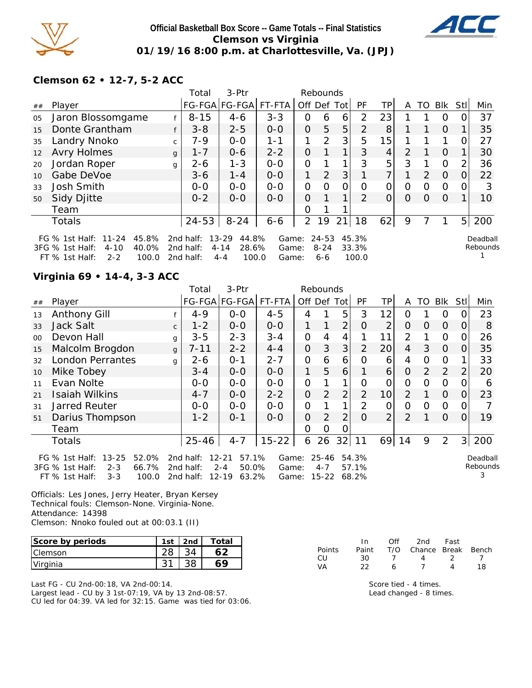

### **Official Basketball Box Score -- Game Totals -- Final Statistics Clemson vs Virginia 01/19/16 8:00 p.m. at Charlottesville, Va. (JPJ)**



# **Clemson 62 • 12-7, 5-2 ACC**

|    |                                                                                                                       |              | Total                               | $3-Ptr$                                                     |                         |                | Rebounds                         |             |                         |                |          |          |                |                |                      |
|----|-----------------------------------------------------------------------------------------------------------------------|--------------|-------------------------------------|-------------------------------------------------------------|-------------------------|----------------|----------------------------------|-------------|-------------------------|----------------|----------|----------|----------------|----------------|----------------------|
| ## | Player                                                                                                                |              |                                     | FG-FGA FG-FGA  FT-FTA                                       |                         |                |                                  | Off Def Tot | <b>PF</b>               | ТP             | A        | TO       | Blk            | Stll           | Min                  |
| 05 | Jaron Blossomgame                                                                                                     | f            | $8 - 15$                            | $4 - 6$                                                     | $3 - 3$                 | 0              | 6                                | 6           | 2                       | 23             |          |          | $\Omega$       | 0              | 37                   |
| 15 | Donte Grantham                                                                                                        | f            | $3 - 8$                             | $2 - 5$                                                     | $0 - 0$                 | $\Omega$       | 5                                | 5           | 2                       | 8              |          | 1        | $\Omega$       | $\mathbf 1$    | 35                   |
| 35 | Landry Nnoko                                                                                                          | $\mathsf{C}$ | $7 - 9$                             | $O - O$                                                     | $1 - 1$                 | 1              | 2                                | 3           | 5                       | 15             |          |          | 1              | 0              | 27                   |
| 12 | <b>Avry Holmes</b>                                                                                                    | $\mathbf{q}$ | $1 - 7$                             | $0 - 6$                                                     | $2 - 2$                 | $\Omega$       |                                  |             | 3                       | $\overline{4}$ | 2        |          | $\Omega$       | 1              | 30                   |
| 20 | Jordan Roper                                                                                                          | g            | $2 - 6$                             | $1 - 3$                                                     | $O - O$                 | 0              |                                  |             | 3                       | 5              | 3        | 1        | $\Omega$       | $\overline{2}$ | 36                   |
| 10 | Gabe DeVoe                                                                                                            |              | $3-6$                               | $1 - 4$                                                     | $0 - 0$                 | $\mathbf 1$    | 2                                | 3           |                         | 7              |          | 2        | $\overline{0}$ | 0              | 22                   |
| 33 | <b>Josh Smith</b>                                                                                                     |              | $0 - 0$                             | $O - O$                                                     | $0 - 0$                 | 0              | $\Omega$                         | $\Omega$    | $\Omega$                | 0              | $\Omega$ | $\Omega$ | $\Omega$       | 0              | 3                    |
| 50 | Sidy Djitte                                                                                                           |              | $0 - 2$                             | $0 - 0$                                                     | $0 - 0$                 | $\mathbf{O}$   |                                  |             | 2                       | $\Omega$       | $\Omega$ | $\Omega$ | $\Omega$       | 1              | 10                   |
|    | Team                                                                                                                  |              |                                     |                                                             |                         | 0              |                                  |             |                         |                |          |          |                |                |                      |
|    | <b>Totals</b>                                                                                                         |              | $24 - 53$                           | $8 - 24$                                                    | $6 - 6$                 | $\overline{2}$ | 19                               | 21          | 18                      | 62             | 9        |          |                | 5 <sup>1</sup> | 200                  |
|    | $11 - 24$<br>45.8%<br>FG $\%$ 1st Half:<br>40.0%<br>3FG % 1st Half:<br>$4 - 10$<br>100.0<br>FT % 1st Half:<br>$2 - 2$ |              | 2nd half:<br>2nd half:<br>2nd half: | $13 - 29$<br>44.8%<br>$4 - 14$<br>28.6%<br>100.0<br>$4 - 4$ | Game:<br>Game:<br>Game: |                | $24 - 53$<br>$8 - 24$<br>$6 - 6$ |             | 45.3%<br>33.3%<br>100.0 |                |          |          |                |                | Deadball<br>Rebounds |

### **Virginia 69 • 14-4, 3-3 ACC**

|    |                                                                                                                     |              | Total                               | 3-Ptr                                                        |                         |              | Rebounds                      |                |                         |                 |                |          |                |               |                           |
|----|---------------------------------------------------------------------------------------------------------------------|--------------|-------------------------------------|--------------------------------------------------------------|-------------------------|--------------|-------------------------------|----------------|-------------------------|-----------------|----------------|----------|----------------|---------------|---------------------------|
| ## | Player                                                                                                              |              |                                     | FG-FGA FG-FGA                                                | FT-FTA                  | Off Def      |                               | Totl           | PF                      | TP.             | A              | TO       | <b>Blk</b>     | StII          | Min                       |
| 13 | <b>Anthony Gill</b>                                                                                                 |              | $4 - 9$                             | $0-0$                                                        | $4 - 5$                 | 4            |                               | 5              | 3                       | 12              | Ω              |          | O              |               | 23                        |
| 33 | Jack Salt                                                                                                           | $\mathsf{C}$ | $1 - 2$                             | $0 - 0$                                                      | $0-0$                   | 1            |                               | $\overline{2}$ | O                       | 2               | O              | $\Omega$ | $\Omega$       | O             | 8                         |
| 00 | Devon Hall                                                                                                          | g            | $3 - 5$                             | $2 - 3$                                                      | $3 - 4$                 | $\mathbf 0$  | 4                             | 4              |                         | 11              | $\overline{2}$ |          | 0              |               | 26                        |
| 15 | Malcolm Brogdon                                                                                                     | $\mathbf{q}$ | $7 - 11$                            | $2 - 2$                                                      | $4 - 4$                 | $\mathbf{O}$ | 3                             | 3              | 2                       | 20 <sub>l</sub> | 4              | 3        | 0              | $\mathcal{O}$ | 35                        |
| 32 | <b>London Perrantes</b>                                                                                             | g            | $2 - 6$                             | $O - 1$                                                      | $2 - 7$                 | 0            | 6                             | 6              | 0                       | 6               | 4              | 0        | O              |               | 33                        |
| 10 | Mike Tobey                                                                                                          |              | $3 - 4$                             | $0-0$                                                        | $0-0$                   | 1            | 5                             | 6              |                         | 6               | O              | 2        | 2              | 2             | 20                        |
| 11 | Evan Nolte                                                                                                          |              | $0-0$                               | $0-0$                                                        | $O-O$                   | $\mathbf 0$  |                               | 1              | Ω                       | 0               | 0              | O        | $\Omega$       |               | 6                         |
| 21 | <b>Isaiah Wilkins</b>                                                                                               |              | $4 - 7$                             | $0-0$                                                        | $2 - 2$                 | $\mathbf{O}$ | $\overline{2}$                | $\overline{2}$ | $\overline{2}$          | 10 <sup>1</sup> | $\overline{2}$ |          | $\Omega$       | 0             | 23                        |
| 31 | Jarred Reuter                                                                                                       |              | $0 - 0$                             | $0-0$                                                        | $0-0$                   | $\mathbf 0$  |                               | 1              | $\overline{2}$          | 0               | 0              | $\Omega$ | 0              | O             |                           |
| 51 | Darius Thompson                                                                                                     |              | $1 - 2$                             | $0 - 1$                                                      | $0-0$                   | $\mathbf{O}$ | 2                             | 2              | $\Omega$                | $\overline{2}$  | 2              |          | $\Omega$       | 0             | 19                        |
|    | Team                                                                                                                |              |                                     |                                                              |                         | $\Omega$     | O                             | Ő              |                         |                 |                |          |                |               |                           |
|    | <b>Totals</b>                                                                                                       |              | $25 - 46$                           | $4 - 7$                                                      | $15 - 22$               | 6            | 26                            | 32             | 11                      | 69              | 14             | 9        | $\overline{2}$ |               | 3 200                     |
|    | $13 - 25$<br>52.0%<br>FG % 1st Half:<br>3FG % 1st Half:<br>$2 - 3$<br>66.7%<br>$FT$ % 1st Half:<br>$3 - 3$<br>100.0 |              | 2nd half:<br>2nd half:<br>2nd half: | $12 - 21$<br>57.1%<br>$2 - 4$<br>50.0%<br>$12 - 19$<br>63.2% | Game:<br>Game:<br>Game: |              | $25 - 46$<br>$4 - 7$<br>15-22 |                | 54.3%<br>57.1%<br>68.2% |                 |                |          |                |               | Deadball<br>Rebounds<br>3 |

Officials: Les Jones, Jerry Heater, Bryan Kersey Technical fouls: Clemson-None. Virginia-None. Attendance: 14398 Clemson: Nnoko fouled out at 00:03.1 (II)

| Score by periods | 1st | 2 <sub>nd</sub> | Total |
|------------------|-----|-----------------|-------|
| <b>IClemson</b>  |     |                 |       |
| Virginia         |     |                 | 69    |

Last FG - CU 2nd-00:18, VA 2nd-00:14. Largest lead - CU by 3 1st-07:19, VA by 13 2nd-08:57. CU led for 04:39. VA led for 32:15. Game was tied for 03:06.

|        | In.   | Off | 2nd                    | Fast |     |
|--------|-------|-----|------------------------|------|-----|
| Points | Paint |     | T/O Chance Break Bench |      |     |
| CU     | 30.   |     | 4                      |      |     |
| VА     | つつ    | ь   |                        |      | 18. |

Score tied - 4 times. Lead changed - 8 times.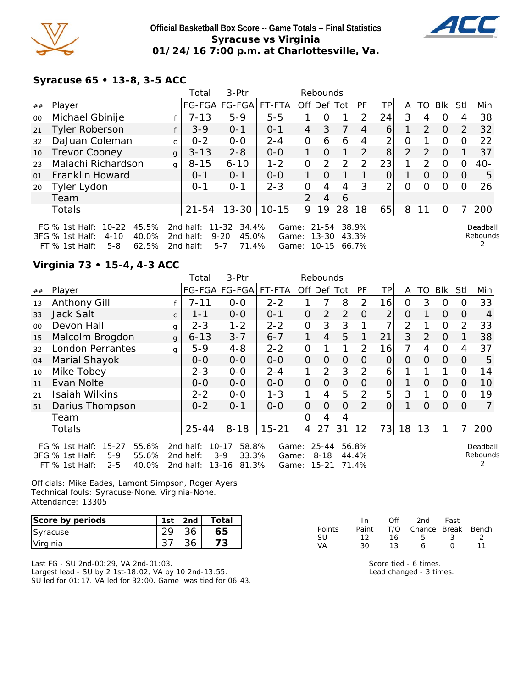

### **Official Basketball Box Score -- Game Totals -- Final Statistics Syracuse vs Virginia 01/24/16 7:00 p.m. at Charlottesville, Va.**



# **Syracuse 65 • 13-8, 3-5 ACC**

|    |                                                                                                               |              | Total                               | 3-Ptr                                                   |                         |               | Rebounds           |                |                |    |          |               |                |             |                           |
|----|---------------------------------------------------------------------------------------------------------------|--------------|-------------------------------------|---------------------------------------------------------|-------------------------|---------------|--------------------|----------------|----------------|----|----------|---------------|----------------|-------------|---------------------------|
| ## | Player                                                                                                        |              |                                     | FG-FGA FG-FGA FT-FTA                                    |                         |               |                    | Off Def Tot    | РF             | TP | A        | TO            | Blk            | <b>StII</b> | Min                       |
| 00 | Michael Gbinije                                                                                               |              | $7 - 13$                            | $5-9$                                                   | $5 - 5$                 |               | 0                  |                | 2              | 24 | 3        | 4             | $\Omega$       | 4           | 38                        |
| 21 | <b>Tyler Roberson</b>                                                                                         | f            | $3 - 9$                             | $O - 1$                                                 | $0 - 1$                 | 4             | 3                  | $\overline{7}$ | 4              | 6  |          | $\mathcal{P}$ | $\Omega$       | 2           | 32                        |
| 32 | DaJuan Coleman                                                                                                | C.           | $0 - 2$                             | $0 - 0$                                                 | $2 - 4$                 | $\Omega$      | 6                  | 6              | 4              | 2  | $\Omega$ |               | $\Omega$       | 0           | 22                        |
| 10 | <b>Trevor Cooney</b>                                                                                          | $\mathbf{q}$ | $3 - 13$                            | $2 - 8$                                                 | $0 - 0$                 |               | $\Omega$           |                | $\mathcal{P}$  | 8  | 2        | $\mathcal{P}$ | $\Omega$       |             | 37                        |
| 23 | Malachi Richardson                                                                                            | $\mathbf q$  | $8 - 15$                            | $6 - 10$                                                | $1 - 2$                 | 0             | $\overline{2}$     | 2              | 2              | 23 |          | $\mathcal{P}$ | $\overline{0}$ | $\Omega$    | $40 -$                    |
| 01 | Franklin Howard                                                                                               |              | $0 - 1$                             | $0 - 1$                                                 | $O-O$                   | 1.            | $\Omega$           |                |                |    |          | $\Omega$      | $\Omega$       | 0           | 5                         |
| 20 | Tyler Lydon                                                                                                   |              | $0 - 1$                             | $O - 1$                                                 | $2 - 3$                 | 0             | 4                  | 4              | 3              | 2  | $\Omega$ | $\Omega$      | $\Omega$       |             | 26                        |
|    | Team                                                                                                          |              |                                     |                                                         |                         | $\mathcal{P}$ | 4                  | 6              |                |    |          |               |                |             |                           |
|    | <b>Totals</b>                                                                                                 |              | $21 - 54$                           | $13 - 30$                                               | $10 - 15$               | 9             | 19                 | 28             | 18             | 65 | 8        | 11            | 0              |             | 200                       |
|    | FG % 1st Half: 10-22<br>45.5%<br>40.0%<br>3FG % 1st Half:<br>$4 - 10$<br>62.5%<br>$5 - 8$<br>$FT$ % 1st Half: |              | 2nd half:<br>2nd half:<br>2nd half: | 11-32<br>34.4%<br>45.0%<br>$9 - 20$<br>71.4%<br>$5 - 7$ | Game:<br>Game:<br>Game: |               | 21-54<br>$13 - 30$ | 10-15 66.7%    | 38.9%<br>43.3% |    |          |               |                |             | Deadball<br>Rebounds<br>2 |

### **Virginia 73 • 15-4, 4-3 ACC**

|        |                                                                           |              | Total                  | 3-Ptr                                |                |              | Rebounds          |                |                |                |                |                |                |          |                      |
|--------|---------------------------------------------------------------------------|--------------|------------------------|--------------------------------------|----------------|--------------|-------------------|----------------|----------------|----------------|----------------|----------------|----------------|----------|----------------------|
| ##     | Player                                                                    |              |                        | FG-FGA FG-FGA                        | FT-FTA         | Off Def Tot  |                   |                | PF             | TР             | A              | TO             | <b>BIK</b>     | Stll     | Min                  |
| 13     | Anthony Gill                                                              |              | $7 - 11$               | $0-0$                                | $2 - 2$        |              |                   | 8              | $\overline{2}$ | 16             | 0              | 3              | 0              |          | 33                   |
| 33     | Jack Salt                                                                 | $\mathsf{C}$ | $1 - 1$                | $0-0$                                | $0 - 1$        | $\mathbf{O}$ | 2                 | $\overline{2}$ | O              | 2              | 0              |                | $\Omega$       | Ő        | 4                    |
| $00\,$ | Devon Hall                                                                | g            | $2 - 3$                | $1 - 2$                              | $2 - 2$        | $\mathbf{O}$ | 3                 | 3              |                | 7              | $\overline{2}$ |                | $\overline{O}$ | 2        | 33                   |
| 15     | Malcolm Brogdon                                                           | $\mathbf{q}$ | $6 - 13$               | $3 - 7$                              | $6 - 7$        | 1            | 4                 | 5              |                | 21             | 3              | $\overline{2}$ | $\Omega$       |          | 38                   |
| 32     | <b>London Perrantes</b>                                                   | g            | $5 - 9$                | $4 - 8$                              | $2 - 2$        | 0            |                   | 1              | 2              | 16             | 7              | 4              | 0              |          | 37                   |
| 04     | Marial Shayok                                                             |              | $0 - 0$                | $0-0$                                | $0-0$          | $\Omega$     | $\Omega$          | $\overline{O}$ | O              | $\Omega$       | $\Omega$       | $\Omega$       | $\Omega$       | $\Omega$ | 5                    |
| 10     | Mike Tobey                                                                |              | $2 - 3$                | $O-O$                                | $2 - 4$        | 1            | 2                 | 3              | $\overline{2}$ | 6              |                |                |                | O        | 14                   |
| 11     | Evan Nolte                                                                |              | $0-0$                  | $0-0$                                | $0-0$          | $\mathbf{O}$ | $\Omega$          | $\overline{O}$ | O              | $\overline{O}$ |                | $\Omega$       | $\Omega$       | 0        | 10                   |
| 21     | <b>Isaiah Wilkins</b>                                                     |              | $2 - 2$                | $0 - 0$                              | $1 - 3$        | 1            | 4                 | 5              | $\overline{2}$ | 5              | 3              | 1              | 0              | Ω        | 19                   |
| 51     | Darius Thompson                                                           |              | $0 - 2$                | $0 - 1$                              | $0 - 0$        | $\mathbf{O}$ | $\Omega$          | 0              | $\mathcal{P}$  | 0              | 1              | $\Omega$       | $\Omega$       | 0        | 7                    |
|        | Team                                                                      |              |                        |                                      |                | $\Omega$     | 4                 | 4              |                |                |                |                |                |          |                      |
|        | <b>Totals</b>                                                             |              | $25 - 44$              | $8 - 18$                             | $15 - 21$      | 4            | 27                | 31             | 12             | 73             | 18             | 13             |                | 71       | 200                  |
|        | FG % 1st Half:<br>$15 - 27$<br>55.6%<br>3FG % 1st Half:<br>$5-9$<br>55.6% |              | 2nd half:<br>2nd half: | 58.8%<br>$10 - 17$<br>$3-9$<br>33.3% | Game:<br>Game: |              | 25-44<br>$8 - 18$ |                | 56.8%<br>44.4% |                |                |                |                |          | Deadball<br>Rebounds |
|        | $FT$ % 1st Half:<br>$2 - 5$<br>40.0%                                      |              | 2nd half:              | 13-16<br>81.3%                       | Game:          |              | $15 - 21$         |                | 71.4%          |                |                |                |                |          |                      |

Officials: Mike Eades, Lamont Simpson, Roger Ayers Technical fouls: Syracuse-None. Virginia-None. Attendance: 13305

| Score by periods | 1st | 2 <sub>nd</sub> | Total |
|------------------|-----|-----------------|-------|
| <b>Syracuse</b>  |     |                 | 65    |
| Virginia         |     |                 |       |

Last FG - SU 2nd-00:29, VA 2nd-01:03. Largest lead - SU by 2 1st-18:02, VA by 10 2nd-13:55. SU led for 01:17. VA led for 32:00. Game was tied for 06:43.

|               | In.   | Off | 2nd                    | Fast       |    |
|---------------|-------|-----|------------------------|------------|----|
| <b>Points</b> | Paint |     | T/O Chance Break Bench |            |    |
| -SU           | 12.   | 16. | Б.                     | - 3-       | -2 |
| VA            | 30.   | 13. | 6                      | $^{\circ}$ | 11 |

Score tied - 6 times. Lead changed - 3 times.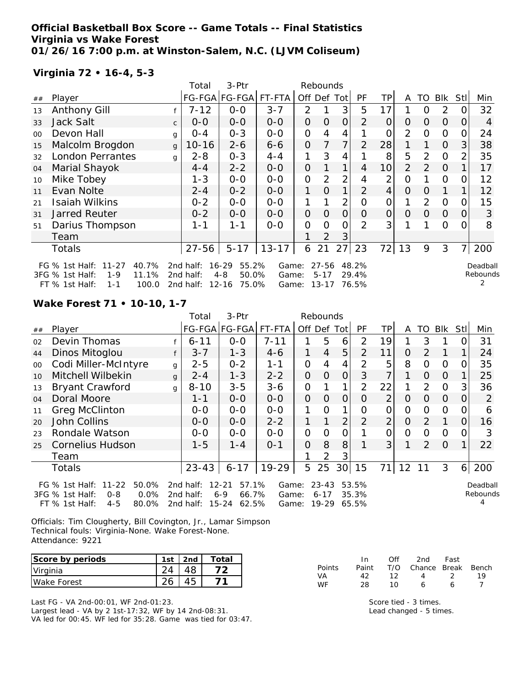### **Official Basketball Box Score -- Game Totals -- Final Statistics Virginia vs Wake Forest 01/26/16 7:00 p.m. at Winston-Salem, N.C. (LJVM Coliseum)**

### **Virginia 72 • 16-4, 5-3**

|    |                                                                                                                       |              | Total                               | 3-Ptr                                                        |                         |                | Rebounds                       |                |                         |                |                |                |                |                |                      |
|----|-----------------------------------------------------------------------------------------------------------------------|--------------|-------------------------------------|--------------------------------------------------------------|-------------------------|----------------|--------------------------------|----------------|-------------------------|----------------|----------------|----------------|----------------|----------------|----------------------|
| ## | Player                                                                                                                |              |                                     | FG-FGA FG-FGA                                                | FT-FTA                  |                |                                | Off Def Tot    | <b>PF</b>               | <b>TP</b>      | A              | TO             | Blk            | Stl            | Min                  |
| 13 | <b>Anthony Gill</b>                                                                                                   |              | $7 - 12$                            | $0-0$                                                        | $3 - 7$                 | $\overline{2}$ |                                | 3              | 5                       | 17             |                | 0              | 2              | 0              | 32                   |
| 33 | <b>Jack Salt</b>                                                                                                      | $\mathsf{C}$ | $0 - 0$                             | $0-0$                                                        | $0-0$                   | $\mathbf{O}$   | 0                              | $\overline{O}$ | $\overline{2}$          | $\overline{O}$ | $\Omega$       | 0              | $\Omega$       | 0              | 4                    |
| 00 | Devon Hall                                                                                                            | g            | $0 - 4$                             | $0 - 3$                                                      | $0-0$                   | $\mathbf 0$    | 4                              | 4              |                         | O              | $\overline{2}$ | O              | $\Omega$       | 0              | 24                   |
| 15 | Malcolm Brogdon                                                                                                       | $\mathbf{q}$ | $10 - 16$                           | $2 - 6$                                                      | $6 - 6$                 | $\mathbf{O}$   | 7                              | 7              | $\overline{2}$          | 28             |                |                | $\overline{O}$ | 3              | 38                   |
| 32 | <b>London Perrantes</b>                                                                                               | g            | $2 - 8$                             | $0 - 3$                                                      | $4 - 4$                 | 1              | 3                              | 4              |                         | 8              | 5              | $\overline{2}$ | $\Omega$       | $\overline{2}$ | 35                   |
| 04 | Marial Shayok                                                                                                         |              | $4 - 4$                             | $2 - 2$                                                      | $0-0$                   | $\mathbf{O}$   |                                | $\mathbf 1$    | 4                       | 10             | $\overline{2}$ | 2              | $\Omega$       |                | 17                   |
| 10 | Mike Tobey                                                                                                            |              | $1 - 3$                             | $0-0$                                                        | $O-O$                   | $\mathbf 0$    | 2                              | $\overline{2}$ | 4                       | $\overline{2}$ | $\overline{O}$ |                | $\Omega$       | 0              | 12                   |
| 11 | Evan Nolte                                                                                                            |              | $2 - 4$                             | $0 - 2$                                                      | $0-0$                   | 1              | $\Omega$                       | 1              | $\mathcal{P}$           | 4              | $\overline{O}$ | 0              |                |                | 12                   |
| 21 | Isaiah Wilkins                                                                                                        |              | $0 - 2$                             | $0-0$                                                        | $O-O$                   | 1              |                                | $\overline{2}$ | 0                       | 0              |                | 2              | $\Omega$       | 0              | 15                   |
| 31 | <b>Jarred Reuter</b>                                                                                                  |              | $0 - 2$                             | $0-0$                                                        | $0-0$                   | $\mathbf{O}$   | $\overline{O}$                 | $\Omega$       | $\Omega$                | $\Omega$       | $\overline{O}$ | $\Omega$       | $\overline{O}$ | 0              | 3                    |
| 51 | Darius Thompson                                                                                                       |              | 1-1                                 | $1 - 1$                                                      | $0 - 0$                 | $\mathbf 0$    | 0                              | 0              | $\overline{2}$          | 3              |                |                | $\Omega$       | 0              | 8                    |
|    | Team                                                                                                                  |              |                                     |                                                              |                         |                | $\overline{2}$                 | 3              |                         |                |                |                |                |                |                      |
|    | <b>Totals</b>                                                                                                         |              | $27 - 56$                           | $5 - 17$                                                     | $13 - 17$               | 6              | 21                             | 27             | 23                      | 72             | 13             | 9              | 3              | 7              | 200                  |
|    | 40.7%<br>FG $%$ 1st Half:<br>$11 - 27$<br>11.1%<br>3FG % 1st Half:<br>$1 - 9$<br>$FT$ % 1st Half:<br>100.0<br>$1 - 1$ |              | 2nd half:<br>2nd half:<br>2nd half: | $16 - 29$<br>55.2%<br>$4 - 8$<br>50.0%<br>$12 - 16$<br>75.0% | Game:<br>Game:<br>Game: |                | 27-56<br>$5 - 17$<br>$13 - 17$ |                | 48.2%<br>29.4%<br>76.5% |                |                |                |                |                | Deadball<br>Rebounds |

**Wake Forest 71 • 10-10, 1-7**

|    |                                                                                                                     |   | Total                               | 3-Ptr                                                        |                         |     | Rebounds                           |                 |                         |                |          |          |                |     |                      |
|----|---------------------------------------------------------------------------------------------------------------------|---|-------------------------------------|--------------------------------------------------------------|-------------------------|-----|------------------------------------|-----------------|-------------------------|----------------|----------|----------|----------------|-----|----------------------|
| ## | Player                                                                                                              |   |                                     | FG-FGA FG-FGA FT-FTA                                         |                         | Off | Def                                | Totl            | PF                      | TP             | A        | TO       | Blk            | Stl | Min                  |
| 02 | Devin Thomas                                                                                                        |   | $6 - 11$                            | $0 - 0$                                                      | $7 - 11$                |     | 5                                  | 6               | 2                       | 19             | 1        | 3        |                |     | 31                   |
| 44 | Dinos Mitoglou                                                                                                      | f | $3 - 7$                             | $1 - 3$                                                      | $4-6$                   | 1   | 4                                  | 5               | 2                       | 11             | O        | 2        |                |     | 24                   |
| 00 | Codi Miller-McIntyre                                                                                                | g | $2 - 5$                             | $0 - 2$                                                      | $1 - 1$                 | 0   | 4                                  | 4               | 2                       | 5              | 8        | 0        | $\overline{0}$ | 0   | 35                   |
| 10 | Mitchell Wilbekin                                                                                                   | g | $2 - 4$                             | $1 - 3$                                                      | $2 - 2$                 | O   | $\Omega$                           | $\Omega$        | 3                       | 7              | 1        | $\Omega$ | $\Omega$       |     | 25                   |
| 13 | <b>Bryant Crawford</b>                                                                                              | g | $8 - 10$                            | $3 - 5$                                                      | $3-6$                   | 0   |                                    | 1               | 2                       | 22             | 1        | 2        | 0              | 3   | 36                   |
| 04 | Doral Moore                                                                                                         |   | 1-1                                 | $0 - 0$                                                      | $0 - 0$                 | O   | $\Omega$                           | $\Omega$        | $\Omega$                | $\overline{2}$ | 0        | $\Omega$ | $\overline{0}$ | O   | 2                    |
| 11 | <b>Greg McClinton</b>                                                                                               |   | $0 - 0$                             | $0 - 0$                                                      | $0 - 0$                 | 1   | $\Omega$                           | 1               | 0                       | 0              | 0        | 0        | $\overline{0}$ |     | 6                    |
| 20 | <b>John Collins</b>                                                                                                 |   | $0 - 0$                             | $0 - 0$                                                      | $2 - 2$                 | 1   |                                    | $\overline{2}$  | 2                       | $\overline{2}$ | $\Omega$ | 2        |                | 0   | 16                   |
| 23 | Rondale Watson                                                                                                      |   | $O-O$                               | $0 - 0$                                                      | $0 - 0$                 | 0   | 0                                  | 0               |                         | $\overline{O}$ | 0        | $\Omega$ | $\overline{0}$ | O   | 3                    |
| 25 | <b>Cornelius Hudson</b>                                                                                             |   | $1 - 5$                             | 1-4                                                          | $0 - 1$                 | O   | 8                                  | 8               |                         | 3 <sup>1</sup> | 1        | 2        | $\Omega$       |     | 22                   |
|    | Team                                                                                                                |   |                                     |                                                              |                         |     | 2                                  | 3               |                         |                |          |          |                |     |                      |
|    | <b>Totals</b>                                                                                                       |   | $23 - 43$                           | $6 - 17$                                                     | 19-29                   | 5   | 25                                 | 30 <sup>1</sup> | 15                      | 71             | 12       | 11       | 3              | 6   | 200                  |
|    | $11 - 22$<br>50.0%<br>FG % 1st Half:<br>3FG % 1st Half:<br>$0.0\%$<br>$0 - 8$<br>FT % 1st Half:<br>$4 - 5$<br>80.0% |   | 2nd half:<br>2nd half:<br>2nd half: | $12 - 21$<br>57.1%<br>66.7%<br>$6 - 9$<br>$15 - 24$<br>62.5% | Game:<br>Game:<br>Game: |     | $23 - 43$<br>$6 - 17$<br>$19 - 29$ |                 | 53.5%<br>35.3%<br>65.5% |                |          |          |                |     | Deadball<br>Rebounds |

Officials: Tim Clougherty, Bill Covington, Jr., Lamar Simpson Technical fouls: Virginia-None. Wake Forest-None. Attendance: 9221

| Score by periods | 1st | 2nd | Total |
|------------------|-----|-----|-------|
| Virginia         |     |     |       |
| Wake Forest      |     |     |       |

Last FG - VA 2nd-00:01, WF 2nd-01:23. Largest lead - VA by 2 1st-17:32, WF by 14 2nd-08:31. VA led for 00:45. WF led for 35:28. Game was tied for 03:47.

|        | -In   | Off | 2nd                    | Fast          |    |
|--------|-------|-----|------------------------|---------------|----|
| Points | Paint |     | T/O Chance Break Bench |               |    |
| VA     | 42.   | 12  | $\mathbf{\Delta}$      | $\mathcal{L}$ | 19 |
| WF     | 28    | 10  | ѧ                      | 6             |    |

Score tied - 3 times. Lead changed - 5 times.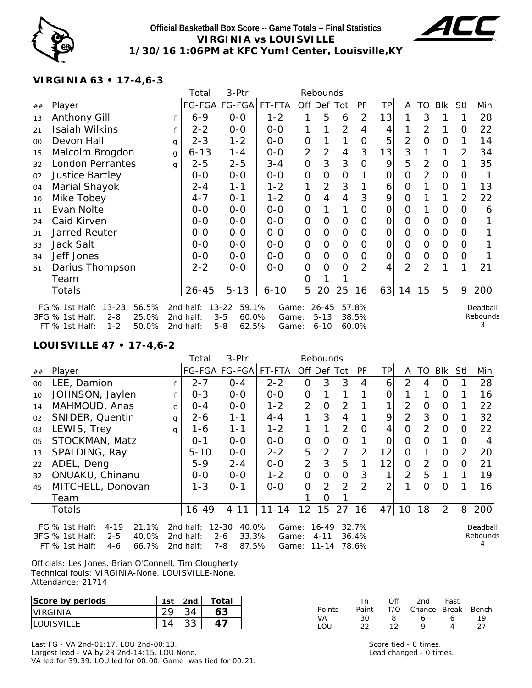

### **Official Basketball Box Score -- Game Totals -- Final Statistics VIRGINIA vs LOUISVILLE 1/30/16 1:06PM at KFC Yum! Center, Louisville,KY**



# **VIRGINIA 63 • 17-4,6-3**

|    |                                                                                                                     |   | Total                               | 3-Ptr                                                      |                         |                | Rebounds                          |              |                         |           |                |                |                |      |                           |
|----|---------------------------------------------------------------------------------------------------------------------|---|-------------------------------------|------------------------------------------------------------|-------------------------|----------------|-----------------------------------|--------------|-------------------------|-----------|----------------|----------------|----------------|------|---------------------------|
| ## | Player                                                                                                              |   |                                     | FG-FGA   FG-FGA   FT-FTA                                   |                         | Off Def Tot    |                                   |              | PF                      | <b>TP</b> | A              | <b>TO</b>      | Blk            | Stll | Min                       |
| 13 | <b>Anthony Gill</b>                                                                                                 |   | $6 - 9$                             | $0 - 0$                                                    | $1 - 2$                 |                | 5                                 | 6            | 2                       | 13        |                | 3              |                |      | 28                        |
| 21 | Isaiah Wilkins                                                                                                      |   | $2 - 2$                             | $0 - 0$                                                    | $0 - 0$                 |                |                                   | 2            | 4                       | 4         |                | 2              | 1              | 0    | 22                        |
| 00 | Devon Hall                                                                                                          | g | $2 - 3$                             | $1 - 2$                                                    | $0-0$                   | 0              |                                   | 1            | O                       | 5         | $\overline{2}$ | $\mathbf 0$    | $\overline{O}$ |      | 14                        |
| 15 | Malcolm Brogdon                                                                                                     | g | $6 - 13$                            | $1 - 4$                                                    | $0-0$                   | 2              | 2                                 | 4            | 3                       | 13        | 3              |                | 1              | 2    | 34                        |
| 32 | <b>London Perrantes</b>                                                                                             | q | $2 - 5$                             | $2 - 5$                                                    | $3 - 4$                 | $\overline{0}$ | 3                                 | 3            | O                       | 9         | 5              | 2              | $\overline{O}$ |      | 35                        |
| 02 | <b>Justice Bartley</b>                                                                                              |   | $0-0$                               | $O-O$                                                      | $O-O$                   | $\overline{0}$ | Ω                                 | 0            |                         | 0         | Ω              | 2              | $\overline{0}$ |      |                           |
| 04 | Marial Shayok                                                                                                       |   | $2 - 4$                             | $1 - 1$                                                    | $1 - 2$                 | 1              | 2                                 | 3            |                         | 6         | 0              |                | 0              |      | 13                        |
| 10 | Mike Tobey                                                                                                          |   | $4 - 7$                             | $0 - 1$                                                    | $1 - 2$                 | $\overline{0}$ | 4                                 | 4            | 3                       | 9         | 0              |                | 1              | 2    | 22                        |
| 11 | Evan Nolte                                                                                                          |   | $0 - 0$                             | $0 - 0$                                                    | $0 - 0$                 | $\overline{O}$ |                                   | 1            | 0                       | 0         | O              |                | 0              | Ω    | 6                         |
| 24 | Caid Kirven                                                                                                         |   | $0-0$                               | $O-O$                                                      | $0-0$                   | $\overline{0}$ | Ω                                 | $\mathbf{O}$ | O                       | 0         | O              | 0              | $\overline{O}$ |      |                           |
| 31 | <b>Jarred Reuter</b>                                                                                                |   | $0-0$                               | $0-0$                                                      | $0 - 0$                 | $\overline{0}$ | O                                 | 0            | O                       | 0         | O              | 0              | $\overline{0}$ | O)   |                           |
| 33 | Jack Salt                                                                                                           |   | $0 - 0$                             | $0-0$                                                      | $0 - 0$                 | $\mathbf 0$    | 0                                 | O            | O                       | 0         | O              | 0              | $\mathbf 0$    | O    |                           |
| 34 | Jeff Jones                                                                                                          |   | $0 - 0$                             | $0 - 0$                                                    | $0 - 0$                 | $\Omega$       | 0                                 | O            | O                       | 0         | 0              | 0              | $\mathbf 0$    | O    |                           |
| 51 | Darius Thompson                                                                                                     |   | $2 - 2$                             | $0-0$                                                      | $0 - 0$                 | 0              | 0                                 | 0            | $\overline{2}$          | 4         | $\overline{2}$ | $\overline{2}$ | 1              |      | 21                        |
|    | Team                                                                                                                |   |                                     |                                                            |                         | Ω              |                                   |              |                         |           |                |                |                |      |                           |
|    | Totals                                                                                                              |   | $26 - 45$                           | $5 - 13$                                                   | $6 - 10$                | 5              | 20                                | 25           | 16                      | 63        | 14             | 15             | 5              | 9    | 200                       |
|    | $13 - 23$<br>56.5%<br>FG $%$ 1st Half:<br>3FG % 1st Half:<br>$2 - 8$<br>25.0%<br>FT % 1st Half:<br>$1 - 2$<br>50.0% |   | 2nd half:<br>2nd half:<br>2nd half: | $13 - 22$<br>59.1%<br>$3 - 5$<br>60.0%<br>$5 - 8$<br>62.5% | Game:<br>Game:<br>Game: |                | $26 - 45$<br>$5 - 13$<br>$6 - 10$ |              | 57.8%<br>38.5%<br>60.0% |           |                |                |                |      | Deadball<br>Rebounds<br>3 |

# **LOUISVILLE 47 • 17-4,6-2**

|    |                                                                                                                    |              | Total                               | 3-Ptr                                                      |                         |                | Rebounds                           |                |                         |                |                |                |                |                |                      |
|----|--------------------------------------------------------------------------------------------------------------------|--------------|-------------------------------------|------------------------------------------------------------|-------------------------|----------------|------------------------------------|----------------|-------------------------|----------------|----------------|----------------|----------------|----------------|----------------------|
| ## | Player                                                                                                             |              |                                     | FG-FGA FG-FGA                                              | FT-FTA                  |                |                                    | Off Def Tot    | <b>PF</b>               | TР             | A              | TO             | Blk            | Stll           | Min                  |
| 00 | LEE, Damion                                                                                                        |              | $2 - 7$                             | $0 - 4$                                                    | $2 - 2$                 | 0              | 3                                  | 3              | 4                       | 6              | 2              | 4              | $\Omega$       |                | 28                   |
| 10 | JOHNSON, Jaylen                                                                                                    |              | $0 - 3$                             | $0-0$                                                      | $0-0$                   | 0              | 1                                  | 1              |                         |                |                | 1              | 0              |                | 16                   |
| 14 | MAHMOUD, Anas                                                                                                      | $\mathsf{C}$ | $0 - 4$                             | $0 - 0$                                                    | $1 - 2$                 | 2              | 0                                  | 2              |                         |                | 2              | 0              | $\mathbf 0$    |                | 22                   |
| 02 | SNIDER, Quentin                                                                                                    | g            | $2 - 6$                             | $1 - 1$                                                    | $4 - 4$                 | 1              | 3                                  | 4              |                         | 9              | 2              | 3              | $\mathbf 0$    |                | 32                   |
| 03 | LEWIS, Trey                                                                                                        | $\mathsf{q}$ | 1-6                                 | $1 - 1$                                                    | $1 - 2$                 |                |                                    | $\overline{2}$ | Ω                       | 4              | 0              | $\overline{2}$ | 0              | 0              | 22                   |
| 05 | STOCKMAN, Matz                                                                                                     |              | $0 - 1$                             | $0 - 0$                                                    | $0 - 0$                 | 0              | 0                                  | O              |                         | 0              | $\Omega$       | 0              | 1              | O              | 4                    |
| 13 | SPALDING, Ray                                                                                                      |              | $5 - 10$                            | $0-0$                                                      | $2 - 2$                 | 5              | 2                                  | 7              | $\overline{2}$          | 12             | 0              | 1              | $\Omega$       | 2              | 20                   |
| 22 | ADEL, Deng                                                                                                         |              | $5-9$                               | $2 - 4$                                                    | $0 - 0$                 | $\overline{2}$ | 3                                  | 5              |                         | 12             | 0              | 2              | $\Omega$       |                | 21                   |
| 32 | ONUAKU, Chinanu                                                                                                    |              | $0-0$                               | $0-0$                                                      | $1 - 2$                 | 0              | O                                  | 0              | 3                       |                | $\overline{2}$ | 5              | 1              |                | 19                   |
| 45 | MITCHELL, Donovan                                                                                                  |              | $1 - 3$                             | $0 - 1$                                                    | $0 - 0$                 | 0              | 2                                  | 2              | 2                       | $\overline{2}$ |                | $\Omega$       | 0              |                | 16                   |
|    | Team                                                                                                               |              |                                     |                                                            |                         |                | 0                                  |                |                         |                |                |                |                |                |                      |
|    | <b>Totals</b>                                                                                                      |              | $16 - 49$                           | $4 - 11$                                                   | $11 - 14$               | 12             | 15                                 | 27             | 16                      | 47             | 10             | 18             | $\overline{2}$ | 8 <sup>1</sup> | 200                  |
|    | FG $%$ 1st Half:<br>21.1%<br>$4 - 19$<br>40.0%<br>3FG % 1st Half:<br>$2 - 5$<br>$FT$ % 1st Half:<br>66.7%<br>$4-6$ |              | 2nd half:<br>2nd half:<br>2nd half: | $12 - 30$<br>40.0%<br>33.3%<br>$2 - 6$<br>$7 - 8$<br>87.5% | Game:<br>Game:<br>Game: |                | $16 - 49$<br>$4 - 11$<br>$11 - 14$ |                | 32.7%<br>36.4%<br>78.6% |                |                |                |                |                | Deadball<br>Rebounds |

Officials: Les Jones, Brian O'Connell, Tim Clougherty Technical fouls: VIRGINIA-None. LOUISVILLE-None. Attendance: 21714

| Score by periods | 1st | 2nd | Total |
|------------------|-----|-----|-------|
| VIRGINIA         |     |     | 63    |
|                  | л   |     |       |

Last FG - VA 2nd-01:17, LOU 2nd-00:13. Largest lead - VA by 23 2nd-14:15, LOU None. VA led for 39:39. LOU led for 00:00. Game was tied for 00:21.

|        | In    | ∩ff | 2nd                    | Fast |    |
|--------|-------|-----|------------------------|------|----|
| Points | Paint |     | T/O Chance Break Bench |      |    |
| VA.    | 30    | я   | ь                      | ь    | 19 |
| $1$ OU | フフ    | 12  | Q                      |      | 27 |

Score tied - 0 times. Lead changed - 0 times.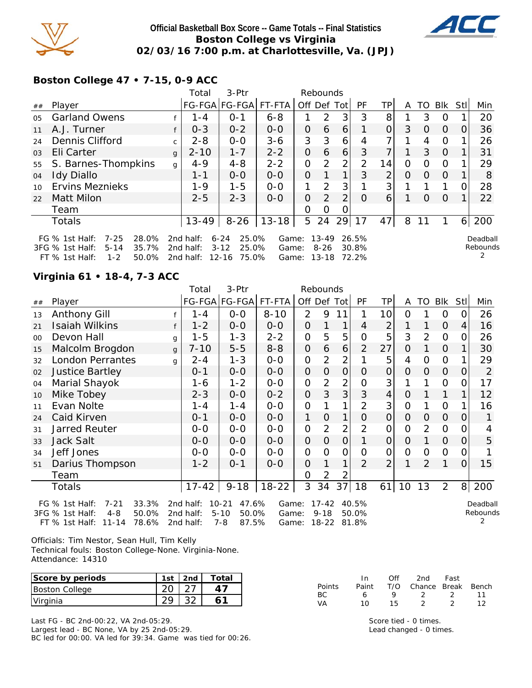

### **Official Basketball Box Score -- Game Totals -- Final Statistics Boston College vs Virginia 02/03/16 7:00 p.m. at Charlottesville, Va. (JPJ)**



**Boston College 47 • 7-15, 0-9 ACC**

|    |                                                                                                                       |              | Total                               | 3-Ptr                                                        |                         |   | Rebounds                       |             |                         |                |          |          |          |      |                           |
|----|-----------------------------------------------------------------------------------------------------------------------|--------------|-------------------------------------|--------------------------------------------------------------|-------------------------|---|--------------------------------|-------------|-------------------------|----------------|----------|----------|----------|------|---------------------------|
| ## | Player                                                                                                                |              |                                     | FG-FGA FG-FGA FT-FTA                                         |                         |   |                                | Off Def Tot | PF                      | TP             | A        |          | TO Blk   | Stll | Min                       |
| 05 | <b>Garland Owens</b>                                                                                                  |              | $1 - 4$                             | $O - 1$                                                      | $6 - 8$                 |   | $\mathcal{P}$                  | 3           | 3                       | 8              |          | 3        | 0        |      | 20                        |
| 11 | A.J. Turner                                                                                                           |              | $0 - 3$                             | $0 - 2$                                                      | $O-O$                   | 0 | 6                              | 6           |                         | $\mathbf{O}$   | 3        | $\Omega$ | $\Omega$ | 0    | 36                        |
| 24 | Dennis Clifford                                                                                                       | $\mathsf{C}$ | $2 - 8$                             | $0 - 0$                                                      | $3 - 6$                 | 3 | 3                              | 6           | 4                       |                |          | 4        | 0        |      | 26                        |
| 03 | Eli Carter                                                                                                            | $\mathbf{q}$ | $2 - 10$                            | $1 - 7$                                                      | $2 - 2$                 | 0 | 6                              | 6           | 3                       | 7              |          | 3        | $\Omega$ |      | 31                        |
| 55 | S. Barnes-Thompkins                                                                                                   | g            | $4 - 9$                             | $4 - 8$                                                      | $2 - 2$                 | 0 | 2                              | 2           | 2                       | 14             | 0        | $\Omega$ | 0        |      | 29                        |
| 04 | <b>Idy Diallo</b>                                                                                                     |              | 1-1                                 | $0 - 0$                                                      | $0 - 0$                 | O | 1                              | 1           | 3                       | $\overline{2}$ | $\Omega$ | $\Omega$ | $\Omega$ |      | 8                         |
| 10 | <b>Ervins Meznieks</b>                                                                                                |              | $1 - 9$                             | $1 - 5$                                                      | $0 - 0$                 | 1 | 2                              | 3           |                         | 3              |          |          |          | O    | 28                        |
| 22 | <b>Matt Milon</b>                                                                                                     |              | $2 - 5$                             | $2 - 3$                                                      | $0 - 0$                 | O | 2                              | 2           | $\Omega$                | 6              |          | 0        | $\Omega$ |      | 22                        |
|    | Team                                                                                                                  |              |                                     |                                                              |                         | 0 | Ω                              |             |                         |                |          |          |          |      |                           |
|    | <b>Totals</b>                                                                                                         |              | $13 - 49$                           | $8 - 26$                                                     | $13 - 18$               |   | 5 24                           | 29          | 17                      | 47             | 8        | 11       |          | 6    | 200                       |
|    | $7 - 25$<br>28.0%<br>FG $%$ 1st Half:<br>$5 - 14$<br>35.7%<br>3FG % 1st Half:<br>$FT$ % 1st Half:<br>$1 - 2$<br>50.0% |              | 2nd half:<br>2nd half:<br>2nd half: | $6 - 24$<br>25.0%<br>25.0%<br>$3 - 12$<br>$12 - 16$<br>75.0% | Game:<br>Game:<br>Game: |   | 13-49<br>$8 - 26$<br>$13 - 18$ |             | 26.5%<br>30.8%<br>72.2% |                |          |          |          |      | Deadball<br>Rebounds<br>2 |

#### **Virginia 61 • 18-4, 7-3 ACC**

|    |                         |              | Total     | 3-Ptr         |           |                | Rebounds       |                |                |                 |                |          |                |                |     |
|----|-------------------------|--------------|-----------|---------------|-----------|----------------|----------------|----------------|----------------|-----------------|----------------|----------|----------------|----------------|-----|
| ## | Player                  |              |           | FG-FGA FG-FGA | FT-FTA    | Off Def Tot    |                |                | PF             | <b>TP</b>       | A              | TO       | <b>Blk</b>     | Stll           | Min |
| 13 | <b>Anthony Gill</b>     |              | 1 - 4     | $0-0$         | $8 - 10$  | $\overline{2}$ | 9              | 11             | 1              | 10 <sup>1</sup> | 0              |          | 0              | 0              | 26  |
| 21 | <b>Isaiah Wilkins</b>   | f            | $1 - 2$   | $0 - 0$       | $0-0$     | $\Omega$       | $\mathbf{1}$   | $\mathbf{1}$   | $\overline{4}$ | $\overline{2}$  | 1              | 1        | $\Omega$       | $\vert$        | 16  |
| 00 | Devon Hall              | g            | $1 - 5$   | $1 - 3$       | $2 - 2$   | $\Omega$       | 5              | 5              | $\overline{0}$ | 5               | 3              | 2        | $\Omega$       | 0              | 26  |
| 15 | Malcolm Brogdon         | $\mathbf{q}$ | $7 - 10$  | $5-5$         | $8 - 8$   | $\Omega$       | 6              | 6              | $\overline{2}$ | 27              | $\Omega$       | 1        | $\overline{O}$ | $\mathbf{1}$   | 30  |
| 32 | <b>London Perrantes</b> | q            | $2 - 4$   | $1 - 3$       | $0-0$     | $\mathbf 0$    | 2              | $\overline{2}$ |                | 5               | 4              | $\Omega$ | $\Omega$       | 1              | 29  |
| 02 | <b>Justice Bartley</b>  |              | $0 - 1$   | $0 - 0$       | $0-0$     | $\Omega$       | $\Omega$       | $\mathbf 0$    | $\Omega$       | 0               | $\Omega$       | $\Omega$ | $\Omega$       | $\Omega$       | 2   |
| 04 | Marial Shayok           |              | 1-6       | $1 - 2$       | $0-0$     | $\Omega$       | 2              | $\overline{2}$ | $\overline{0}$ | 3               |                | 1        | $\overline{O}$ | 0              | 17  |
| 10 | Mike Tobey              |              | $2 - 3$   | $O-O$         | $0 - 2$   | $\Omega$       | 3              | 3              | 3              | $\overline{4}$  | $\overline{O}$ | 1        | 1              | 1              | 12  |
| 11 | Evan Nolte              |              | $1 - 4$   | $1 - 4$       | $0-0$     | $\Omega$       | 1              | 1              | $\overline{2}$ | 3               | $\Omega$       | 1        | $\Omega$       | 1              | 16  |
| 24 | Caid Kirven             |              | $0 - 1$   | $0 - 0$       | $0 - 0$   | 1              | $\Omega$       | 1              | O              | 0               | $\Omega$       | $\Omega$ | $\Omega$       | 0              | 1   |
| 31 | <b>Jarred Reuter</b>    |              | $0-0$     | $0-0$         | $O-O$     | $\Omega$       | $\overline{2}$ | 2              | $\overline{2}$ | 0               | $\Omega$       | 2        | $\Omega$       | $\Omega$       | 4   |
| 33 | <b>Jack Salt</b>        |              | $0 - 0$   | $0 - 0$       | $0 - 0$   | $\mathbf{O}$   | $\Omega$       | $\Omega$       | 1              | $\overline{0}$  | $\overline{O}$ | 1        | $\Omega$       | $\Omega$       | 5   |
| 34 | Jeff Jones              |              | $0-0$     | $O-O$         | $O-O$     | $\Omega$       | $\Omega$       | $\overline{O}$ | $\overline{0}$ | $\overline{0}$  | $\Omega$       | $\Omega$ | $\mathbf 0$    | $\Omega$       |     |
| 51 | Darius Thompson         |              | $1 - 2$   | $O - 1$       | $O-O$     | $\Omega$       | 1              | 1              | $\overline{2}$ | $\overline{2}$  | 1              | 2        | $\mathbf{1}$   | $\Omega$       | 15  |
|    | Team                    |              |           |               |           | $\Omega$       | $\overline{2}$ | 2              |                |                 |                |          |                |                |     |
|    | Totals                  |              | $17 - 42$ | $9 - 18$      | $18 - 22$ | 3              | 34             | 37             | 18             | 61              | 10             | 13       | $\overline{2}$ | 8 <sup>1</sup> | 200 |
|    |                         |              |           |               |           |                |                |                |                |                 |                |          |                |                |     |

FG % 1st Half: 7-21 33.3% 3FG % 1st Half: 4-8 50.0% FT % 1st Half: 11-14 78.6% 2nd half: 7-8 87.5% 2nd half: 10-21 47.6% 2nd half: 5-10 50.0% Game: 17-42 40.5% Game: 9-18 50.0% 87.5% Game: 18-22 81.8%

Deadball Rebounds 2

Officials: Tim Nestor, Sean Hull, Tim Kelly Technical fouls: Boston College-None. Virginia-None. Attendance: 14310

| Score by periods | 1st $ $ 2nd | Total |
|------------------|-------------|-------|
| Boston College   |             |       |
| Virginia         |             |       |

Last FG - BC 2nd-00:22, VA 2nd-05:29. Largest lead - BC None, VA by 25 2nd-05:29. BC led for 00:00. VA led for 39:34. Game was tied for 00:26.

|           | In.   | Off | 2nd                    | Fast  |    |
|-----------|-------|-----|------------------------|-------|----|
| Points    | Paint |     | T/O Chance Break Bench |       |    |
| BC.       | 6.    | Q   | - 2                    | - 200 | 11 |
| <b>VA</b> | 10    | 15. |                        |       |    |

Score tied - 0 times. Lead changed - 0 times.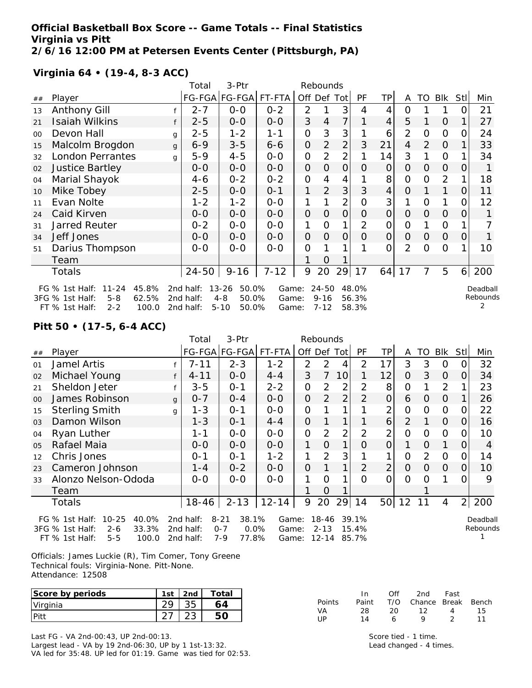#### **Official Basketball Box Score -- Game Totals -- Final Statistics Virginia vs Pitt 2/6/16 12:00 PM at Petersen Events Center (Pittsburgh, PA)**

# **Virginia 64 • (19-4, 8-3 ACC)**

|    |                                     |   | Total     | 3-Ptr                |          |                     | Rebounds       |                |                |                |                |          |                |                |          |
|----|-------------------------------------|---|-----------|----------------------|----------|---------------------|----------------|----------------|----------------|----------------|----------------|----------|----------------|----------------|----------|
| ## | Player                              |   |           | FG-FGA FG-FGA FT-FTA |          | Off Def Tot         |                |                | PF             | TP             | A              | TO       | Blk            | Stll           | Min      |
| 13 | Anthony Gill                        |   | $2 - 7$   | $0 - 0$              | $0 - 2$  | $\overline{2}$      |                | 3              | 4              | 4              | 0              |          |                |                | 21       |
| 21 | Isaiah Wilkins                      | f | $2 - 5$   | $0-0$                | $0 - 0$  | 3                   | 4              | 7              | 1              | 4              | 5              | 1        | $\Omega$       |                | 27       |
| 00 | Devon Hall                          | g | $2 - 5$   | $1 - 2$              | $1 - 1$  | $\mathbf{O}$        | 3              | 3              |                | 6              | $\overline{2}$ | O        | O              | O              | 24       |
| 15 | Malcolm Brogdon                     | g | $6 - 9$   | $3 - 5$              | $6 - 6$  | $\mathsf{O}\xspace$ | 2              | $\overline{2}$ | 3              | 21             | 4              | 2        | $\mathbf 0$    |                | 33       |
| 32 | <b>London Perrantes</b>             | g | $5 - 9$   | $4 - 5$              | $0-0$    | $\mathbf{O}$        | $\overline{2}$ | 2              |                | 14             | 3              |          | O              |                | 34       |
| 02 | <b>Justice Bartley</b>              |   | $0-0$     | $0-0$                | $0 - 0$  | $\mathbf{O}$        | $\overline{O}$ | $\Omega$       | 0              | $\mathbf{O}$   | $\overline{O}$ | 0        | $\Omega$       | O              | 1        |
| 04 | Marial Shayok                       |   | 4-6       | $0 - 2$              | $0 - 2$  | $\mathbf 0$         | 4              | 4              |                | 8              | $\overline{O}$ | 0        | $\overline{2}$ |                | 18       |
| 10 | Mike Tobey                          |   | $2 - 5$   | $0-0$                | $0 - 1$  | 1                   | $\overline{2}$ | 3              | 3              | 4              | $\Omega$       |          | 1              | 0              | 11       |
| 11 | Evan Nolte                          |   | $1 - 2$   | $1 - 2$              | $0 - 0$  | 1                   |                | $\overline{2}$ | 0              | 3              | 1              | 0        | 1              | O              | 12       |
| 24 | Caid Kirven                         |   | $0-0$     | $O-O$                | $O-O$    | $\mathbf{O}$        | $\overline{0}$ | $\overline{O}$ | 0              | $\overline{O}$ | $\Omega$       | O        | $\Omega$       | 0              | 1        |
| 31 | <b>Jarred Reuter</b>                |   | $0 - 2$   | $0-0$                | $0-0$    | 1                   | O              |                | $\overline{2}$ | 0              | $\Omega$       |          | $\overline{O}$ |                |          |
| 34 | Jeff Jones                          |   | $0-0$     | $0-0$                | $0 - 0$  | $\mathbf{O}$        | $\Omega$       | $\overline{O}$ | 0              | $\mathbf{O}$   | $\Omega$       | 0        | $\mathbf 0$    | 0              | 1        |
| 51 | Darius Thompson                     |   | $0-0$     | $0 - 0$              | $O-O$    | $\mathbf 0$         |                |                |                | 0              | $\overline{2}$ | $\Omega$ | $\Omega$       |                | 10       |
|    | Team                                |   |           |                      |          |                     | 0              |                |                |                |                |          |                |                |          |
|    | Totals                              |   | 24-50     | $9 - 16$             | $7 - 12$ | 9                   | 20             | 29             | 17             |                | $64$   17      | 7        | 5              | 6 <sup>1</sup> | 200      |
|    | 45.8%<br>FG $%$ 1st Half:<br>11-24  |   | 2nd half: | $13 - 26$<br>50.0%   | Game:    |                     | 24-50          |                | 48.0%          |                |                |          |                |                | Deadball |
|    | 62.5%<br>3FG % 1st Half:<br>$5 - 8$ |   | 2nd half: | $4 - 8$<br>50.0%     | Game:    |                     | $9 - 16$       |                | 56.3%          |                |                |          |                |                | Rebounds |
|    | $2 - 2$<br>100.0<br>FT % 1st Half:  |   | 2nd half: | $5 - 10$<br>50.0%    | Game:    |                     | $7 - 12$       |                | 58.3%          |                |                |          |                |                |          |

### **Pitt 50 • (17-5, 6-4 ACC)**

|                |                                                                                                                       |              | Total                               | 3-Ptr                                                       |                         |                | Rebounds                           |                |                         |                |                |               |                |                |                      |
|----------------|-----------------------------------------------------------------------------------------------------------------------|--------------|-------------------------------------|-------------------------------------------------------------|-------------------------|----------------|------------------------------------|----------------|-------------------------|----------------|----------------|---------------|----------------|----------------|----------------------|
| ##             | Player                                                                                                                |              |                                     |                                                             | FG-FGA FG-FGA FT-FTA    | Off Def Tot    |                                    |                | <b>PF</b>               | TP             | A              | TO            | <b>Blk</b>     | Stll           | Min                  |
| 01             | Jamel Artis                                                                                                           |              | $7 - 11$                            | $2 - 3$                                                     | $1 - 2$                 | $\overline{2}$ | $\overline{2}$                     | 4              | $\overline{2}$          | 17             | 3              | 3             | 0              | O              | 32                   |
| 02             | Michael Young                                                                                                         | f            | $4 - 11$                            | $0-0$                                                       | $4 - 4$                 | 3              | $\overline{7}$                     | 10             |                         | 12             | $\Omega$       | 3             | $\Omega$       | $\Omega$       | 34                   |
| 21             | Sheldon Jeter                                                                                                         |              | $3 - 5$                             | $O - 1$                                                     | $2 - 2$                 | 0              | $\overline{2}$                     | 2              | $\overline{2}$          | 8              | O              |               | 2              |                | 23                   |
| 0 <sup>0</sup> | James Robinson                                                                                                        | $\mathbf{q}$ | $0 - 7$                             | $0 - 4$                                                     | $0 - 0$                 | $\mathbf{O}$   | $\overline{2}$                     | $\overline{2}$ | $\overline{2}$          | $\overline{O}$ | 6              | 0             | 0              |                | 26                   |
| 15             | <b>Sterling Smith</b>                                                                                                 | g            | $1 - 3$                             | $O - 1$                                                     | $O-O$                   | $\Omega$       |                                    |                |                         | 2              | $\overline{O}$ | O             | $\overline{O}$ | O              | 22                   |
| 03             | Damon Wilson                                                                                                          |              | $1 - 3$                             | $0 - 1$                                                     | $4 - 4$                 | $\mathbf{O}$   |                                    |                |                         | 6              | $\overline{2}$ |               | $\Omega$       | O              | 16                   |
| 04             | Ryan Luther                                                                                                           |              | 1-1                                 | $0 - 0$                                                     | $0 - 0$                 | $\Omega$       | $\overline{2}$                     | $\overline{2}$ | $\overline{2}$          | $\overline{2}$ | $\Omega$       | O             | 0              | O              | 10                   |
| 0 <sub>5</sub> | Rafael Maia                                                                                                           |              | $0 - 0$                             | $0 - 0$                                                     | $0 - 0$                 | 1              | $\Omega$                           | 1              | Ω                       | $\mathbf{O}$   |                | O             | 1              | 0              | 4                    |
| 12             | Chris Jones                                                                                                           |              | 0-1                                 | $0 - 1$                                                     | $1 - 2$                 | 1              | $\overline{2}$                     | 3              |                         |                | $\overline{O}$ | $\mathcal{P}$ | $\mathbf 0$    | Ω              | 14                   |
| 23             | Cameron Johnson                                                                                                       |              | $1 - 4$                             | $0 - 2$                                                     | $O-O$                   | $\mathbf{O}$   |                                    |                | $\overline{2}$          | $\overline{2}$ | 0              | $\Omega$      | $\Omega$       | 0              | 10                   |
| 33             | Alonzo Nelson-Ododa                                                                                                   |              | $O-O$                               | $O-O$                                                       | $O-O$                   | 1              | $\Omega$                           |                | $\Omega$                | $\Omega$       | $\Omega$       | Ω             |                |                | 9                    |
|                | Team                                                                                                                  |              |                                     |                                                             |                         |                | O                                  |                |                         |                |                |               |                |                |                      |
|                | Totals                                                                                                                |              | 18-46                               | $2 - 13$                                                    | $12 - 14$               | 9              | 20                                 | 29             | 14                      |                | 50 12          | 11            | 4              | $\overline{2}$ | 200                  |
|                | 40.0%<br>FG $%$ 1st Half:<br>$10 - 25$<br>33.3%<br>3FG % 1st Half:<br>$2 - 6$<br>$FT$ % 1st Half:<br>$5 - 5$<br>100.0 |              | 2nd half:<br>2nd half:<br>2nd half: | 38.1%<br>$8 - 21$<br>$0.0\%$<br>$0 - 7$<br>$7 - 9$<br>77.8% | Game:<br>Game:<br>Game: |                | $18 - 46$<br>$2 - 13$<br>$12 - 14$ |                | 39.1%<br>15.4%<br>85.7% |                |                |               |                |                | Deadball<br>Rebounds |

Officials: James Luckie (R), Tim Comer, Tony Greene Technical fouls: Virginia-None. Pitt-None. Attendance: 12508

| Score by periods | 1st | 2 <sub>nd</sub> | Total |
|------------------|-----|-----------------|-------|
| Virginia         |     |                 | 64    |
|                  |     |                 |       |

Last FG - VA 2nd-00:43, UP 2nd-00:13.

Largest lead - VA by 19 2nd-06:30, UP by 1 1st-13:32. VA led for 35:48. UP led for 01:19. Game was tied for 02:53.

| Points |     |       | Paint T/O Chance Break Bench |          |      |
|--------|-----|-------|------------------------------|----------|------|
| VA.    | -28 |       | 20 12 4 15                   |          |      |
| UP     | 14  | - 6 - | $\Omega$                     | $\sim$ 2 | - 11 |

In Off 2nd Fast

Score tied - 1 time. Lead changed - 4 times.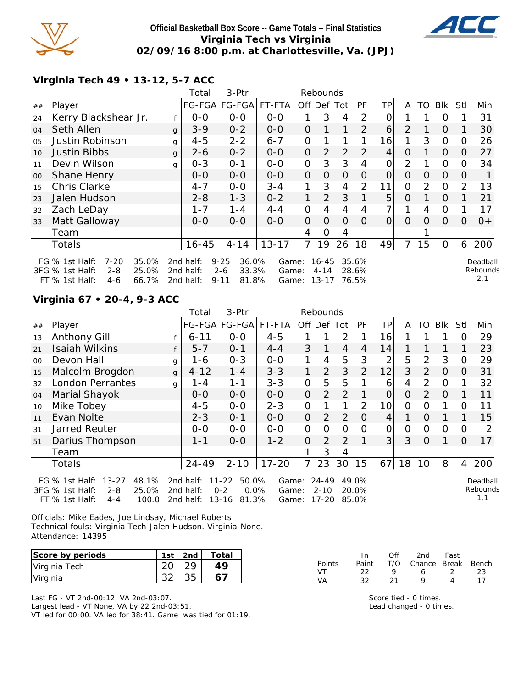

### **Official Basketball Box Score -- Game Totals -- Final Statistics Virginia Tech vs Virginia 02/09/16 8:00 p.m. at Charlottesville, Va. (JPJ)**



**Virginia Tech 49 • 13-12, 5-7 ACC**

|        |                                                                                         |                         | Total                               | 3-Ptr                                                      |                         |                | Rebounds                       |                |                         |                |                |                |             |                |                             |
|--------|-----------------------------------------------------------------------------------------|-------------------------|-------------------------------------|------------------------------------------------------------|-------------------------|----------------|--------------------------------|----------------|-------------------------|----------------|----------------|----------------|-------------|----------------|-----------------------------|
| ##     | Player                                                                                  |                         |                                     | FG-FGA FG-FGA                                              | FT-FTA                  |                |                                | Off Def Tot    | <b>PF</b>               | TP             | A              |                | TO Blk      | Stll           | Min                         |
| 24     | Kerry Blackshear Jr.                                                                    |                         | $0-0$                               | $0 - 0$                                                    | $0-0$                   |                | 3                              | 4              | 2                       | 0              |                |                | 0           |                | 31                          |
| 04     | Seth Allen                                                                              | g                       | $3 - 9$                             | $0 - 2$                                                    | $0-0$                   | O              | $\mathbf{1}$                   | 1 <sub>1</sub> | $\overline{2}$          | 6              | $\overline{2}$ |                | $\Omega$    |                | 30                          |
| 05     | Justin Robinson                                                                         | g                       | $4 - 5$                             | $2 - 2$                                                    | $6 - 7$                 | 0              |                                |                |                         | 16             |                | 3              | 0           | Ω              | 26                          |
| 10     | <b>Justin Bibbs</b>                                                                     | g                       | $2 - 6$                             | $0 - 2$                                                    | $0 - 0$                 | $\mathbf{O}$   | $\overline{2}$                 | $\overline{2}$ | $\overline{2}$          | 4              | $\Omega$       |                | $\Omega$    | 0              | 27                          |
| 11     | Devin Wilson                                                                            | g                       | $0 - 3$                             | $O - 1$                                                    | $0-0$                   | $\mathbf 0$    | 3                              | 3              | 4                       | 0              | 2              |                | 0           | $\Omega$       | 34                          |
| $00\,$ | Shane Henry                                                                             |                         | $O-O$                               | $0 - 0$                                                    | $0 - 0$                 | $\mathbf{O}$   | 0                              | 0              | 0                       | $\Omega$       | $\Omega$       | $\Omega$       | $\Omega$    | 0              |                             |
| 15     | <b>Chris Clarke</b>                                                                     |                         | $4 - 7$                             | $0-0$                                                      | $3 - 4$                 | 1              | 3                              | 4              | 2                       | 11             | 0              | $\overline{2}$ | $\Omega$    | 2              | 13                          |
| 23     | Jalen Hudson                                                                            |                         | $2 - 8$                             | $1 - 3$                                                    | $0 - 2$                 | 1              | 2                              | 3 <sup>1</sup> |                         | 5              | 0              |                | $\Omega$    |                | 21                          |
| 32     | Zach LeDay                                                                              |                         | $1 - 7$                             | $1 - 4$                                                    | $4 - 4$                 | $\overline{O}$ | 4                              | 4              | 4                       | $\overline{7}$ |                | 4              | $\mathbf 0$ |                | 17                          |
| 33     | Matt Galloway                                                                           |                         | $0 - 0$                             | $0 - 0$                                                    | $0-0$                   | O              | $\Omega$                       | 0              | $\Omega$                | $\Omega$       | $\Omega$       | $\Omega$       | $\Omega$    | $\Omega$       | $0+$                        |
|        | Team                                                                                    |                         |                                     |                                                            |                         | 4              | 0                              | 4              |                         |                |                |                |             |                |                             |
|        | Totals                                                                                  |                         | $16 - 45$                           | $4 - 14$                                                   | $13 - 17$               | 7              | 19                             | 26             | 18                      | 49             | 7              | 15             | $\mathbf 0$ | 6 <sup>1</sup> | 200                         |
|        | $7 - 20$<br>FG $%$ 1st Half:<br>3FG % 1st Half:<br>$2 - 8$<br>$FT$ % 1st Half:<br>$4-6$ | 35.0%<br>25.0%<br>66.7% | 2nd half:<br>2nd half:<br>2nd half: | $9 - 25$<br>36.0%<br>33.3%<br>$2 - 6$<br>$9 - 11$<br>81.8% | Game:<br>Game:<br>Game: |                | 16-45<br>$4 - 14$<br>$13 - 17$ |                | 35.6%<br>28.6%<br>76.5% |                |                |                |             |                | Deadball<br>Rebounds<br>2,1 |

### **Virginia 67 • 20-4, 9-3 ACC**

|        |                                                                                                                 |              | Total                               | 3-Ptr                                                       |                         |                | Rebounds                   |                 |                         |                |                |                |                |          |                             |
|--------|-----------------------------------------------------------------------------------------------------------------|--------------|-------------------------------------|-------------------------------------------------------------|-------------------------|----------------|----------------------------|-----------------|-------------------------|----------------|----------------|----------------|----------------|----------|-----------------------------|
| $\#\#$ | Player                                                                                                          |              |                                     | FG-FGA FG-FGA FT-FTA                                        |                         | Off Def Tot    |                            |                 | PF                      | ТP             | A              | TO             | Blk            | Stll     | Min                         |
| 13     | Anthony Gill                                                                                                    |              | $6 - 11$                            | $0-0$                                                       | $4 - 5$                 |                |                            | $\overline{2}$  |                         | 16             |                |                |                |          | 29                          |
| 21     | Isaiah Wilkins                                                                                                  |              | $5 - 7$                             | $0 - 1$                                                     | $4 - 4$                 | 3              |                            | 4               | 4                       | 14             |                |                |                |          | 23                          |
| 00     | Devon Hall                                                                                                      | $\mathbf{q}$ | 1-6                                 | $0 - 3$                                                     | $0-0$                   |                | 4                          | 5               | 3                       | $\overline{2}$ | 5              | $\overline{2}$ | 3              | O        | 29                          |
| 15     | Malcolm Brogdon                                                                                                 | $\mathbf{q}$ | $4 - 12$                            | $1 - 4$                                                     | $3 - 3$                 | 1              | 2                          | 3               | $\overline{2}$          | 12             | 3              | 2              | $\overline{0}$ | $\Omega$ | 31                          |
| 32     | <b>London Perrantes</b>                                                                                         | g            | $1 - 4$                             | 1-1                                                         | $3 - 3$                 | 0              | 5                          | 5               |                         | 6              | 4              | 2              | $\Omega$       |          | 32                          |
| 04     | Marial Shayok                                                                                                   |              | $0 - 0$                             | $0 - 0$                                                     | $0 - 0$                 | O              | 2                          | $\overline{2}$  |                         | $\overline{O}$ | $\Omega$       | $\mathcal{P}$  | $\overline{0}$ |          | 11                          |
| 10     | Mike Tobey                                                                                                      |              | $4 - 5$                             | $0-0$                                                       | $2 - 3$                 | 0              |                            | 1               | $\overline{2}$          | 10             | $\overline{O}$ | $\Omega$       |                | O        | 11                          |
| 11     | Evan Nolte                                                                                                      |              | $2 - 3$                             | $0 - 1$                                                     | $0 - 0$                 | 0              | 2                          | $\overline{2}$  | $\Omega$                | 4              |                | $\Omega$       |                |          | 15                          |
| 31     | Jarred Reuter                                                                                                   |              | $0 - 0$                             | $0 - 0$                                                     | $0 - 0$                 | $\overline{O}$ | 0                          | 0               | $\Omega$                | 0              | $\overline{0}$ | $\overline{0}$ | $\overline{0}$ | $\Omega$ | 2                           |
| 51     | Darius Thompson                                                                                                 |              | 1-1                                 | $0 - 0$                                                     | $1 - 2$                 | $\overline{O}$ | 2                          | $\overline{2}$  |                         | 3 <sup>1</sup> | 3              | $\Omega$       |                | $\Omega$ | 17                          |
|        | Team                                                                                                            |              |                                     |                                                             |                         |                | 3                          | 4               |                         |                |                |                |                |          |                             |
|        | Totals                                                                                                          |              | 24-49                               | $2 - 10$                                                    | $17 - 20$               |                | 23                         | 30 <sup>l</sup> | 15                      | 67             | 18             | 10             | 8              | 4        | 200                         |
|        | $13 - 27$<br>48.1%<br>FG $%$ 1st Half:<br>3FG % 1st Half:<br>25.0%<br>$2 - 8$<br>FT % 1st Half:<br>100.0<br>4-4 |              | 2nd half:<br>2nd half:<br>2nd half: | $11 - 22$<br>50.0%<br>$0 - 2$<br>0.0%<br>81.3%<br>$13 - 16$ | Game:<br>Game:<br>Game: |                | 24-49<br>$2 - 10$<br>17-20 |                 | 49.0%<br>20.0%<br>85.0% |                |                |                |                |          | Deadball<br>Rebounds<br>1,1 |

Officials: Mike Eades, Joe Lindsay, Michael Roberts Technical fouls: Virginia Tech-Jalen Hudson. Virginia-None. Attendance: 14395

| Score by periods | 1st $\vert$ 2nd | <b>Total</b> |
|------------------|-----------------|--------------|
| Virginia Tech    |                 | 49           |
| Virginia         | つに              |              |

Last FG - VT 2nd-00:12, VA 2nd-03:07.

Largest lead - VT None, VA by 22 2nd-03:51.

VT led for 00:00. VA led for 38:41. Game was tied for 01:19.

|               | In.   | ∩ff | 2nd                    | Fast |      |
|---------------|-------|-----|------------------------|------|------|
| <b>Points</b> | Paint |     | T/O Chance Break Bench |      |      |
| VT.           | フフ    | Q   | 6.                     | -2.  | -23. |
| <b>VA</b>     | 32.   | -21 | Q                      | Λ    | 17   |

Score tied - 0 times. Lead changed - 0 times.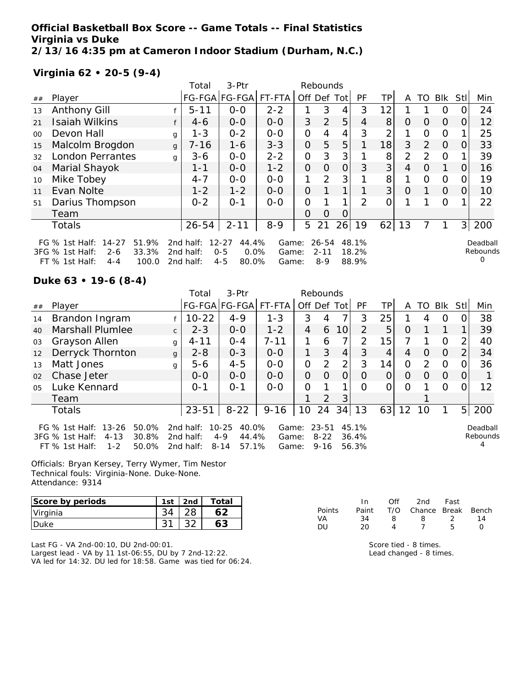**Official Basketball Box Score -- Game Totals -- Final Statistics Virginia vs Duke 2/13/16 4:35 pm at Cameron Indoor Stadium (Durham, N.C.)**

**Virginia 62 • 20-5 (9-4)**

|         |                                                                               |   | Total                  | 3-Ptr                                 |                |                | Rebounds              |                |                |                |                |               |          |                |                           |
|---------|-------------------------------------------------------------------------------|---|------------------------|---------------------------------------|----------------|----------------|-----------------------|----------------|----------------|----------------|----------------|---------------|----------|----------------|---------------------------|
| ##      | Player                                                                        |   |                        | FG-FGA FG-FGA                         | FT-FTA         | Off            | Def                   | Tot            | PF             | ТP             | A              | TO            | Blk      | Stl            | Min                       |
| 13      | <b>Anthony Gill</b>                                                           |   | $5 - 11$               | $0 - 0$                               | $2 - 2$        |                | 3                     | 4              | 3              | 12             |                |               | 0        |                | 24                        |
| 21      | <b>Isaiah Wilkins</b>                                                         |   | $4-6$                  | $0 - 0$                               | $0 - 0$        | 3              | 2                     | 5              | 4              | 8              | $\Omega$       | $\Omega$      | $\Omega$ | 0              | 12                        |
| $00 \,$ | Devon Hall                                                                    | g | $1 - 3$                | $0 - 2$                               | $0 - 0$        | 0              | 4                     | 4              | 3              | $\overline{2}$ | 1              | $\Omega$      | $\Omega$ |                | 25                        |
| 15      | Malcolm Brogdon                                                               | g | $7 - 16$               | $1 - 6$                               | $3 - 3$        | $\mathbf{O}$   | 5                     | 5              |                | 18             | 3              | 2             | $\Omega$ | 0              | 33                        |
| 32      | <b>London Perrantes</b>                                                       | g | $3 - 6$                | $O-O$                                 | $2 - 2$        | $\overline{0}$ | 3                     | 3 <sub>l</sub> |                | 8              | $\overline{2}$ | $\mathcal{P}$ | $\Omega$ |                | 39                        |
| 04      | Marial Shayok                                                                 |   | $1 - 1$                | $0 - 0$                               | $1 - 2$        | $\Omega$       | O                     | 0              | 3              | 3 <sup>1</sup> | 4              | $\Omega$      | 1        | 0              | 16                        |
| 10      | Mike Tobey                                                                    |   | $4 - 7$                | $0-0$                                 | $0 - 0$        | 1              | 2                     | 3              |                | 8              |                | 0             | 0        |                | 19                        |
| 11      | Evan Nolte                                                                    |   | $1 - 2$                | $1 - 2$                               | $0 - 0$        | $\overline{O}$ |                       |                |                | 3 <sup>1</sup> | $\Omega$       |               | $\Omega$ | 0              | 10                        |
| 51      | Darius Thompson                                                               |   | $0 - 2$                | $O - 1$                               | $0-0$          | O              |                       | 1              | $\mathcal{P}$  | 0              |                |               | $\Omega$ |                | 22                        |
|         | Team                                                                          |   |                        |                                       |                | O              | O                     | 0              |                |                |                |               |          |                |                           |
|         | Totals                                                                        |   | $26 - 54$              | $2 - 11$                              | $8 - 9$        | 5              | 21                    | 26             | 19             | 62             | 13             |               |          | 3 <sup>1</sup> | 200                       |
|         | $14 - 27$<br>51.9%<br>FG $%$ 1st Half:<br>3FG % 1st Half:<br>33.3%<br>$2 - 6$ |   | 2nd half:<br>2nd half: | $12 - 27$<br>44.4%<br>0.0%<br>$0 - 5$ | Game:<br>Game: |                | $26 - 54$<br>$2 - 11$ |                | 48.1%<br>18.2% |                |                |               |          |                | Deadball<br>Rebounds<br>0 |
|         | 100.0<br>FT % 1st Half:<br>$4 - 4$                                            |   | 2nd half:              | $4 - 5$<br>80.0%                      | Game:          |                | $8-9$                 |                | 88.9%          |                |                |               |          |                |                           |

**Duke 63 • 19-6 (8-4)**

|                |                                                                                                                |              | Total                               | $3-$ Ptr                                                    |                         |              | Rebounds                      |             |                         |          |          |               |     |                |                      |
|----------------|----------------------------------------------------------------------------------------------------------------|--------------|-------------------------------------|-------------------------------------------------------------|-------------------------|--------------|-------------------------------|-------------|-------------------------|----------|----------|---------------|-----|----------------|----------------------|
| ##             | Player                                                                                                         |              |                                     | FG-FGA FG-FGA FT-FTA                                        |                         |              |                               | Off Def Tot | <b>PF</b>               | TP.      | A        | TO I          | Blk | Stll           | Min                  |
| 14             | Brandon Ingram                                                                                                 |              | $10 - 22$                           | $4 - 9$                                                     | $1 - 3$                 | 3            | 4                             | 7           | 3                       | 25       |          | 4             | O   |                | 38                   |
| 40             | <b>Marshall Plumlee</b>                                                                                        | $\mathsf{C}$ | $2 - 3$                             | $O-O$                                                       | $1 - 2$                 | 4            | 6                             | 10          | 2                       | 5        | O        |               |     |                | 39                   |
| 03             | Grayson Allen                                                                                                  | g            | $4 - 11$                            | $0 - 4$                                                     | $7 - 11$                |              | 6                             | 7           | 2                       | 15       |          |               | O   | 2              | 40                   |
| 12             | Derryck Thornton                                                                                               | $\mathbf{q}$ | $2 - 8$                             | $0 - 3$                                                     | $0 - 0$                 | 1            | 3                             | 4           | 3                       | 4        | 4        | O             | 0   | $\overline{2}$ | 34                   |
| 13             | Matt Jones                                                                                                     | g            | $5 - 6$                             | $4 - 5$                                                     | $0 - 0$                 | $\mathbf{O}$ | 2                             | 2           | 3                       | 14       | 0        | $\mathcal{P}$ | 0   | 0              | 36                   |
| 02             | Chase Jeter                                                                                                    |              | $O-O$                               | $0 - 0$                                                     | $0 - 0$                 | 0            | $\Omega$                      | 0           | $\Omega$                | 0        | $\Omega$ | O             | 0   | O              |                      |
| 0 <sub>5</sub> | Luke Kennard                                                                                                   |              | $O - 1$                             | $O - 1$                                                     | $0 - 0$                 | 0            |                               |             | $\Omega$                | $\Omega$ | $\Omega$ |               | 0   | 0              | 12                   |
|                | Team                                                                                                           |              |                                     |                                                             |                         |              | $\mathcal{P}$                 | 3           |                         |          |          |               |     |                |                      |
|                | <b>Totals</b>                                                                                                  |              | $23 - 51$                           | $8 - 22$                                                    | $9 - 16$                | 10           | 24                            | 34          | 13                      | 63       | 12       | 10            |     | 5 <sup>1</sup> | 200                  |
|                | 50.0%<br>FG % 1st Half: 13-26<br>30.8%<br>3FG % 1st Half:<br>$4 - 13$<br>$1 - 2$<br>50.0%<br>$FT \%$ 1st Half: |              | 2nd half:<br>2nd half:<br>2nd half: | $10 - 25$<br>40.0%<br>$4 - 9$<br>44.4%<br>$8 - 14$<br>57.1% | Game:<br>Game:<br>Game: |              | 23-51<br>$8 - 22$<br>$9 - 16$ |             | 45.1%<br>36.4%<br>56.3% |          |          |               |     |                | Deadball<br>Rebounds |

Officials: Bryan Kersey, Terry Wymer, Tim Nestor Technical fouls: Virginia-None. Duke-None. Attendance: 9314

| Score by periods | 1st | 2nd | Total |
|------------------|-----|-----|-------|
| Virginia         |     |     |       |
| 'Duke            |     |     |       |

Last FG - VA 2nd-00:10, DU 2nd-00:01. Largest lead - VA by 11 1st-06:55, DU by 7 2nd-12:22. VA led for 14:32. DU led for 18:58. Game was tied for 06:24.

|               | In.   | ∩ff | 2nd                    | Fast          |    |
|---------------|-------|-----|------------------------|---------------|----|
| <b>Points</b> | Paint |     | T/O Chance Break Bench |               |    |
| VA            | 34    | я   | 8.                     | $\mathcal{L}$ | 14 |
| DU            | 20    |     |                        | Б.            | O  |

Score tied - 8 times. Lead changed - 8 times.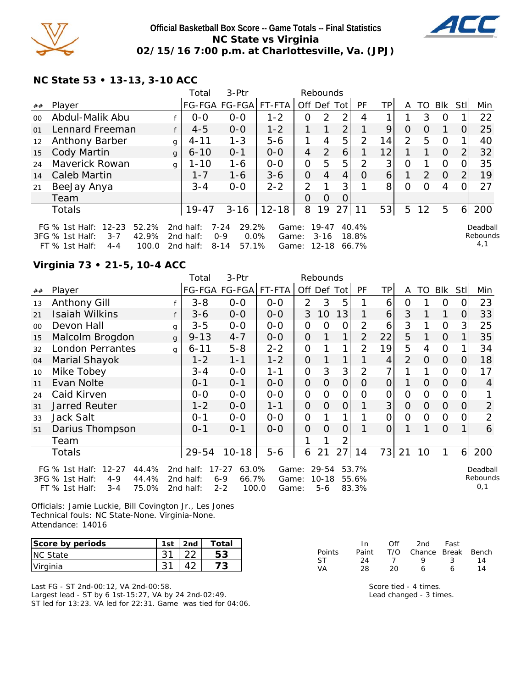

### **Official Basketball Box Score -- Game Totals -- Final Statistics NC State vs Virginia 02/15/16 7:00 p.m. at Charlottesville, Va. (JPJ)**



**NC State 53 • 13-13, 3-10 ACC**

|         |                                                                                                                   |              | Total                               | 3-Ptr                                                        |                         |             | Rebounds                           |                |                         |    |                |          |                |          |                              |
|---------|-------------------------------------------------------------------------------------------------------------------|--------------|-------------------------------------|--------------------------------------------------------------|-------------------------|-------------|------------------------------------|----------------|-------------------------|----|----------------|----------|----------------|----------|------------------------------|
| ##      | Player                                                                                                            |              |                                     | FG-FGA FG-FGA FT-FTA                                         |                         | Off Def Tot |                                    |                | PF                      | ΤP | A              |          | TO Blk Stl     |          | Min                          |
| $00 \,$ | Abdul-Malik Abu                                                                                                   |              | $0 - 0$                             | $0 - 0$                                                      | $1 - 2$                 | O           | 2                                  | 2              | 4                       |    |                | 3        | 0              |          | 22                           |
| 01      | Lennard Freeman                                                                                                   | f            | $4 - 5$                             | $0 - 0$                                                      | $1 - 2$                 | 1           | 1                                  | $\overline{2}$ |                         | 9  | 0              | $\Omega$ |                | $\Omega$ | 25                           |
| 12      | <b>Anthony Barber</b>                                                                                             | g            | $4 - 11$                            | $1 - 3$                                                      | $5-6$                   |             | 4                                  | 5              | $\mathcal{P}$           | 14 | $\overline{2}$ | 5        | 0              |          | 40                           |
| 15      | Cody Martin                                                                                                       | $\mathbf{q}$ | $6 - 10$                            | $0 - 1$                                                      | $O-O$                   | 4           | 2                                  | 6              |                         | 12 |                |          | $\overline{0}$ | 2        | 32                           |
| 24      | Maverick Rowan                                                                                                    | q            | $1 - 10$                            | $1 - 6$                                                      | $0 - 0$                 | 0           | 5                                  | 5              | $\mathcal{P}$           | 3  | $\Omega$       |          | $\Omega$       | $\Omega$ | 35                           |
| 14      | Caleb Martin                                                                                                      |              | $1 - 7$                             | 1-6                                                          | $3 - 6$                 | $\Omega$    | 4                                  | 4              | $\Omega$                | 6  |                | 2        | $\Omega$       | 2        | 19                           |
| 21      | BeeJay Anya                                                                                                       |              | $3 - 4$                             | $0 - 0$                                                      | $2 - 2$                 | 2           |                                    | 3 <sub>l</sub> |                         | 8  | 0              | 0        | 4              |          | 27                           |
|         | Team                                                                                                              |              |                                     |                                                              |                         | 0           | $\Omega$                           | $\Omega$       |                         |    |                |          |                |          |                              |
|         | Totals                                                                                                            |              | $19 - 47$                           | $3 - 16$                                                     | $12 - 18$               | 8           | 19                                 | 27             | 11                      | 53 | 5              | 12       | 5              | 6        | 200                          |
|         | $12 - 23$<br>52.2%<br>FG $%$ 1st Half:<br>42.9%<br>3FG % 1st Half:<br>$3 - 7$<br>100.0<br>$FT$ % 1st Half:<br>4-4 |              | 2nd half:<br>2nd half:<br>2nd half: | $7 - 24$<br>29.2%<br>$0.0\%$<br>$0 - 9$<br>57.1%<br>$8 - 14$ | Game:<br>Game:<br>Game: |             | $19 - 47$<br>$3 - 16$<br>$12 - 18$ |                | 40.4%<br>18.8%<br>66.7% |    |                |          |                |          | Deadball<br>Rebounds<br>4, 1 |

# **Virginia 73 • 21-5, 10-4 ACC**

|    |                                                                                                                     |   | Total                               | 3-Ptr                                                      |                         |                | Rebounds                      |                |                         |                 |                |          |                |     |                             |
|----|---------------------------------------------------------------------------------------------------------------------|---|-------------------------------------|------------------------------------------------------------|-------------------------|----------------|-------------------------------|----------------|-------------------------|-----------------|----------------|----------|----------------|-----|-----------------------------|
| ## | Player                                                                                                              |   |                                     | FG-FGA FG-FGA  FT-FTA                                      |                         |                | Off Def                       | Tot            | PF                      | TP              | A              | TO       | <b>Blk</b>     | Stl | Min                         |
| 13 | <b>Anthony Gill</b>                                                                                                 |   | $3 - 8$                             | $0-0$                                                      | $0-0$                   | $\overline{2}$ | 3                             | 5              |                         | 6               | O              |          | O              | ( ) | 23                          |
| 21 | Isaiah Wilkins                                                                                                      | f | $3 - 6$                             | $0-0$                                                      | $0-0$                   | 3              | 10                            | 13             |                         | $\vert 6 \vert$ | 3              |          | 1              | 0   | 33                          |
| 00 | Devon Hall                                                                                                          | g | $3 - 5$                             | $0-0$                                                      | $0 - 0$                 | 0              | 0                             | 0              | $\overline{2}$          | 6               | 3              |          | $\mathbf 0$    | 3   | 25                          |
| 15 | Malcolm Brogdon                                                                                                     | g | $9 - 13$                            | $4 - 7$                                                    | $0-0$                   | $\mathbf{O}$   |                               | 1              | $\overline{2}$          | 22              | 5              |          | $\Omega$       |     | 35                          |
| 32 | <b>London Perrantes</b>                                                                                             | g | $6 - 11$                            | $5 - 8$                                                    | $2 - 2$                 | 0              |                               | 1              | $\overline{2}$          | 19              | 5              | 4        | $\mathbf 0$    |     | 34                          |
| 04 | Marial Shayok                                                                                                       |   | $1 - 2$                             | $1 - 1$                                                    | $1 - 2$                 | $\mathbf{O}$   |                               | 1              |                         | 4               | $\overline{2}$ | $\Omega$ | $\Omega$       | O   | 18                          |
| 10 | Mike Tobey                                                                                                          |   | $3 - 4$                             | $0-0$                                                      | $1 - 1$                 | 0              | 3                             | 3              | $\overline{2}$          | 7               |                |          | $\overline{O}$ |     | 17                          |
| 11 | Evan Nolte                                                                                                          |   | $0 - 1$                             | $0 - 1$                                                    | $0 - 0$                 | $\mathbf{O}$   | $\Omega$                      | $\overline{O}$ | O                       | 0               | 1              | $\Omega$ | $\Omega$       | 0   | 4                           |
| 24 | Caid Kirven                                                                                                         |   | $0-0$                               | $0 - 0$                                                    | $0-0$                   | 0              | $\Omega$                      | 0              | $\overline{O}$          | 0               | $\Omega$       | 0        | $\Omega$       | Ω   |                             |
| 31 | <b>Jarred Reuter</b>                                                                                                |   | $1 - 2$                             | $0 - 0$                                                    | $1 - 1$                 | $\mathbf{O}$   | $\Omega$                      | $\overline{O}$ | 1                       | 3               | 0              | $\Omega$ | $\Omega$       | 0   | $\overline{2}$              |
| 33 | Jack Salt                                                                                                           |   | $0 - 1$                             | $O-O$                                                      | $0-0$                   | $\mathbf 0$    |                               | 1              | 1                       | 0               | $\Omega$       | $\Omega$ | $\Omega$       | Ω   | $\overline{2}$              |
| 51 | Darius Thompson                                                                                                     |   | $0 - 1$                             | $0 - 1$                                                    | $O-O$                   | $\overline{O}$ | O                             | $\overline{O}$ |                         | $\overline{O}$  |                |          | $\Omega$       | 1   | 6                           |
|    | Team                                                                                                                |   |                                     |                                                            |                         |                |                               | 2              |                         |                 |                |          |                |     |                             |
|    | Totals                                                                                                              |   | $29 - 54$                           | $10 - 18$                                                  | $5-6$                   | 6              | 21                            | 27             | 14                      | 73              | 21             | 10       | 1              |     | 6 200                       |
|    | $12 - 27$<br>44.4%<br>FG $%$ 1st Half:<br>44.4%<br>3FG % 1st Half:<br>$4 - 9$<br>FT % 1st Half:<br>75.0%<br>$3 - 4$ |   | 2nd half:<br>2nd half:<br>2nd half: | $17 - 27$<br>63.0%<br>$6 - 9$<br>66.7%<br>$2 - 2$<br>100.0 | Game:<br>Game:<br>Game: |                | 29-54<br>$10 - 18$<br>$5 - 6$ |                | 53.7%<br>55.6%<br>83.3% |                 |                |          |                |     | Deadball<br>Rebounds<br>0,1 |

Officials: Jamie Luckie, Bill Covington Jr., Les Jones Technical fouls: NC State-None. Virginia-None. Attendance: 14016

| Score by periods | 1st | 2nd | Total |
|------------------|-----|-----|-------|
| <b>INC State</b> |     |     | 53    |
| <u>IVirginia</u> |     |     |       |

Last FG - ST 2nd-00:12, VA 2nd-00:58. Largest lead - ST by 6 1st-15:27, VA by 24 2nd-02:49. ST led for 13:23. VA led for 22:31. Game was tied for 04:06.

|               | In.   | Off | 2nd                    | Fast |    |
|---------------|-------|-----|------------------------|------|----|
| <b>Points</b> | Paint |     | T/O Chance Break Bench |      |    |
| -ST           | 24    |     | $\mathbf{Q}$           | ્ર   | 14 |
| VА            | 28    | 20  | ь                      |      | 14 |

Score tied - 4 times. Lead changed - 3 times.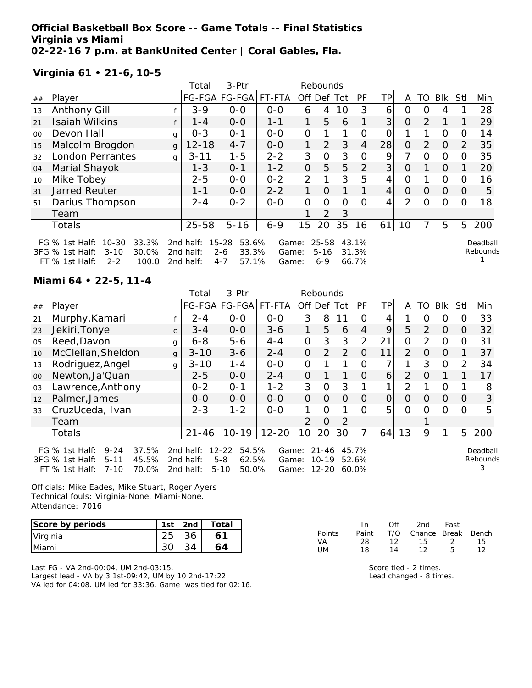**Official Basketball Box Score -- Game Totals -- Final Statistics Virginia vs Miami 02-22-16 7 p.m. at BankUnited Center | Coral Gables, Fla.**

**Virginia 61 • 21-6, 10-5**

|         |                                                                                                                      |   | Total                               | 3-Ptr                                                      |                         |                | Rebounds                         |                 |                         |                |                |               |              |          |                      |
|---------|----------------------------------------------------------------------------------------------------------------------|---|-------------------------------------|------------------------------------------------------------|-------------------------|----------------|----------------------------------|-----------------|-------------------------|----------------|----------------|---------------|--------------|----------|----------------------|
| ##      | Player                                                                                                               |   |                                     | FG-FGA FG-FGA                                              | FT-FTA                  | Off            | Def                              | Tot             | PF                      | TP             | A              | TO            | Blk          | Stl      | Min                  |
| 13      | <b>Anthony Gill</b>                                                                                                  |   | $3 - 9$                             | $0 - 0$                                                    | $0 - 0$                 | 6              | 4                                | 10 <sup>1</sup> | 3                       | 6              | Ω              | 0             | 4            |          | 28                   |
| 21      | <b>Isaiah Wilkins</b>                                                                                                |   | $1 - 4$                             | $0 - 0$                                                    | $1 - 1$                 | 1              | 5                                | 6               |                         | 3 <sup>1</sup> | $\Omega$       | $\mathcal{P}$ | $\mathbf{1}$ |          | 29                   |
| $00 \,$ | Devon Hall                                                                                                           | g | $0 - 3$                             | $O - 1$                                                    | $0-0$                   | $\Omega$       | 1                                | 1               | 0                       | 0              |                |               | 0            | O        | 14                   |
| 15      | Malcolm Brogdon                                                                                                      | q | $12 - 18$                           | $4 - 7$                                                    | $0-0$                   | 1              | 2                                | 3               | 4                       | 28             | $\Omega$       | 2             | $\Omega$     | 2        | 35                   |
| 32      | <b>London Perrantes</b>                                                                                              | g | $3 - 11$                            | $1 - 5$                                                    | $2 - 2$                 | 3              | $\Omega$                         | 3 <sup>1</sup>  | $\Omega$                | 9              | 7              | $\Omega$      | $\Omega$     | $\Omega$ | 35                   |
| 04      | Marial Shayok                                                                                                        |   | $1 - 3$                             | $O - 1$                                                    | $1 - 2$                 | O              | 5                                | 5               | $\overline{2}$          | 3 <sup>1</sup> | $\Omega$       |               | $\Omega$     |          | 20                   |
| 10      | Mike Tobey                                                                                                           |   | $2 - 5$                             | $0 - 0$                                                    | $0 - 2$                 | 2              |                                  | 3               | 5                       | 4              | 0              |               | 0            |          | 16                   |
| 31      | Jarred Reuter                                                                                                        |   | $1 - 1$                             | $0-0$                                                      | $2 - 2$                 | 1              | O                                |                 |                         | 4              | $\Omega$       | $\Omega$      | $\Omega$     | 0        | 5                    |
| 51      | Darius Thompson                                                                                                      |   | $2 - 4$                             | $0 - 2$                                                    | $0 - 0$                 | $\overline{O}$ | $\Omega$                         | Ω               | O                       | 4              | $\overline{2}$ | $\Omega$      | 0            |          | 18                   |
|         | Team                                                                                                                 |   |                                     |                                                            |                         |                | 2                                | 3               |                         |                |                |               |              |          |                      |
|         | Totals                                                                                                               |   | $25 - 58$                           | $5 - 16$                                                   | $6 - 9$                 | 15             | 20                               | 35              | 16                      | 61 l           | 10             |               | 5            | 5        | 200                  |
|         | $10 - 30$<br>33.3%<br>FG $%$ 1st Half:<br>3FG % 1st Half:<br>30.0%<br>$3 - 10$<br>100.0<br>FT % 1st Half:<br>$2 - 2$ |   | 2nd half:<br>2nd half:<br>2nd half: | $15 - 28$<br>53.6%<br>$2 - 6$<br>33.3%<br>57.1%<br>$4 - 7$ | Game:<br>Game:<br>Game: |                | $25 - 58$<br>$5 - 16$<br>$6 - 9$ |                 | 43.1%<br>31.3%<br>66.7% |                |                |               |              |          | Deadball<br>Rebounds |
|         |                                                                                                                      |   |                                     |                                                            |                         |                |                                  |                 |                         |                |                |               |              |          |                      |

**Miami 64 • 22-5, 11-4**

|         |                                                                                                                         |              | Total                               | 3-Ptr                                                       |                         | Rebounds       |                                     |                |                         |                |          |                |          |                |                           |
|---------|-------------------------------------------------------------------------------------------------------------------------|--------------|-------------------------------------|-------------------------------------------------------------|-------------------------|----------------|-------------------------------------|----------------|-------------------------|----------------|----------|----------------|----------|----------------|---------------------------|
| ##      | Player                                                                                                                  |              |                                     | FG-FGA FG-FGA                                               | FT-FTA                  | Off            | Def                                 | Tot            | <b>PF</b>               | TP             | A        | TO             | Blk      | <b>Stl</b>     | Min                       |
| 21      | Murphy, Kamari                                                                                                          |              | $2 - 4$                             | $0-0$                                                       | $0-0$                   | 3              | 8                                   |                | O                       | 4              |          | O              | 0        | O              | 33                        |
| 23      | Jekiri, Tonye                                                                                                           | $\mathsf{C}$ | $3 - 4$                             | $0 - 0$                                                     | $3-6$                   | 1              | 5                                   | 6              | 4                       | 9              | 5        | $\overline{2}$ | $\Omega$ | O              | 32                        |
| 05      | Reed, Davon                                                                                                             | g            | $6 - 8$                             | $5 - 6$                                                     | $4 - 4$                 | $\mathbf{O}$   | 3                                   | 3              | $\overline{2}$          | 21             | $\Omega$ | 2              | 0        | 0              | 31                        |
| 10      | McClellan, Sheldon                                                                                                      | g            | $3 - 10$                            | $3 - 6$                                                     | $2 - 4$                 | $\mathbf{O}$   | 2                                   | $\overline{2}$ | O                       | 11             | 2        | 0              | 0        |                | 37                        |
| 13      | Rodriguez, Angel                                                                                                        | g            | $3 - 10$                            | $1 - 4$                                                     | $0 - 0$                 | 0              |                                     | 1              | $\Omega$                | 7              |          | 3              | O        | $\overline{2}$ | 34                        |
| $00 \,$ | Newton, Ja'Quan                                                                                                         |              | $2 - 5$                             | $0 - 0$                                                     | $2 - 4$                 | $\Omega$       |                                     | 1              | $\Omega$                | $\overline{6}$ | 2        | $\Omega$       | 1        |                | 17                        |
| 03      | Lawrence, Anthony                                                                                                       |              | $0 - 2$                             | $O - 1$                                                     | $1 - 2$                 | 3              | $\Omega$                            | 3              |                         |                | 2        |                | $\Omega$ |                | 8                         |
| 12      | Palmer, James                                                                                                           |              | $0 - 0$                             | $0 - 0$                                                     | $0 - 0$                 | $\mathbf{O}$   | $\Omega$                            | $\mathbf{O}$   | 0                       | $\Omega$       | 0        | 0              | 0        | O              | 3                         |
| 33      | CruzUceda, Ivan                                                                                                         |              | $2 - 3$                             | $1 - 2$                                                     | $0-0$                   | 1              | $\Omega$                            | 1              | $\Omega$                | 5              | $\Omega$ | Ω              | $\Omega$ | 0              | 5                         |
|         | Team                                                                                                                    |              |                                     |                                                             |                         | $\overline{2}$ | 0                                   |                |                         |                |          |                |          |                |                           |
|         | <b>Totals</b>                                                                                                           |              | $21 - 46$                           |                                                             | 10-19   12-20           | 10             | 20                                  | 30             | 7                       | 64             | 13       | 9              | 1        | 5 <sup>1</sup> | 200                       |
|         | $9 - 24$<br>37.5%<br>FG $%$ 1st Half:<br>3FG % 1st Half:<br>45.5%<br>$5 - 11$<br>$7 - 10$<br>70.0%<br>$FT \%$ 1st Half: |              | 2nd half:<br>2nd half:<br>2nd half: | $12 - 22$<br>54.5%<br>$5 - 8$<br>62.5%<br>50.0%<br>$5 - 10$ | Game:<br>Game:<br>Game: |                | $21 - 46$<br>$10 - 19$<br>$12 - 20$ |                | 45.7%<br>52.6%<br>60.0% |                |          |                |          |                | Deadball<br>Rebounds<br>3 |

Officials: Mike Eades, Mike Stuart, Roger Ayers Technical fouls: Virginia-None. Miami-None. Attendance: 7016

| Score by periods | 1st | 2nd | Total |
|------------------|-----|-----|-------|
| Virginia         |     |     |       |
| Miami            |     |     |       |

Last FG - VA 2nd-00:04, UM 2nd-03:15. Largest lead - VA by 3 1st-09:42, UM by 10 2nd-17:22. VA led for 04:08. UM led for 33:36. Game was tied for 02:16.

|        | In.   | ∩ff | 2nd                    | Fast |     |
|--------|-------|-----|------------------------|------|-----|
| Points | Paint |     | T/O Chance Break Bench |      |     |
| VA     | 28.   | 12. | 15.                    | -2.  | 15. |
| UM     | 18    | 14  | 12                     | Б.   | 12  |

Score tied - 2 times. Lead changed - 8 times.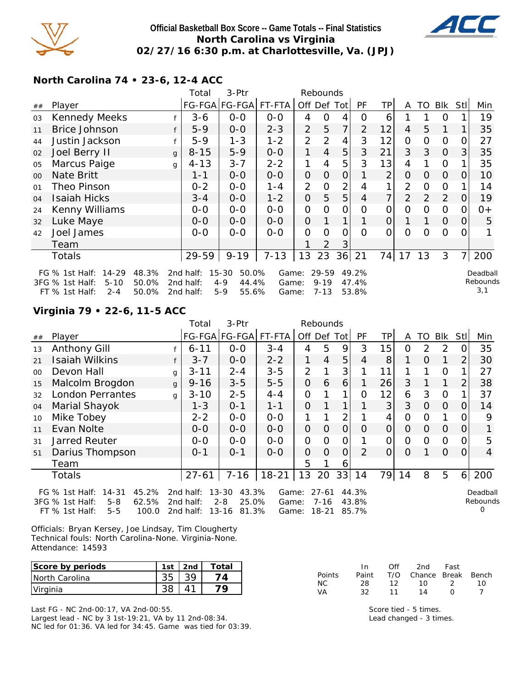

### **Official Basketball Box Score -- Game Totals -- Final Statistics North Carolina vs Virginia 02/27/16 6:30 p.m. at Charlottesville, Va. (JPJ)**



**North Carolina 74 • 23-6, 12-4 ACC**

|        |                                                                                |              | Total                  | 3-Ptr                                  |                |                | Rebounds          |                |                |                |                |             |             |                |                    |
|--------|--------------------------------------------------------------------------------|--------------|------------------------|----------------------------------------|----------------|----------------|-------------------|----------------|----------------|----------------|----------------|-------------|-------------|----------------|--------------------|
| ##     | Player                                                                         |              |                        | FG-FGA FG-FGA                          | FT-FTA         |                | Off Def Tot       |                | <b>PF</b>      | TP.            | A              | TO          | Blk         | Stll           | Min                |
| 03     | <b>Kennedy Meeks</b>                                                           |              | $3 - 6$                | $0-0$                                  | $0-0$          | 4              | $\mathbf 0$       | 4              | 0              | 6              |                |             | O           |                | 19                 |
| 11     | <b>Brice Johnson</b>                                                           |              | $5-9$                  | $0-0$                                  | $2 - 3$        | $\overline{2}$ | 5                 | $\overline{7}$ | $\overline{2}$ | 12             | $\overline{4}$ | 5           | 1           |                | 35                 |
| 44     | Justin Jackson                                                                 |              | $5-9$                  | $1 - 3$                                | $1 - 2$        | $\overline{2}$ | 2                 | 4              | 3              | 12             | $\overline{O}$ | $\mathbf 0$ | 0           | 0              | 27                 |
| 02     | Joel Berry II                                                                  | $\mathbf{q}$ | $8 - 15$               | $5 - 9$                                | $O-O$          | 1              | $\overline{4}$    | 5              | 3              | 21             | 3              | 3           | $\Omega$    | $\mathbf{3}$   | 35                 |
| 05     | Marcus Paige                                                                   | g            | $4 - 13$               | $3 - 7$                                | $2 - 2$        | 1              | 4                 | 5              | 3              | 13             | 4              | 1           | 0           |                | 35                 |
| $00\,$ | <b>Nate Britt</b>                                                              |              | $1 - 1$                | $0-0$                                  | $O-O$          | $\mathbf 0$    | $\overline{O}$    | $\Omega$       | 1              | $\overline{2}$ | $\Omega$       | $\Omega$    | $\Omega$    | $\Omega$       | 10                 |
| 01     | Theo Pinson                                                                    |              | $0 - 2$                | $O-O$                                  | $1 - 4$        | $\overline{2}$ | $\Omega$          | $\overline{2}$ | $\overline{4}$ | 1              | 2              | $\mathbf 0$ | $\mathbf 0$ | 1              | 14                 |
| 04     | <b>Isaiah Hicks</b>                                                            |              | $3 - 4$                | $O-O$                                  | $1 - 2$        | $\mathbf{O}$   | 5                 | 5              | $\overline{4}$ | 7              | $\overline{2}$ | 2           | 2           | $\overline{0}$ | 19                 |
| 24     | Kenny Williams                                                                 |              | $0-0$                  | $O-O$                                  | $O-O$          | $\mathbf{O}$   | $\mathbf 0$       | 0              | $\Omega$       | 0              | O              | 0           | 0           | 0              | $0+$               |
| 32     | Luke Maye                                                                      |              | $0 - 0$                | $O-O$                                  | $O-O$          | $\Omega$       | $\mathbf{1}$      | $\mathbf{1}$   | $\mathbf{1}$   | $\overline{O}$ | 1              | 1           | $\Omega$    | $\overline{O}$ | 5                  |
| 42     | Joel James                                                                     |              | $0-0$                  | $0-0$                                  | $0-0$          | $\Omega$       | $\Omega$          | 0              | $\Omega$       | $\Omega$       | $\Omega$       | 0           | $\Omega$    | 0              |                    |
|        | Team                                                                           |              |                        |                                        |                | 1              | 2                 | 3              |                |                |                |             |             |                |                    |
|        | <b>Totals</b>                                                                  |              | $29 - 59$              | $9 - 19$                               | $7 - 13$       | 13             | 23                | $36$   21      |                |                | 74 17          | 13          | 3           | $\overline{7}$ | 200                |
|        | 48.3%<br>$14 - 29$<br>FG $%$ 1st Half:<br>50.0%<br>3FG % 1st Half:<br>$5 - 10$ |              | 2nd half:<br>2nd half: | $15 - 30$<br>50.0%<br>$4 - 9$<br>44.4% | Game:<br>Game: |                | 29-59<br>$9 - 19$ |                | 49.2%<br>47.4% |                |                |             |             |                | Deadbal<br>Rebound |

2nd half: 5-9 55.6%

Game: 7-13 53.8%

d. Rebounds 3,1

# **Virginia 79 • 22-6, 11-5 ACC**

FT  $%$  1st Half: 2-4

|        |                                                                                                                       |              | Total                                  | 3-Ptr                                                    |                         |                | Rebounds                   |                |                         |          |                |                |             |                |                           |
|--------|-----------------------------------------------------------------------------------------------------------------------|--------------|----------------------------------------|----------------------------------------------------------|-------------------------|----------------|----------------------------|----------------|-------------------------|----------|----------------|----------------|-------------|----------------|---------------------------|
| ##     | Player                                                                                                                |              |                                        | FG-FGA FG-FGA                                            | FT-FTA                  |                | Off Def Tot                |                | <b>PF</b>               | TPI      | A              | TO             | <b>BIK</b>  | Stll           | Min                       |
| 13     | Anthony Gill                                                                                                          |              | $6 - 11$                               | $0-0$                                                    | $3 - 4$                 | 4              | 5                          | 9              | 3                       | 15       | 0              | $\overline{2}$ | 2           |                | 35                        |
| 21     | <b>Isaiah Wilkins</b>                                                                                                 | f            | $3 - 7$                                | $0 - 0$                                                  | $2 - 2$                 | 1              | $\overline{4}$             | 5              | 4                       | 8        |                | $\Omega$       | 1           | 2              | 30                        |
| $00\,$ | Devon Hall                                                                                                            | $\mathbf{q}$ | $3 - 11$                               | $2 - 4$                                                  | $3 - 5$                 | $\overline{2}$ |                            | 3              |                         | 11       |                |                | 0           |                | 27                        |
| 15     | Malcolm Brogdon                                                                                                       | $\mathbf{g}$ | $9 - 16$                               | $3 - 5$                                                  | $5-5$                   | $\mathbf{O}$   | 6                          | 6              |                         | 26       | 3              |                | 1           | 2              | 38                        |
| 32     | <b>London Perrantes</b>                                                                                               | g            | $3 - 10$                               | $2 - 5$                                                  | $4 - 4$                 | 0              |                            | 1              | 0                       | 12       | 6              | 3              | $\mathbf 0$ |                | 37                        |
| 04     | Marial Shayok                                                                                                         |              | $1 - 3$                                | $O - 1$                                                  | $1 - 1$                 | $\Omega$       | 1                          | 1              | 1                       | 3        | 3              | $\Omega$       | $\Omega$    | 0              | 14                        |
| 10     | Mike Tobey                                                                                                            |              | $2 - 2$                                | $0-0$                                                    | $O-O$                   | 1              |                            | 2              |                         | 4        | $\overline{O}$ | O              |             |                | 9                         |
| 11     | Evan Nolte                                                                                                            |              | $O-O$                                  | $0-0$                                                    | $0 - 0$                 | $\mathbf{O}$   | $\overline{O}$             | $\overline{O}$ | 0                       | $\Omega$ | $\Omega$       | $\Omega$       | $\Omega$    | 0              |                           |
| 31     | Jarred Reuter                                                                                                         |              | $0 - 0$                                | $0 - 0$                                                  | $0-0$                   | $\mathbf 0$    | $\Omega$                   | 0              |                         | 0        | $\Omega$       | 0              | 0           | Ω              | 5                         |
| 51     | Darius Thompson                                                                                                       |              | 0-1                                    | $0 - 1$                                                  | $0 - 0$                 | $\mathbf{O}$   | $\Omega$                   | $\Omega$       | $\mathcal{P}$           | 0        | O              |                | $\Omega$    | $\Omega$       | 4                         |
|        | Team                                                                                                                  |              |                                        |                                                          |                         | 5              |                            | 6              |                         |          |                |                |             |                |                           |
|        | <b>Totals</b>                                                                                                         |              | $27 - 61$                              | $7 - 16$                                                 | $18 - 21$               | 13             | 20                         |                | 33 14                   |          | 79 14          | 8              | 5           | 6 <sup>1</sup> | 200                       |
|        | 45.2%<br>FG $%$ 1st Half:<br>$14 - 31$<br>3FG % 1st Half:<br>$5 - 8$<br>62.5%<br>$5 - 5$<br>100.0<br>$FT$ % 1st Half: |              | 2nd half:<br>2 $nd$ half:<br>2nd half: | 43.3%<br>$13 - 30$<br>$2 - 8$<br>25.0%<br>13-16<br>81.3% | Game:<br>Game:<br>Game: |                | $27 - 61$<br>7-16<br>18-21 |                | 44.3%<br>43.8%<br>85.7% |          |                |                |             |                | Deadball<br>Rebounds<br>Ω |

Officials: Bryan Kersey, Joe Lindsay, Tim Clougherty Technical fouls: North Carolina-None. Virginia-None. Attendance: 14593

| Score by periods | 1st | 2nd | Total |
|------------------|-----|-----|-------|
| INorth Carolina  |     |     | 1 Д   |
| Virginia         |     |     |       |

Last FG - NC 2nd-00:17, VA 2nd-00:55. Largest lead - NC by 3 1st-19:21, VA by 11 2nd-08:34. NC led for 01:36. VA led for 34:45. Game was tied for 03:39.

|        | In.   | Off | 2nd                    | Fast          |    |
|--------|-------|-----|------------------------|---------------|----|
| Points | Paint |     | T/O Chance Break Bench |               |    |
| NC.    | 28.   | 12. | 1 N                    | $\mathcal{L}$ | 10 |
| VA.    | 32.   | 11  | 14                     | n             |    |

Score tied - 5 times. Lead changed - 3 times.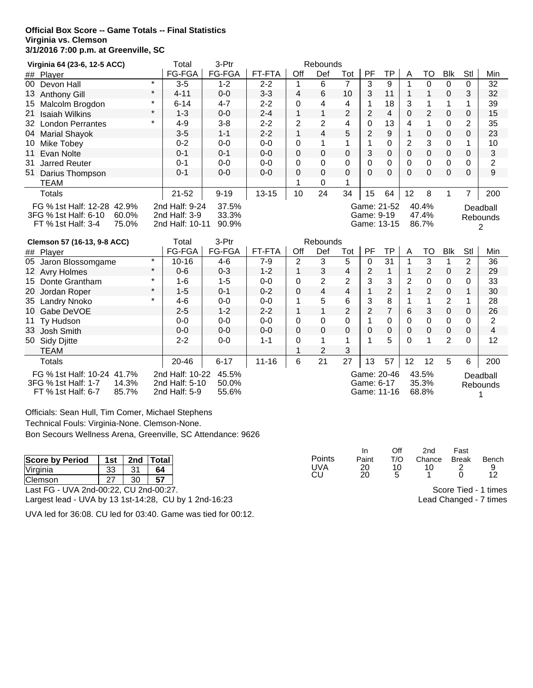#### **Official Box Score -- Game Totals -- Final Statistics Virginia vs. Clemson 3/1/2016 7:00 p.m. at Greenville, SC**

| Virginia 64 (23-6, 12-5 ACC)                                                                                                                                                                                            |         | Total     | 3-Ptr    |           |                | Rebounds        |                         |          |                |                           |                |              |                |     |
|-------------------------------------------------------------------------------------------------------------------------------------------------------------------------------------------------------------------------|---------|-----------|----------|-----------|----------------|-----------------|-------------------------|----------|----------------|---------------------------|----------------|--------------|----------------|-----|
| ## Player                                                                                                                                                                                                               |         | FG-FGA    | FG-FGA   | FT-FTA    | Off            | Def             | Tot                     | PF       | TP             | A                         | TO             | <b>Blk</b>   | Stl            | Min |
| $00-1$<br>Devon Hall                                                                                                                                                                                                    | $\star$ | $3 - 5$   | $1 - 2$  | $2 - 2$   | 1              | 6               | 7                       | 3        | 9              | 1                         | 0              | $\Omega$     | 0              | 32  |
| 13<br><b>Anthony Gill</b>                                                                                                                                                                                               | $\star$ | $4 - 11$  | $0 - 0$  | $3 - 3$   | 4              | 6               | 10                      | 3        | 11             |                           |                | $\mathbf 0$  | 3              | 32  |
| 15<br>Malcolm Brogdon                                                                                                                                                                                                   | $\star$ | $6 - 14$  | $4 - 7$  | $2 - 2$   | 0              | 4               | 4                       |          | 18             | 3                         |                | 1            |                | 39  |
| <b>Isaiah Wilkins</b><br>21                                                                                                                                                                                             | $\star$ | $1 - 3$   | $0 - 0$  | $2 - 4$   | 1              | $\mathbf{1}$    | 2                       | 2        | 4              | 0                         | 2              | $\mathbf 0$  | 0              | 15  |
| 32<br><b>London Perrantes</b>                                                                                                                                                                                           | $\star$ | $4 - 9$   | $3 - 8$  | $2 - 2$   | $\overline{2}$ | 2               | 4                       | 0        | 13             | 4                         | 1              | $\Omega$     | 2              | 35  |
| <b>Marial Shayok</b><br>04                                                                                                                                                                                              |         | $3-5$     | $1 - 1$  | $2 - 2$   | 1              | 4               | 5                       | 2        | 9              |                           | 0              | $\mathbf 0$  | 0              | 23  |
| Mike Tobey<br>10                                                                                                                                                                                                        |         | $0 - 2$   | $0 - 0$  | $0 - 0$   | 0              | $\mathbf 1$     | 1                       |          | 0              | 2                         | 3              | $\Omega$     |                | 10  |
| Evan Nolte<br>11                                                                                                                                                                                                        |         | $0 - 1$   | $0 - 1$  | $0 - 0$   | 0              | $\mathbf{0}$    | 0                       | 3        | 0              | 0                         | 0              | $\mathbf{0}$ | 0              | 3   |
| 31<br><b>Jarred Reuter</b>                                                                                                                                                                                              |         | $0 - 1$   | $0 - 0$  | $0 - 0$   | 0              | 0               | 0                       | 0        | 0              | 0                         | 0              | $\Omega$     | 0              | 2   |
| Darius Thompson<br>51                                                                                                                                                                                                   |         | $0 - 1$   | $0 - 0$  | $0 - 0$   | 0              | 0               | 0                       | $\Omega$ | $\mathbf 0$    | $\Omega$                  | 0              | $\mathbf{0}$ | $\Omega$       | 9   |
| TEAM                                                                                                                                                                                                                    |         |           |          |           | 1              | 0               |                         |          |                |                           |                |              |                |     |
| Totals                                                                                                                                                                                                                  |         | $21 - 52$ | $9 - 19$ | $13 - 15$ | 10             | 24              | 34                      | 15       | 64             | 12                        | 8              |              | 7              | 200 |
| 2nd Half: 9-24<br>Game: 21-52<br>37.5%<br>FG % 1st Half: 12-28 42.9%<br>3FG % 1st Half: 6-10<br>2nd Half: 3-9<br>33.3%<br>Game: 9-19<br>60.0%<br>2nd Half: 10-11<br>FT % 1st Half: 3-4<br>90.9%<br>Game: 13-15<br>75.0% |         |           |          |           |                |                 | 40.4%<br>47.4%<br>86.7% |          |                | Deadball<br>Rebounds<br>2 |                |              |                |     |
| Clemson 57 (16-13, 9-8 ACC)                                                                                                                                                                                             |         | Total     | 3-Ptr    |           |                | <b>Rebounds</b> |                         |          |                |                           |                |              |                |     |
| ## Player                                                                                                                                                                                                               |         | FG-FGA    | FG-FGA   | FT-FTA    | Off            | Def             | Tot                     | PF       | TP             | A                         | TO             | <b>Blk</b>   | Stl            | Min |
| 05<br>Jaron Blossomgame                                                                                                                                                                                                 | $\star$ | $10 - 16$ | $4-6$    | $7-9$     | 2              | 3               | 5                       | 0        | 31             |                           | 3              |              | $\overline{2}$ | 36  |
| 12 Avry Holmes                                                                                                                                                                                                          | $\star$ | $0 - 6$   | $0 - 3$  | $1 - 2$   | 1              | 3               | 4                       | 2        | 1              |                           | $\overline{2}$ | $\mathbf 0$  | 2              | 29  |
| 15 Donte Grantham                                                                                                                                                                                                       | $\star$ | $1 - 6$   | $1 - 5$  | $0 - 0$   | $\mathbf 0$    | $\overline{c}$  | $\overline{c}$          | 3        | 3              | 2                         | 0              | 0            | 0              | 33  |
| 20 Jordan Roper                                                                                                                                                                                                         | $\star$ | $1 - 5$   | $0 - 1$  | $0 - 2$   | $\Omega$       | 4               | 4                       |          | $\overline{2}$ |                           | $\overline{2}$ | $\Omega$     |                | 30  |

20 Jordan Roper \* 1-5 0-1 0-2 0 4 4 1 2 1 2 0 1 30<br>35 Landry Nnoko \* 4-6 0-0 0-0 1 5 6 3 8 1 1 2 1 28 35 Landry Nnoko \* 4-6 0-0 0-0 1 5 6 3 8 1 1 2 1 28<br>10 Gabe DeVOE 2-5 1-2 2-2 1 1 2 2 7 6 3 0 0 26 10 Gabe DeVOE 2-5 2-2 2-2 1 1 2 2 7 6 3 0 0 26<br>11 Tv Hudson 1 0-0 0-0 0-0 0 0 0 1 0 0 0 0 0 2 11 Ty Hudson 0-0 0-0 0-0 0 0 0 1 0 0 0 0 0 2 33 Josh Smith 0-0 0-0 0-0 0 0 0 0 0 0 0 0 0 4

Totals | 20-46 | 6-17 | 11-16 | 6 21 27 | 13 57 | 12 12 5 6 | 200

Game: 20-46 Game: 6-17 Game: 11-16

43.5% 35.3% 68.8%

45.5% 50.0% 55.6%

| Officials: Sean Hull, Tim Comer, Michael Stephens                  |
|--------------------------------------------------------------------|
| Technical Fouls: Virginia-None. Clemson-None.                      |
| <b>Bon Secours Wellness Arena, Greenville, SC Attendance: 9626</b> |

14.3% 85.7%

FG % 1st Half: 10-24 41.7%

3FG % 1st Half: 1-7 FT % 1st Half: 6-7

50 Sidy Djitte 2-2 0-0 1-1 0 1 1<br>TEAM 1 2 3 TEAM 1 2 3

> 2nd Half: 10-22 2nd Half: 5-10 2nd Half: 5-9

|                                                       |     |     |       |           |          | Off | 2nd    | Fast         |                        |
|-------------------------------------------------------|-----|-----|-------|-----------|----------|-----|--------|--------------|------------------------|
| <b>Score by Period</b>                                | 1st | 2nd | Total | Points    | Paint    | T/O | Chance | <b>Break</b> | Bench                  |
| <b>Virginia</b>                                       | 33  | 21  | 64    | UVA<br>CU | 20<br>20 | 10  |        |              | 12                     |
| <b>Clemson</b>                                        | 27  | 30  | 57    |           |          |     |        |              |                        |
| Last FG - UVA 2nd-00:22, CU 2nd-00:27.                |     |     |       |           |          |     |        |              | Score Tied - 1 times   |
| Largest lead - UVA by 13 1st-14:28, CU by 1 2nd-16:23 |     |     |       |           |          |     |        |              | Lead Changed - 7 times |

UVA led for 36:08. CU led for 03:40. Game was tied for 00:12.

Deadball Rebounds 1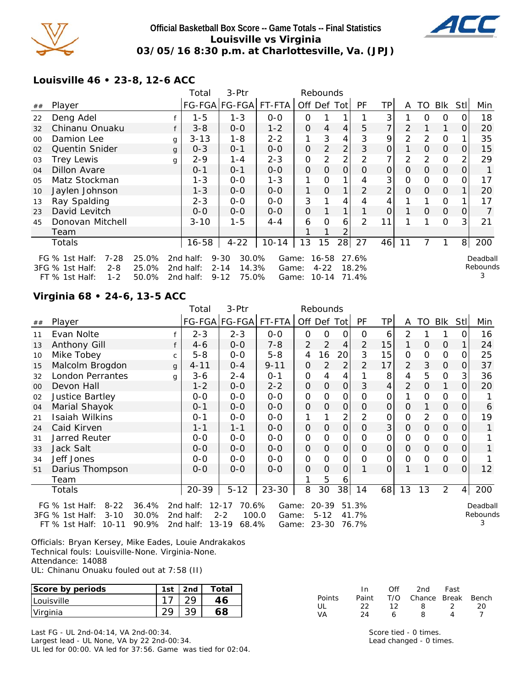

### **Official Basketball Box Score -- Game Totals -- Final Statistics Louisville vs Virginia 03/05/16 8:30 p.m. at Charlottesville, Va. (JPJ)**



**Louisville 46 • 23-8, 12-6 ACC**

|    |                            |       |   | Total     | 3-Ptr             |           |         | Rebounds |                |                |    |          |          |          |      |          |
|----|----------------------------|-------|---|-----------|-------------------|-----------|---------|----------|----------------|----------------|----|----------|----------|----------|------|----------|
| ## | Player                     |       |   |           | FG-FGA FG-FGA     | FT-FTA    | Off Def |          | Totl           | PF             | TP | A        | TO       | Blk      | Stll | Min      |
| 22 | Deng Adel                  |       |   | $1 - 5$   | $1 - 3$           | $0 - 0$   | 0       |          |                |                | 3  |          | 0        | 0        |      | 18       |
| 32 | Chinanu Onuaku             |       |   | $3 - 8$   | $0 - 0$           | $1 - 2$   | 0       | 4        | 4              | 5              | 7  | 2        |          |          | 0    | 20       |
| 00 | Damion Lee                 |       | g | $3 - 13$  | 1-8               | $2 - 2$   |         | 3        | 4              | 3              | 9  | 2        | 2        | 0        |      | 35       |
| 02 | <b>Quentin Snider</b>      |       | g | $0 - 3$   | $0 - 1$           | $0 - 0$   | 0       | 2        | 2              | 3              | 0  |          | 0        | $\Omega$ | Ő    | 15       |
| 03 | <b>Trey Lewis</b>          |       | g | $2 - 9$   | $1 - 4$           | $2 - 3$   | 0       | 2        | 2              | 2              | 7  | 2        | 2        | 0        | 2    | 29       |
| 04 | Dillon Avare               |       |   | $0 - 1$   | $0 - 1$           | $0 - 0$   | 0       | $\Omega$ | $\overline{O}$ | O              | 0  | $\Omega$ | $\Omega$ | $\Omega$ | O    | 1.       |
| 05 | Matz Stockman              |       |   | $1 - 3$   | $O-O$             | $1 - 3$   | 1       | 0        |                | 4              | 3  | O        | 0        | 0        | Ο    | 17       |
| 10 | Jaylen Johnson             |       |   | $1 - 3$   | $0 - 0$           | $0-0$     | 1       | $\Omega$ |                | 2              | 2  | 0        | $\Omega$ | $\Omega$ |      | 20       |
| 13 | Ray Spalding               |       |   | $2 - 3$   | $0 - 0$           | $0 - 0$   | 3       |          | 4              | 4              | 4  |          |          | 0        |      | 17       |
| 23 | David Levitch              |       |   | $O - O$   | $0 - 0$           | $0 - 0$   | 0       |          |                |                | 0  |          | $\Omega$ | $\Omega$ | 0    | 7        |
| 45 | Donovan Mitchell           |       |   | $3 - 10$  | $1 - 5$           | 4-4       | 6       | 0        | 6              | $\overline{2}$ | 11 |          |          | 0        | 3    | 21       |
|    | Team                       |       |   |           |                   |           |         |          | 2              |                |    |          |          |          |      |          |
|    | Totals                     |       |   | 16-58     | $4 - 22$          | $10 - 14$ | 13      | 15       | 28             | 27             | 46 | 11       |          |          | 8    | 200      |
|    | 7-28<br>FG $%$ 1st Half:   | 25.0% |   | 2nd half: | $9 - 30$<br>30.0% | Game:     |         | 16-58    |                | 27.6%          |    |          |          |          |      | Deadball |
|    | 3FG % 1st Half:<br>$2 - 8$ | 25.0% |   | 2nd half: | $2 - 14$<br>14.3% | Game:     |         | $4 - 22$ |                | 18.2%          |    |          |          |          |      | Rebounds |
|    | FT % 1st Half:<br>$1 - 2$  | 50.0% |   | 2nd half: | 75.0%<br>$9 - 12$ | Game:     |         | 10-14    |                | 71.4%          |    |          |          |          |      | 3        |

#### **Virginia 68 • 24-6, 13-5 ACC**

|    |                                       | Total           | 3-Ptr         |           |                | Rebounds       |                 |                |                |                |             |                |                |          |
|----|---------------------------------------|-----------------|---------------|-----------|----------------|----------------|-----------------|----------------|----------------|----------------|-------------|----------------|----------------|----------|
| ## | Player                                | FG-FGA          | <b>FG-FGA</b> | FT-FTA    |                | Off Def Tot    |                 | PF             | TP             | A              | TO          | Blk            | Stl            | Min      |
| 11 | Evan Nolte                            | $2 - 3$         | $2 - 3$       | $0 - 0$   | 0              | 0              | 0               | $\Omega$       | 6              | 2              |             |                | $\Omega$       | 16       |
| 13 | Anthony Gill                          | $4 - 6$         | $0 - 0$       | $7 - 8$   | $\overline{2}$ | 2              | $\overline{4}$  | 2              | 15             | 1              | $\mathbf 0$ | $\overline{0}$ |                | 24       |
| 10 | Mike Tobey<br>C                       | $5 - 8$         | $0 - 0$       | $5 - 8$   | 4              | 16             | 20              | 3              | 15             | O              | 0           | 0              | $\Omega$       | 25       |
| 15 | Malcolm Brogdon<br>g                  | $4 - 11$        | $0 - 4$       | $9 - 11$  | 0              | 2              | 2               | $\overline{2}$ | 17             | $\overline{2}$ | 3           | $\Omega$       | 0              | 37       |
| 32 | London Perrantes<br>g                 | 3-6             | $2 - 4$       | $0 - 1$   | $\mathbf 0$    | 4              | 4               |                | 8              | 4              | 5           | $\Omega$       | 3              | 36       |
| 00 | Devon Hall                            | $1 - 2$         | $0 - 0$       | $2 - 2$   | $\mathbf 0$    | $\Omega$       | $\Omega$        | 3              | 4              | $\overline{2}$ | $\mathbf 0$ | 1              | $\Omega$       | 20       |
| 02 | Justice Bartley                       | $0-0$           | $0 - 0$       | $0 - 0$   | 0              | $\Omega$       | 0               | $\Omega$       | 0              |                | $\Omega$    | 0              | $\Omega$       |          |
| 04 | Marial Shayok                         | $O - 1$         | $0 - 0$       | $0 - 0$   | 0              | $\Omega$       | $\mathbf{O}$    | $\Omega$       | $\mathbf{O}$   | $\Omega$       |             | $\Omega$       | 0              | 6        |
| 21 | <b>Isaiah Wilkins</b>                 | $O - 1$         | $0 - 0$       | $0-0$     | 1              |                | 2               | 2              | $\mathbf 0$    | $\overline{0}$ | 2           | 0              | $\Omega$       | 19       |
| 24 | Caid Kirven                           | $1 - 1$         | $1 - 1$       | $0 - 0$   | $\mathbf 0$    | $\mathbf 0$    | $\mathbf{O}$    | $\Omega$       | 3 <sub>l</sub> | $\Omega$       | $\Omega$    | $\Omega$       | $\Omega$       | 1        |
| 31 | Jarred Reuter                         | $0-0$           | $0 - 0$       | $0 - 0$   | 0              | 0              | 0               | $\Omega$       | 0              | $\Omega$       | 0           | 0              | 0              |          |
| 33 | Jack Salt                             | $0 - 0$         | $0 - 0$       | $0 - 0$   | $\mathbf{O}$   | $\mathbf 0$    | $\mathbf{O}$    | $\Omega$       | $\mathbf{O}$   | $\Omega$       | $\mathbf 0$ | $\Omega$       | $\Omega$       |          |
| 34 | Jeff Jones                            | $0-0$           | $0 - 0$       | $0 - 0$   | 0              | $\overline{O}$ | 0               | $\Omega$       | $\mathsf{O}$   | $\Omega$       | 0           | 0              | $\Omega$       |          |
| 51 | Darius Thompson                       | $0 - 0$         | $0 - 0$       | $0-0$     | $\mathbf 0$    | $\Omega$       | $\Omega$        |                | $\mathbf{O}$   |                |             | $\mathbf{O}$   | $\Omega$       | 12       |
|    | Team                                  |                 |               |           | 1              | 5              | 6               |                |                |                |             |                |                |          |
|    | Totals                                | $20 - 39$       | $5 - 12$      | $23 - 30$ | 8              | 30             | 38 <sup>1</sup> | 14             | 68             | 13             | 13          | $\overline{2}$ | $\overline{4}$ | 200      |
|    | 36.4%<br>$8 - 22$<br>FG $%$ 1st Half: | 2nd half: 12-17 | 70.6%         | Game:     |                | 20-39          |                 | 51.3%          |                |                |             |                |                | Deadball |

3FG % 1st Half: 3-10 30.0% 2nd half: 2-2 100.0 FT % 1st Half: 10-11 90.9% 2nd half: 13-19 68.4%

Game: 5-12 41.7% Game: 23-30 76.7%

Rebounds 3

Officials: Bryan Kersey, Mike Eades, Louie Andrakakos Technical fouls: Louisville-None. Virginia-None. Attendance: 14088 UL: Chinanu Onuaku fouled out at 7:58 (II)

| Score by periods  | 1st | $\vert$ 2nd | Total |
|-------------------|-----|-------------|-------|
| <i>Louisville</i> |     |             | 16    |
| Virginia          |     |             | 68    |

Last FG - UL 2nd-04:14, VA 2nd-00:34. Largest lead - UL None, VA by 22 2nd-00:34. UL led for 00:00. VA led for 37:56. Game was tied for 02:04. VA 24 6 8 4 7 Score tied - 0 times.

In Off 2nd Fast Points Paint T/O Chance Break Bench<br>UL 22 12 8 2 20 UL 22 12 8 2 20

Lead changed - 0 times.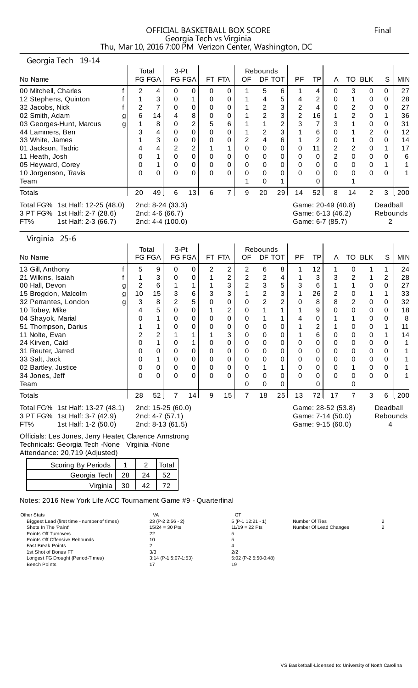| OFFICIAL BASKETBALL BOX SCORE                            | Final |
|----------------------------------------------------------|-------|
| Georgia Tech vs Virginia                                 |       |
| Thu, Mar 10, 2016 7:00 PM Verizon Center, Washington, DC |       |

# Georgia Tech 19-14

| $-0.01$ yiu it can $-1.0$                                                                        |        |          |                                                         |        |          |        |    |          |                |                |     |                                                             |    |                |          |            |
|--------------------------------------------------------------------------------------------------|--------|----------|---------------------------------------------------------|--------|----------|--------|----|----------|----------------|----------------|-----|-------------------------------------------------------------|----|----------------|----------|------------|
|                                                                                                  | Total  |          | 3-Pt                                                    |        |          |        |    | Rebounds |                |                |     |                                                             |    |                |          |            |
| No Name                                                                                          | FG FGA |          |                                                         | FG FGA |          | FT FTA | OF |          | DF TOT         | PF             | TPI | A                                                           | TO | <b>BLK</b>     | S        | <b>MIN</b> |
| 00 Mitchell, Charles                                                                             | 2      | 4        | 0                                                       | 0      | 0        | 0      |    | 5        | 6              |                | 4   | 0                                                           | 3  | 0              | 0        | 27         |
| 12 Stephens, Quinton                                                                             |        | 3        | 0                                                       |        | 0        | 0      |    | 4        | 5              |                | 2   | 0                                                           |    | 0              | 0        | 28         |
| 32 Jacobs, Nick                                                                                  | 2      |          | 0                                                       | 0      | 0        | 0      |    | 2        | 3              | 2              | 4   | 0                                                           | 2  | 0              | 0        | 27         |
| 02 Smith, Adam                                                                                   | 6      | 14       |                                                         | 8      | 0        | 0      |    |          | 3              | $\overline{2}$ | 16  |                                                             | 2  | 0              |          | 36         |
| 03 Georges-Hunt, Marcus                                                                          |        | 8        | 0                                                       | ົ      | 5        | 6      |    |          | $\overline{2}$ | 3              | 7   | 3                                                           |    | 0              | 0        | 31         |
| 44 Lammers, Ben                                                                                  | 3      | 4        | 0                                                       | 0      | 0        | 0      |    |          | 3              |                | 6   | 0                                                           |    | 2              | 0        | 12         |
| 33 White, James                                                                                  |        | 3        | 0                                                       | 0      | 0        | 0      |    | 4        | 6              |                | 2   | 0                                                           |    | 0              | 0        | 14         |
| 01 Jackson, Tadric                                                                               | 4      | 4        | 2                                                       |        |          |        | 0  | 0        | 0              | 0              | 11  | 2                                                           | 2  | 0              |          | 17         |
| 11 Heath, Josh                                                                                   | 0      |          | 0                                                       | 0      | 0        | 0      | 0  | 0        | 0              | 0              | 0   | 2                                                           | 0  | 0              | 0        | 6          |
| 05 Heyward, Corey                                                                                | 0      |          |                                                         | 0      | 0        | 0      | 0  | 0        | 0              | 0              |     | 0                                                           | 0  | 0              |          |            |
| 10 Jorgenson, Travis                                                                             | 0      | $\Omega$ |                                                         |        | $\Omega$ | 0      |    |          | 0              | 0              |     | $\Omega$                                                    | 0  | 0              | 0        |            |
| Team                                                                                             |        |          |                                                         |        |          |        |    |          |                |                |     |                                                             |    |                |          |            |
| <b>Totals</b>                                                                                    | 20     | 49       | 6                                                       | 13     | 6        | 7      | 9  | 20       | 29             | 14             | 52  | 8                                                           | 14 | $\overline{2}$ | 3        | 200        |
| Total FG% 1st Half: 12-25 (48.0)<br>3 PT FG% 1st Half: 2-7 (28.6)<br>FT%<br>1st Half: 2-3 (66.7) |        |          | 2nd: 8-24 (33.3)<br>2nd: 4-6 (66.7)<br>2nd: 4-4 (100.0) |        |          |        |    |          |                |                |     | Game: 20-49 (40.8)<br>Game: 6-13 (46.2)<br>Game: 6-7 (85.7) |    |                | Deadball | Rebounds   |

#### Virginia 25-6

|                                                                                                  |         | Total                                                    | $3-Pt$         |        |          |                |    | Rebounds       |        |          |    |                                                              |   |        |          |            |
|--------------------------------------------------------------------------------------------------|---------|----------------------------------------------------------|----------------|--------|----------|----------------|----|----------------|--------|----------|----|--------------------------------------------------------------|---|--------|----------|------------|
| No Name                                                                                          |         | FG FGA                                                   |                | FG FGA |          | FT FTA         | OF |                | DF TOT | PF       | TP | A                                                            |   | TO BLK | S        | <b>MIN</b> |
| 13 Gill, Anthony                                                                                 | 5       | 9                                                        | 0              | 0      | 2        | 2              | 2  | 6              | 8      |          | 12 |                                                              | 0 |        | 1        | 24         |
| 21 Wilkins, Isaiah                                                                               |         | 3                                                        | 0              |        |          | 2              | 2  | $\overline{2}$ | 4      |          | 3  | 3                                                            | 2 |        | 2        | 28         |
| 00 Hall, Devon                                                                                   | 2<br>g  | 6                                                        |                |        |          | 3              | 2  | 3              | 5      | 3        | 6  |                                                              |   |        | 0        | 27         |
| 15 Brogdon, Malcolm                                                                              | 10<br>g | 15                                                       | 3              | 6      | 3        | 3              |    | $\overline{2}$ | 3      |          | 26 | 2                                                            | 0 |        | 1        | 33         |
| 32 Perrantes, London                                                                             | 3<br>g  | 8                                                        | $\overline{2}$ | 5      | 0        | 0              |    | $\overline{2}$ | 2      | 0        | 8  | 8                                                            | 2 |        | 0        | 32         |
| 10 Tobey, Mike                                                                                   | 4       | 5                                                        | 0              |        |          | $\overline{2}$ |    |                |        |          | 9  |                                                              | 0 |        | 0        | 18         |
| 04 Shayok, Marial                                                                                |         |                                                          | 0              | 0      | 0        | 0              | 0  |                |        |          | 0  |                                                              |   | 0      | 0        | 8          |
| 51 Thompson, Darius                                                                              |         |                                                          | 0              |        |          | 0              | 0  | 0              | 0      |          | 2  |                                                              | 0 |        |          | 11         |
| 11 Nolte, Evan                                                                                   | 2       | 2                                                        |                |        |          | 3              | 0  | 0              | 0      |          | 6  | 0                                                            | 0 | 0      |          | 14         |
| 24 Kirven, Caid                                                                                  | 0       |                                                          | 0              |        | 0        | 0              | 0  | 0              | 0      | 0        | 0  | 0                                                            | 0 | 0      | 0        |            |
| 31 Reuter, Jarred                                                                                | 0       | 0                                                        | 0              |        | 0        | 0              | 0  | 0              | 0      | 0        | 0  | 0                                                            | 0 | 0      | 0        |            |
| 33 Salt, Jack                                                                                    | 0       |                                                          | 0              | 0      | 0        | 0              | 0  | 0              | 0      | 0        | 0  | 0                                                            | 0 | 0      | 0        |            |
| 02 Bartley, Justice                                                                              | 0       | 0                                                        | 0              | 0      | 0        | 0              | 0  |                |        | 0        | 0  | 0                                                            |   |        | 0        |            |
| 34 Jones, Jeff                                                                                   | 0       | 0                                                        | 0              |        | $\Omega$ | 0              |    | 0              | 0      | $\Omega$ | 0  | $\Omega$                                                     | 0 | 0      | 0        |            |
| Team                                                                                             |         |                                                          |                |        |          |                | 0  | 0              | 0      |          |    |                                                              | Ω |        |          |            |
| <b>Totals</b>                                                                                    | 28      | 52                                                       |                | 14     | 9        | 15             | 7  | 18             | 25     | 13       | 72 | 17                                                           |   | 3      | 6        | 200        |
| Total FG% 1st Half: 13-27 (48.1)<br>3 PT FG% 1st Half: 3-7 (42.9)<br>1st Half: 1-2 (50.0)<br>FT% |         | 2nd: 15-25 (60.0)<br>2nd: 4-7 (57.1)<br>2nd: 8-13 (61.5) |                |        |          |                |    |                |        |          |    | Game: 28-52 (53.8)<br>Game: 7-14 (50.0)<br>Game: 9-15 (60.0) |   |        | Deadball | Rebounds   |
| $\sim$ $\sim$ $\sim$ $\sim$ $\sim$<br>.                                                          |         |                                                          |                |        |          |                |    |                |        |          |    |                                                              |   |        |          |            |

Officials: Les Jones, Jerry Heater, Clarence Armstrong Technicals: Georgia Tech -None Virginia -None Attendance: 20,719 (Adjusted)

| Scoring By Periods |  | Total |
|--------------------|--|-------|
| Georgia Tech   28  |  |       |
| Virginia   30      |  |       |

Notes: 2016 New York Life ACC Tournament Game #9 - Quarterfinal

| Other Stats                                 | VA                     | GT                   |                        |                |
|---------------------------------------------|------------------------|----------------------|------------------------|----------------|
| Biggest Lead (first time - number of times) | 23 (P-2 2:56 - 2)      | $5 (P-1 12:21 - 1)$  | Number Of Ties         | $\overline{2}$ |
| Shots In The 'Paint'                        | $15/24 = 30$ Pts       | $11/19 = 22$ Pts     | Number Of Lead Changes | 2              |
| Points Off Turnovers                        | 22                     |                      |                        |                |
| Points Off Offensive Rebounds               | 10                     |                      |                        |                |
| <b>Fast Break Points</b>                    |                        |                      |                        |                |
| 1st Shot of Bonus FT                        | 3/3                    | 2/2                  |                        |                |
| Longest FG Drought (Period-Times)           | $3:14$ (P-1 5:07-1:53) | 5:02 (P-2 5:50-0:48) |                        |                |
| <b>Bench Points</b>                         |                        | 19                   |                        |                |
|                                             |                        |                      |                        |                |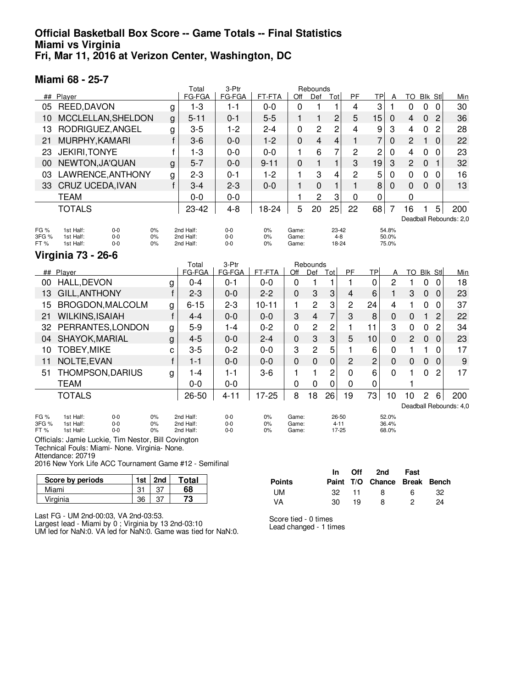### **Official Basketball Box Score -- Game Totals -- Final Statistics Miami vs Virginia Fri, Mar 11, 2016 at Verizon Center, Washington, DC**

#### **Miami 68 - 25-7**

|              |                                                          |              | Total                  | 3-Ptr          |           |                | Rebounds       |                   |                |                |                |                         |                |                |                        |
|--------------|----------------------------------------------------------|--------------|------------------------|----------------|-----------|----------------|----------------|-------------------|----------------|----------------|----------------|-------------------------|----------------|----------------|------------------------|
| ##           | Player                                                   |              | FG-FGA                 | FG-FGA         | FT-FTA    | Off            | Def            | Tot               | PF             | <b>TP</b>      | Α              | <b>TO</b>               | <b>Blk Stl</b> |                | Min                    |
| 05           | REED, DAVON                                              | g            | $1 - 3$                | $1 - 1$        | $0 - 0$   | $\Omega$       | 1              | 1                 | $\overline{4}$ | 3              | 1              | 0                       | $\Omega$       | $\overline{0}$ | 30                     |
| 10           | MCCLELLAN, SHELDON                                       | $\mathbf{g}$ | $5 - 11$               | $0 - 1$        | $5 - 5$   | $\mathbf{1}$   | $\mathbf{1}$   | $\overline{c}$    | 5              | 15             | 0              | 4                       | $\mathbf 0$    | $\overline{2}$ | 36                     |
| 13           | RODRIGUEZ, ANGEL                                         | g            | $3-5$                  | $1 - 2$        | $2 - 4$   | $\overline{0}$ | 2              | 2                 | $\overline{4}$ | 9              | 3              | $\overline{\mathbf{4}}$ | 0              | 2              | 28                     |
| 21           | MURPHY, KAMARI                                           | f            | $3-6$                  | $0 - 0$        | $1 - 2$   | $\Omega$       | 4              | 4                 | $\mathbf{1}$   | 7              | 0              | $\overline{c}$          | 1              | 0              | 22                     |
| 23           | <b>JEKIRI, TONYE</b>                                     | f            | $1 - 3$                | $0 - 0$        | $0 - 0$   | 1              | 6              | 7                 | 2              | $\overline{c}$ | $\mathbf{0}$   | 4                       | $\mathbf 0$    | 0              | 23                     |
| 00           | NEWTON, JA'QUAN                                          | g            | $5 - 7$                | $0 - 0$        | $9 - 11$  | $\Omega$       | $\mathbf{1}$   | 1                 | 3              | 19             | 3              | $\overline{c}$          | $\Omega$       | 1              | 32                     |
| 03           | LAWRENCE, ANTHONY                                        | g            | $2 - 3$                | $0 - 1$        | $1 - 2$   | 1              | 3              | 4                 | 2              | 5              | $\overline{0}$ | $\mathbf 0$             | $\mathbf 0$    | 0              | 16                     |
| 33           | CRUZ UCEDA, IVAN                                         | f            | $3 - 4$                | $2 - 3$        | $0 - 0$   | $\mathbf{1}$   | $\mathbf 0$    | $\mathbf{1}$      | $\mathbf{1}$   | 8              | $\Omega$       | 0                       | $\mathbf 0$    | $\mathbf 0$    | 13                     |
|              | <b>TEAM</b>                                              |              | $0 - 0$                | $0 - 0$        |           | 1              | 2              | 3                 | 0              | 0              |                | 0                       |                |                |                        |
|              | <b>TOTALS</b>                                            |              | 23-42                  | $4 - 8$        | 18-24     | 5              | 20             | 25                | 22             | 68             | $\overline{7}$ | 16                      | 1              | 5              | 200                    |
|              |                                                          |              |                        |                |           |                |                |                   |                |                |                |                         |                |                | Deadball Rebounds: 2,0 |
| FG %         | 1st Half:<br>$0 - 0$<br>0%                               |              | 2nd Half:              | $0-0$          | 0%        | Game:          |                | 23-42             |                |                | 54.8%          |                         |                |                |                        |
| 3FG %<br>FT% | 1st Half:<br>$0 - 0$<br>0%<br>1st Half:<br>$0 - 0$<br>0% |              | 2nd Half:<br>2nd Half: | $0-0$<br>$0-0$ | 0%<br>0%  | Game:<br>Game: |                | $4 - 8$<br>18-24  |                |                | 50.0%<br>75.0% |                         |                |                |                        |
|              | <b>Virginia 73 - 26-6</b>                                |              |                        |                |           |                |                |                   |                |                |                |                         |                |                |                        |
|              |                                                          |              |                        |                |           |                |                |                   |                |                |                |                         |                |                |                        |
|              |                                                          |              | Total                  | 3-Ptr          |           |                | Rebounds       |                   |                |                |                |                         |                |                |                        |
|              | ## Player                                                |              | FG-FGA                 | FG-FGA         | FT-FTA    | Off            | Def            | Tot               | <b>PF</b>      | <b>TP</b>      | A              |                         | TO Blk Stl     |                | Min                    |
| 00           | HALL, DEVON                                              | g            | $0 - 4$                | $0 - 1$        | $0-0$     | $\mathbf 0$    | 1              | 1                 | 1              | $\mathbf 0$    | $\overline{2}$ | 1                       | $\mathbf 0$    | 0              | 18                     |
| 13           | <b>GILL, ANTHONY</b>                                     | $\mathsf{f}$ | $2 - 3$                | $0 - 0$        | $2 - 2$   | $\Omega$       | 3              | 3                 | 4              | 6              | $\mathbf{1}$   | 3                       | $\overline{0}$ | $\Omega$       | 23                     |
| 15           | BROGDON, MALCOLM                                         | g            | $6 - 15$               | $2 - 3$        | $10 - 11$ | 1              | 2              | 3                 | 2              | 24             | 4              | 1                       | 0              | 0              | 37                     |
| 21           | <b>WILKINS, ISAIAH</b>                                   | $\mathsf{f}$ | $4 - 4$                | $0 - 0$        | $0 - 0$   | 3              | $\overline{4}$ | $\overline{7}$    | 3              | 8              | $\mathbf 0$    | 0                       | $\mathbf{1}$   | 2              | 22                     |
| 32           | PERRANTES, LONDON                                        | g            | $5-9$                  | $1 - 4$        | $0 - 2$   | 0              | 2              | $\overline{c}$    | 1              | 11             | 3              | $\mathbf 0$             | 0              | 2              | 34                     |
| 04           | SHAYOK, MARIAL                                           | g            | $4 - 5$                | $0 - 0$        | $2 - 4$   | $\mathbf 0$    | 3              | 3                 | 5              | 10             | $\mathbf 0$    | $\overline{c}$          | $\mathbf 0$    | $\mathbf 0$    | 23                     |
| 10           | <b>TOBEY, MIKE</b>                                       | C            | $3-5$                  | $0 - 2$        | $0 - 0$   | 3              | $\overline{c}$ | 5                 | 1              | 6              | $\mathbf 0$    | 1                       | 1              | $\Omega$       | 17                     |
| 11           | NOLTE, EVAN                                              | $\mathsf{f}$ | $1 - 1$                | $0 - 0$        | $0 - 0$   | 0              | 0              | $\mathbf 0$       | $\overline{c}$ | $\overline{c}$ | $\mathbf 0$    | $\mathbf 0$             | $\mathbf 0$    | $\mathbf 0$    | 9                      |
| 51           | THOMPSON, DARIUS                                         | g            | $1 - 4$                | $1 - 1$        | $3-6$     | 1              | 1              | 2                 | 0              | 6              | $\Omega$       | 1                       | 0              | $\overline{2}$ | 17                     |
|              | <b>TEAM</b>                                              |              | $0 - 0$                | $0 - 0$        |           | 0              | $\mathbf 0$    | $\mathbf 0$       | 0              | 0              |                | 1                       |                |                |                        |
|              | <b>TOTALS</b>                                            |              | 26-50                  | $4 - 11$       | $17 - 25$ | 8              | 18             | 26                | 19             | 73             | 10             | 10                      | 2              | 6              | 200                    |
|              |                                                          |              |                        |                |           |                |                |                   |                |                |                |                         |                |                | Deadball Rebounds: 4,0 |
| FG %         | 0%<br>1st Half:<br>$0 - 0$                               |              | 2nd Half:              | $0-0$          | 0%        | Game:          |                | 26-50             |                |                | 52.0%          |                         |                |                |                        |
| 3FG %<br>FT% | 1st Half:<br>$0 - 0$<br>0%<br>1st Half:<br>$0 - 0$<br>0% |              | 2nd Half:<br>2nd Half: | $0-0$<br>$0-0$ | 0%<br>0%  | Game:<br>Game: |                | $4 - 11$<br>17-25 |                |                | 36.4%<br>68.0% |                         |                |                |                        |

Technical Fouls: Miami- None. Virginia- None.

Attendance: 20719

2016 New York Life ACC Tournament Game #12 - Semifinal

| Score by periods | 1st | 2nd | Total |
|------------------|-----|-----|-------|
| Miami            |     |     |       |
| Virginia         | 36  |     | 73    |

|               |     |    | In Off 2nd Fast              |    |     |
|---------------|-----|----|------------------------------|----|-----|
| <b>Points</b> |     |    | Paint T/O Chance Break Bench |    |     |
| UM.           | 32. | 11 | - 8                          | 6. | 32. |
| VA            | 30. | 19 | 8                            | 2  | 24  |

Last FG - UM 2nd-00:03, VA 2nd-03:53.

Largest lead - Miami by 0 ; Virginia by 13 2nd-03:10 UM led for NaN:0. VA led for NaN:0. Game was tied for NaN:0.

Score tied - 0 times Lead changed - 1 times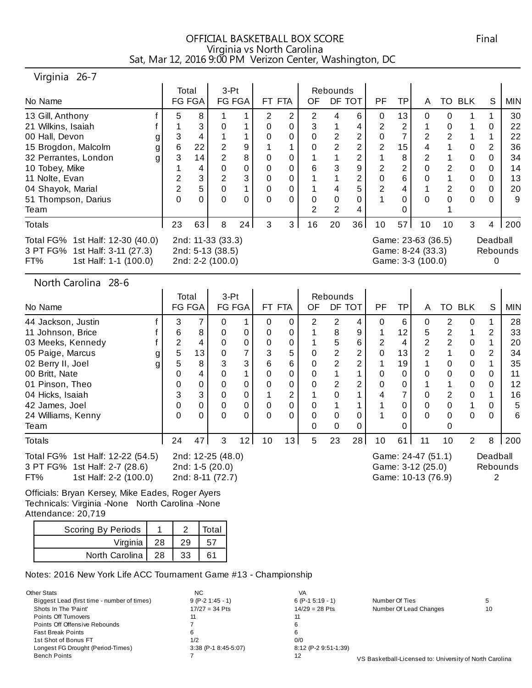# OFFICIAL BASKETBALL BOX SCORE Final Virginia vs North Carolina Sat, Mar 12, 2016 9:00 PM Verizon Center, Washington, DC

#### Virginia 26-7

| No Name                                                                                            |   | Total | FG FGA | $3-Pt$                                                    | FG FGA | FT FTA |   | OF | Rebounds       | DF TOT         | PF             | TPI             | A                                                            |                | TO BLK | S        | <b>MIN</b> |
|----------------------------------------------------------------------------------------------------|---|-------|--------|-----------------------------------------------------------|--------|--------|---|----|----------------|----------------|----------------|-----------------|--------------------------------------------------------------|----------------|--------|----------|------------|
| 13 Gill, Anthony                                                                                   |   | 5     | 8      |                                                           |        | 2      | 2 | 2  | 4              | 6              | $\Omega$       | 13 <sup>1</sup> | 0                                                            | 0              |        | 1        | 30         |
| 21 Wilkins, Isaiah                                                                                 |   |       | 3      | 0                                                         |        | 0      | 0 | 3  |                | 4              | $\overline{2}$ | 2               |                                                              | 0              |        | 0        | 22         |
| 00 Hall, Devon                                                                                     | g | 3     | 4      |                                                           |        | 0      | 0 |    | $\overline{2}$ | $\overline{2}$ | 0              | 7               | 2                                                            | $\overline{2}$ |        |          | 22         |
| 15 Brogdon, Malcolm                                                                                | g | 6     | 22     | 2                                                         | 9      |        |   |    | $\overline{2}$ | 2              | 2              | 15              | 4                                                            |                | 0      | 2        | 36         |
| 32 Perrantes, London                                                                               | g | 3     | 14     | $\overline{2}$                                            | 8      | 0      | 0 |    |                | $\overline{2}$ |                | 8               | 2                                                            |                | 0      | 0        | 34         |
| 10 Tobey, Mike                                                                                     |   |       | 4      | 0                                                         | 0      | 0      | 0 | 6  | 3              | 9              | $\overline{2}$ | 2               | 0                                                            | 2              | 0      | 0        | 14         |
| 11 Nolte, Evan                                                                                     |   | 2     | 3      | 2                                                         |        | 0      | 0 |    |                | 2              | 0              | 6               | 0                                                            |                | 0      | 0        | 13         |
| 04 Shayok, Marial                                                                                  |   | 2     | 5      | 0                                                         |        | 0      | 0 |    | 4              | 5              | $\overline{2}$ | 4               |                                                              | 2              | 0      | 0        | 20         |
| 51 Thompson, Darius                                                                                |   | 0     | 0      | 0                                                         |        | 0      | 0 | 0  | 0              | 0              |                | 0               | $\Omega$                                                     | 0              | 0      | 0        | 9          |
| Team                                                                                               |   |       |        |                                                           |        |        |   | 2  | 2              | 4              |                | 0               |                                                              |                |        |          |            |
| <b>Totals</b>                                                                                      |   | 23    | 63     | 8                                                         | 24     | 3      | 3 | 16 | 20             | 36             | 10             | 57              | 10                                                           | 10             | 3      | 4        | 200        |
| Total FG% 1st Half: 12-30 (40.0)<br>3 PT FG% 1st Half: 3-11 (27.3)<br>FT%<br>1st Half: 1-1 (100.0) |   |       |        | 2nd: 11-33 (33.3)<br>2nd: 5-13 (38.5)<br>2nd: 2-2 (100.0) |        |        |   |    |                |                |                |                 | Game: 23-63 (36.5)<br>Game: 8-24 (33.3)<br>Game: 3-3 (100.0) |                |        | Deadball | Rebounds   |

North Carolina 28-6

| No Name                                                                                              |   | Total | FG FGA | $3-Pt$                                                   | <b>FG FGA</b> |          | FT FTA   | OF | Rebounds<br>DF TOT |                 | PF.      | TP. | A                                                             | TO | <b>BLK</b> | S        | <b>MIN</b> |
|------------------------------------------------------------------------------------------------------|---|-------|--------|----------------------------------------------------------|---------------|----------|----------|----|--------------------|-----------------|----------|-----|---------------------------------------------------------------|----|------------|----------|------------|
| 44 Jackson, Justin                                                                                   |   | 3     |        | 0                                                        |               | 0        | 0        | 2  | 2                  | 4               | 0        | 6   | 0                                                             | 2  | 0          |          | 28         |
| 11 Johnson, Brice                                                                                    |   | 6     | 8      | 0                                                        |               | 0        | 0        |    | 8                  | 9               |          | 12  | 5                                                             | 2  |            | 2        | 33         |
| 03 Meeks, Kennedy                                                                                    |   | 2     | 4      | 0                                                        |               |          | 0        |    | 5                  | 6               | 2        | 4   | 2                                                             | 2  |            |          | 20         |
| 05 Paige, Marcus                                                                                     | g | 5     | 13     | 0                                                        |               | 3        | 5        | 0  | 2                  | 2               | $\Omega$ | 13  | 2                                                             |    |            | 2        | 34         |
| 02 Berry II, Joel                                                                                    | g | 5     | 8      | 3                                                        | 3             | 6        | 6        | 0  | 2                  | $\overline{2}$  |          | 19  |                                                               | 0  | 0          |          | 35         |
| 00 Britt, Nate                                                                                       |   | 0     | 4      | 0                                                        |               |          | 0        | 0  |                    |                 | 0        | 0   | 0                                                             | 0  | 0          | 0        | 11         |
| 01 Pinson, Theo                                                                                      |   | 0     | 0      | 0                                                        |               |          | 0        | 0  | 2                  | 2               | $\Omega$ | 0   |                                                               |    |            | 0        | 12         |
| 04 Hicks, Isaiah                                                                                     |   | 3     | 3      | 0                                                        |               |          | 2        |    |                    |                 |          |     | 0                                                             | 2  | 0          |          | 16         |
| 42 James, Joel                                                                                       |   | 0     | 0      | 0                                                        |               | 0        | 0        | 0  |                    |                 |          |     | 0                                                             | 0  |            | 0        | 5          |
| 24 Williams, Kenny                                                                                   |   | 0     | 0      | 0                                                        |               | $\Omega$ | $\Omega$ | 0  | 0                  | 0               |          | 0   | 0                                                             | 0  | 0          | 0        | 6          |
| Team                                                                                                 |   |       |        |                                                          |               |          |          | 0  | 0                  | 0               |          |     |                                                               |    |            |          |            |
| <b>Totals</b>                                                                                        |   | 24    | 47     | 3                                                        | 12            | 10       | 13       | 5  | 23                 | 28 <sub>1</sub> | 10       | 61  | 11                                                            | 10 | 2          | 8        | 200        |
| Total FG% 1st Half: 12-22 (54.5)<br>3 PT FG%<br>1st Half: 2-7 (28.6)<br>FT%<br>1st Half: 2-2 (100.0) |   |       |        | 2nd: 12-25 (48.0)<br>2nd: 1-5 (20.0)<br>2nd: 8-11 (72.7) |               |          |          |    |                    |                 |          |     | Game: 24-47 (51.1)<br>Game: 3-12 (25.0)<br>Game: 10-13 (76.9) |    |            | Deadball | Rebounds   |

Officials: Bryan Kersey, Mike Eades, Roger Ayers Technicals: Virginia -None North Carolina -None Attendance: 20,719

| Scoring By Periods |     |    | Total |
|--------------------|-----|----|-------|
| Virginia           | 28  | 29 |       |
| North Carolina     | -28 | 33 |       |

Notes: 2016 New York Life ACC Tournament Game #13 - Championship

| Other Stats                                 | N <sub>C</sub>       | VA                   |                                                         |    |
|---------------------------------------------|----------------------|----------------------|---------------------------------------------------------|----|
| Biggest Lead (first time - number of times) | $9 (P-2 1:45 - 1)$   | $6 (P-1 5:19 - 1)$   | Number Of Ties                                          |    |
| Shots In The 'Paint'                        | $17/27 = 34$ Pts     | $14/29 = 28$ Pts     | Number Of Lead Changes                                  | 10 |
| Points Off Turnovers                        |                      |                      |                                                         |    |
| Points Off Offensive Rebounds               |                      |                      |                                                         |    |
| <b>Fast Break Points</b>                    |                      |                      |                                                         |    |
| 1st Shot of Bonus FT                        | 1/2                  | 0/0                  |                                                         |    |
| Longest FG Drought (Period-Times)           | 3:38 (P-1 8:45-5:07) | 8:12 (P-2 9:51-1:39) |                                                         |    |
| <b>Bench Points</b>                         |                      | 12                   | VS Basketball-Licensed to: University of North Carolina |    |
|                                             |                      |                      |                                                         |    |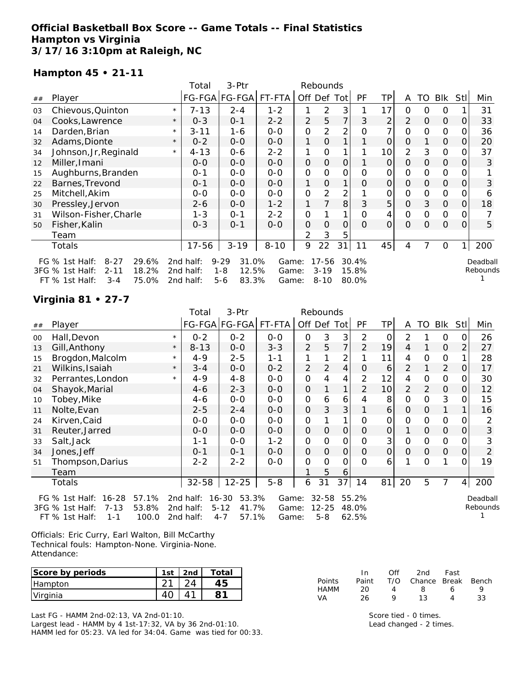# **Official Basketball Box Score -- Game Totals -- Final Statistics Hampton vs Virginia 3/17/16 3:10pm at Raleigh, NC**

### **Hampton 45 • 21-11**

|    |                                       |         | Total     | 3-Ptr                |          |                | Rebounds       |                |           |          |                |          |             |            |          |
|----|---------------------------------------|---------|-----------|----------------------|----------|----------------|----------------|----------------|-----------|----------|----------------|----------|-------------|------------|----------|
| ## | Player                                |         |           | FG-FGA FG-FGA FT-FTA |          | Off Def Tot    |                |                | <b>PF</b> | TP       | A              | TO       | Blk         | <b>Stl</b> | Min      |
| 03 | Chievous, Quinton                     | $\star$ | $7 - 13$  | $2 - 4$              | $1 - 2$  | 1              | 2              | 3              |           | 17       | $\Omega$       | 0        | 0           |            | 31       |
| 04 | Cooks, Lawrence                       | $\star$ | $0 - 3$   | $0 - 1$              | $2 - 2$  | $\overline{2}$ | 5              | 7              | 3         | 2        | $\overline{2}$ | 0        | $\mathbf 0$ | 0          | 33       |
| 14 | Darden, Brian                         | $\star$ | $3 - 11$  | 1-6                  | $0-0$    | 0              | $\overline{2}$ | 2              | O         | 7        | $\Omega$       | $\Omega$ | 0           | 0          | 36       |
| 32 | Adams, Dionte                         | $\star$ | $0 - 2$   | $0 - 0$              | $O-O$    | 1              | 0              |                |           | O        | $\Omega$       |          | $\Omega$    | O          | 20       |
| 34 | Johnson, Jr, Reginald                 | $\star$ | $4 - 13$  | $0 - 6$              | $2 - 2$  |                | O              |                |           | 10       | 2              | 3        | 0           | 0          | 37       |
| 12 | Miller, Imani                         |         | $0 - 0$   | $0 - 0$              | $O-O$    | 0              | 0              | 0              |           | 0        | $\Omega$       | $\Omega$ | $\Omega$    | 0          | 3        |
| 15 | Aughburns, Branden                    |         | $0 - 1$   | $O-O$                | $0 - 0$  | 0              | 0              | 0              | Ο         | 0        | 0              | 0        | 0           |            |          |
| 22 | Barnes, Trevond                       |         | $0 - 1$   | $0 - 0$              | $O-O$    | 1              | $\Omega$       |                | 0         | $\Omega$ | $\Omega$       | $\Omega$ | $\mathbf 0$ | $\Omega$   | 3        |
| 25 | Mitchell, Akim                        |         | $0 - 0$   | $O-O$                | $O-O$    | 0              | 2              | $\overline{2}$ |           | 0        | $\Omega$       | $\Omega$ | 0           | 0          | 6        |
| 30 | Pressley, Jervon                      |         | $2 - 6$   | $O-O$                | $1 - 2$  |                | 7              | 8              | 3         | 5        | $\Omega$       | 3        | $\mathbf 0$ | $\Omega$   | 18       |
| 31 | Wilson-Fisher, Charle                 |         | $1 - 3$   | $0 - 1$              | $2 - 2$  | 0              |                |                | 0         | 4        | $\Omega$       | $\Omega$ | 0           | 0          |          |
| 50 | Fisher, Kalin                         |         | $0 - 3$   | $0 - 1$              | $O-O$    | $\mathbf{O}$   | 0              | $\Omega$       | $\Omega$  | $\Omega$ | $\Omega$       | $\Omega$ | $\mathbf 0$ | $\Omega$   | 5        |
|    | Team                                  |         |           |                      |          | 2              | 3              | 5              |           |          |                |          |             |            |          |
|    | Totals                                |         | 17-56     | $3 - 19$             | $8 - 10$ | 9              | 22             | 31             | 11        | 45       | 4              |          | 0           |            | 200      |
|    | $8 - 27$<br>29.6%<br>FG $%$ 1st Half: |         | 2nd half: | $9 - 29$<br>31.0%    | Game:    |                | $17 - 56$      |                | 30.4%     |          |                |          |             |            | Deadball |
|    | 3FG % 1st Half:<br>18.2%<br>$2 - 11$  |         | 2nd half: | $1 - 8$<br>12.5%     | Game:    |                | $3 - 19$       |                | 15.8%     |          |                |          |             |            | Rebounds |
|    | 75.0%<br>$FT$ % 1st Half:<br>$3 - 4$  |         | 2nd half: | $5 - 6$<br>83.3%     | Game:    |                | $8 - 10$       |                | 80.0%     |          |                |          |             |            |          |

### **Virginia 81 • 27-7**

|    |                                        |         | 3-Ptr<br>Total<br>Rebounds |                      |         |                |           |                |                |           |              |          |             |     |                   |
|----|----------------------------------------|---------|----------------------------|----------------------|---------|----------------|-----------|----------------|----------------|-----------|--------------|----------|-------------|-----|-------------------|
| ## | Player                                 |         |                            | FG-FGA FG-FGA FT-FTA |         | Off            |           | Def Tot        | PF             | <b>TP</b> | A            | TO       | Blk         | Stl | Min               |
| 00 | Hall, Devon                            | $\star$ | $0 - 2$                    | $0 - 2$              | $O-O$   | $\Omega$       | 3         | 3              | 2              | 0         | 2            |          | O           |     | 26                |
| 13 | Gill, Anthony                          | $\star$ | $8 - 13$                   | $0-0$                | $3 - 3$ | 2              | 5         | 7              | $\overline{2}$ | 19        | 4            |          | $\Omega$    | 2   | 27                |
| 15 | Brogdon, Malcolm                       | $\star$ | $4 - 9$                    | $2 - 5$              | $1 - 1$ | 1              |           | 2              |                | 11        | 4            | 0        | 0           |     | 28                |
| 21 | Wilkins, Isaiah                        | $\star$ | $3 - 4$                    | $O-O$                | $0 - 2$ | $\overline{2}$ | 2         | $\overline{4}$ | $\Omega$       | 6         | 2            |          | 2           | O   | 17                |
| 32 | Perrantes, London                      | $\star$ | $4 - 9$                    | 4-8                  | $0-0$   | 0              | 4         | 4              | 2              | 12        | 4            | 0        | 0           | Ω   | 30                |
| 04 | Shayok, Marial                         |         | $4-6$                      | $2 - 3$              | $0 - 0$ | 0              |           | 1              | $\overline{2}$ | 10        | 2            | 2        | $\mathbf 0$ | O   | $12 \overline{ }$ |
| 10 | Tobey, Mike                            |         | $4 - 6$                    | $0-0$                | $0 - 0$ | 0              | 6         | 6              | 4              | 8         | $\Omega$     | 0        | 3           |     | 15                |
| 11 | Nolte, Evan                            |         | $2 - 5$                    | $2 - 4$              | $0 - 0$ | 0              | 3         | 3              |                | 6         | 0            | 0        | 1           |     | 16                |
| 24 | Kirven, Caid                           |         | $0 - 0$                    | $0-0$                | $O-O$   | 0              |           | 1              | O              | 0         | 0            | 0        | 0           |     |                   |
| 31 | Reuter, Jarred                         |         | $0 - 0$                    | $O-O$                | $0 - 0$ | 0              | 0         | $\mathbf{O}$   | $\Omega$       | $\Omega$  |              | 0        | $\mathbf 0$ | Ο   | 3                 |
| 33 | Salt, Jack                             |         | 1-1                        | $O-O$                | $1 - 2$ | 0              | 0         | 0              | O              | 3         | 0            | 0        | 0           |     | 3                 |
| 34 | Jones,Jeff                             |         | $0 - 1$                    | $0 - 1$              | $O-O$   | $\mathbf{O}$   | 0         | $\mathbf{O}$   | $\Omega$       | $\Omega$  | $\mathbf{O}$ | $\Omega$ | $\mathbf 0$ | 0   | $\overline{2}$    |
| 51 | Thompson, Darius                       |         | $2 - 2$                    | $2 - 2$              | $O-O$   | 0              | $\Omega$  | O              | 0              | 6         | 1            | $\Omega$ | 1           | Ω   | 19                |
|    | Team                                   |         |                            |                      |         |                | 5         | 6              |                |           |              |          |             |     |                   |
|    | Totals                                 |         | $32 - 58$                  | $12 - 25$            | $5 - 8$ | 6              | 31        | 37             | 14             | 81        | 20           | 5        | 7           | 4   | 200               |
|    | $16 - 28$<br>57.1%<br>FG $%$ 1st Half: |         | 2nd half:                  | 53.3%<br>16-30       | Game:   |                | $32 - 58$ |                | 55.2%          |           |              |          |             |     | Deadball          |
|    | $7 - 13$<br>53.8%<br>3FG % 1st Half:   |         | 2nd half:                  | $5 - 12$<br>41.7%    | Game:   |                | $12 - 25$ |                | 48.0%          |           |              |          |             |     | Rebounds          |
|    | FT % 1st Half:<br>100.0<br>$1 - 1$     |         | 2nd half:                  | $4 - 7$<br>57.1%     | Game:   |                | $5 - 8$   |                | 62.5%          |           |              |          |             |     |                   |

Officials: Eric Curry, Earl Walton, Bill McCarthy Technical fouls: Hampton-None. Virginia-None. Attendance:

| Score by periods | 1st | 2nd | Total |
|------------------|-----|-----|-------|
| Hampton          |     |     |       |
| Virginia         |     |     |       |

Last FG - HAMM 2nd-02:13, VA 2nd-01:10. Largest lead - HAMM by 4 1st-17:32, VA by 36 2nd-01:10. HAMM led for 05:23. VA led for 34:04. Game was tied for 00:33.

|        | In    | ∩ff | 2nd                    | Fast |    |
|--------|-------|-----|------------------------|------|----|
| Points | Paint |     | T/O Chance Break Bench |      |    |
| HAMM   | 20    | Δ   | 8                      | ь    | Q  |
| VA     | 26    | o   | 13                     | Δ    | 33 |

Score tied - 0 times. Lead changed - 2 times.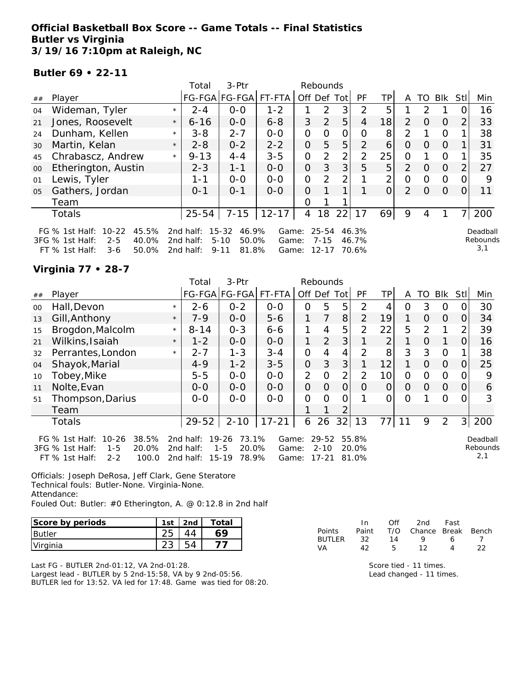**Official Basketball Box Score -- Game Totals -- Final Statistics Butler vs Virginia 3/19/16 7:10pm at Raleigh, NC**

**Butler 69 • 22-11**

|        |                                                                                                                   |         | Total                               | 3-Ptr                                                        |                         |              | Rebounds                           |                |                         |                 |                |               |                |          |                             |
|--------|-------------------------------------------------------------------------------------------------------------------|---------|-------------------------------------|--------------------------------------------------------------|-------------------------|--------------|------------------------------------|----------------|-------------------------|-----------------|----------------|---------------|----------------|----------|-----------------------------|
| ##     | Player                                                                                                            |         |                                     | FG-FGA FG-FGA                                                | FT-FTA                  | Off Def Tot  |                                    |                | PF                      | TP <sub>I</sub> | A              | TO            | Blk            | Stll     | Min                         |
| 04     | Wideman, Tyler                                                                                                    | $\star$ | $2 - 4$                             | $0 - 0$                                                      | $1 - 2$                 |              | 2                                  | 3              | $\mathcal{P}$           | 5               |                | $\mathcal{P}$ |                |          | 16                          |
| 21     | Jones, Roosevelt                                                                                                  | $\star$ | $6 - 16$                            | $0 - 0$                                                      | $6 - 8$                 | 3            | 2                                  | 5              | 4                       | 18              | $\mathcal{P}$  | $\Omega$      | $\Omega$       |          | 33                          |
| 24     | Dunham, Kellen                                                                                                    | $\star$ | $3 - 8$                             | $2 - 7$                                                      | $0 - 0$                 | 0            | 0                                  | 0              | 0                       | 8               | $\overline{2}$ |               | $\Omega$       |          | 38                          |
| 30     | Martin, Kelan                                                                                                     | $\star$ | $2 - 8$                             | $0 - 2$                                                      | $2 - 2$                 | 0            | 5                                  | 5              | $\mathcal{P}$           | 6               | 0              | $\Omega$      | $\Omega$       |          | 31                          |
| 45     | Chrabascz, Andrew                                                                                                 | $\star$ | $9 - 13$                            | $4 - 4$                                                      | $3 - 5$                 | 0            | 2                                  | $\overline{2}$ | $\overline{2}$          | 25              | $\Omega$       |               | $\Omega$       |          | 35                          |
| $00\,$ | Etherington, Austin                                                                                               |         | $2 - 3$                             | $1 - 1$                                                      | $0 - 0$                 | $\mathbf{O}$ | 3                                  | 3              | 5                       | 5 <sup>1</sup>  | $\mathcal{P}$  | $\Omega$      | $\overline{O}$ | 2        | 27                          |
| 01     | Lewis, Tyler                                                                                                      |         | 1-1                                 | $0 - 0$                                                      | $0 - 0$                 | 0            | $\mathcal{P}$                      | 2              |                         | 2 <sub>1</sub>  | $\Omega$       | $\Omega$      | $\overline{0}$ | O        | 9                           |
| 05     | Gathers, Jordan                                                                                                   |         | $0 - 1$                             | $0 - 1$                                                      | $0 - 0$                 | $\Omega$     |                                    |                |                         | $\Omega$        | $\overline{2}$ | $\Omega$      | $\overline{0}$ | $\Omega$ | 11                          |
|        | Team                                                                                                              |         |                                     |                                                              |                         | O            |                                    |                |                         |                 |                |               |                |          |                             |
|        | <b>Totals</b>                                                                                                     |         | $25 - 54$                           | $7 - 15$                                                     | $12 - 17$               | 4            | 18                                 | 22             | 17                      | 69              | 9              | 4             |                |          | 200                         |
|        | 45.5%<br>FG $%$ 1st Half:<br>$10 - 22$<br>40.0%<br>3FG % 1st Half:<br>$2 - 5$<br>50.0%<br>$FT$ % 1st Half:<br>3-6 |         | 2nd half:<br>2nd half:<br>2nd half: | $15 - 32$<br>46.9%<br>$5 - 10$<br>50.0%<br>81.8%<br>$9 - 11$ | Game:<br>Game:<br>Game: |              | $25 - 54$<br>$7 - 15$<br>$12 - 17$ |                | 46.3%<br>46.7%<br>70.6% |                 |                |               |                |          | Deadball<br>Rebounds<br>3,1 |

**Virginia 77 • 28-7**

|    |                                                                                                                     |         | $3-$ Ptr<br>Total<br>Rebounds       |                                                            |                         |                |                                |          |                         |                 |             |                |             |                |                             |
|----|---------------------------------------------------------------------------------------------------------------------|---------|-------------------------------------|------------------------------------------------------------|-------------------------|----------------|--------------------------------|----------|-------------------------|-----------------|-------------|----------------|-------------|----------------|-----------------------------|
| ## | Player                                                                                                              |         |                                     | FG-FGA FG-FGA                                              | FT-FTA                  | Off Def Tot    |                                |          | PF                      | TPI             | A           | TO             | Blk         | Stll           | Min                         |
| 00 | Hall, Devon                                                                                                         | $\star$ | $2 - 6$                             | $0 - 2$                                                    | $0-0$                   | 0              | 5                              | 5        | 2                       | 4               | 0           | 3              | 0           | 0              | 30                          |
| 13 | Gill, Anthony                                                                                                       | $\star$ | $7 - 9$                             | $0-0$                                                      | $5 - 6$                 |                | 7                              | 8        | $\overline{2}$          | 19              | 1           | $\Omega$       | $\Omega$    | $\Omega$       | 34                          |
| 15 | Brogdon, Malcolm                                                                                                    | $\star$ | $8 - 14$                            | $0 - 3$                                                    | $6 - 6$                 | 1              | 4                              | 5        | 2                       | 22              | 5           | 2              |             | $\overline{2}$ | 39                          |
| 21 | Wilkins, Isaiah                                                                                                     | $\star$ | $1 - 2$                             | $O-O$                                                      | $0-0$                   | 1              | 2                              | 3        |                         | $\overline{2}$  |             | $\Omega$       | 1           | $\Omega$       | 16                          |
| 32 | Perrantes, London                                                                                                   | $\star$ | $2 - 7$                             | $1 - 3$                                                    | $3 - 4$                 | 0              | 4                              | 4        | $\overline{2}$          | 8               | 3           | 3              | $\Omega$    |                | 38                          |
| 04 | Shayok, Marial                                                                                                      |         | $4 - 9$                             | $1 - 2$                                                    | $3 - 5$                 | 0              | 3                              | 3        |                         | 12              | $\mathbf 1$ | $\overline{O}$ | $\Omega$    | 0              | 25                          |
| 10 | Tobey, Mike                                                                                                         |         | $5 - 5$                             | $0 - 0$                                                    | $0 - 0$                 | $\overline{2}$ | $\Omega$                       | 2        | 2                       | 10 <sup>1</sup> | 0           | $\Omega$       | $\mathbf 0$ | $\Omega$       | 9                           |
| 11 | Nolte, Evan                                                                                                         |         | $0-0$                               | $0-0$                                                      | $0-0$                   | 0              | $\Omega$                       | $\Omega$ | 0                       | $\Omega$        | $\Omega$    | $\Omega$       | $\Omega$    | $\Omega$       | 6                           |
| 51 | Thompson, Darius                                                                                                    |         | $0-0$                               | $0-0$                                                      | $0-0$                   | 0              | 0                              | 0        |                         | 0               | 0           |                | 0           | 0              | 3                           |
|    | Team                                                                                                                |         |                                     |                                                            |                         |                |                                | 2        |                         |                 |             |                |             |                |                             |
|    | <b>Totals</b>                                                                                                       |         | $29 - 52$                           | $2 - 10$                                                   | $17 - 21$               | 6              | 26                             | 32       | 13                      | 77              | 11          | 9              | 2           | 3              | 200                         |
|    | $10 - 26$<br>38.5%<br>FG $%$ 1st Half:<br>3FG % 1st Half:<br>20.0%<br>$1 - 5$<br>FT % 1st Half:<br>$2 - 2$<br>100.0 |         | 2nd half:<br>2nd half:<br>2nd half: | $19 - 26$<br>73.1%<br>$1 - 5$<br>20.0%<br>$15-19$<br>78.9% | Game:<br>Game:<br>Game: |                | 29-52<br>$2 - 10$<br>$17 - 21$ |          | 55.8%<br>20.0%<br>81.0% |                 |             |                |             |                | Deadball<br>Rebounds<br>2,1 |

Officials: Joseph DeRosa, Jeff Clark, Gene Steratore Technical fouls: Butler-None. Virginia-None. Attendance: Fouled Out: Butler: #0 Etherington, A. @ 0:12.8 in 2nd half

| Score by periods | 1st | 2nd | Total |
|------------------|-----|-----|-------|
| <b>Butler</b>    |     |     |       |
| Virginia         |     |     |       |

|               | In    | ∩ff | 2nd                    | Fast |    |
|---------------|-------|-----|------------------------|------|----|
| <b>Points</b> | Paint |     | T/O Chance Break Bench |      |    |
| RUTLER        | -32.  | 14  | Q                      | ь    |    |
| VА            | イつ    |     | 1つ                     |      | フフ |

Last FG - BUTLER 2nd-01:12, VA 2nd-01:28. Largest lead - BUTLER by 5 2nd-15:58, VA by 9 2nd-05:56. BUTLER led for 13:52. VA led for 17:48. Game was tied for 08:20.

| Score tied - 11 times.   |
|--------------------------|
| Lead changed - 11 times. |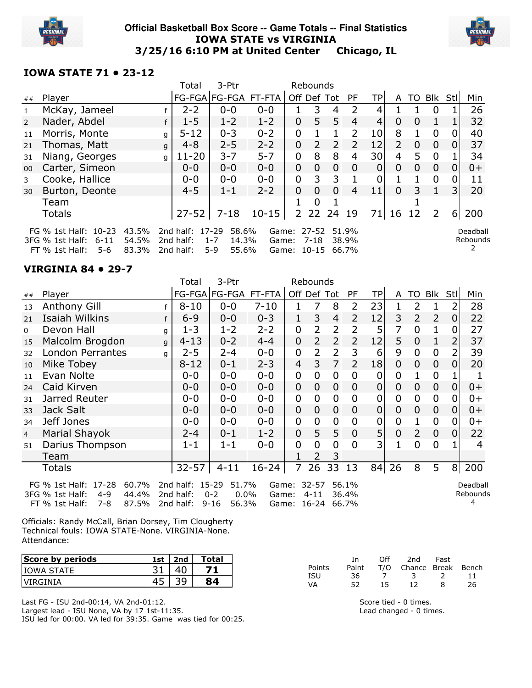

#### **Official Basketball Box Score -- Game Totals -- Final Statistics** IOWA STATE vs VIRGINIA 3/25/16 6:10 PM at United Center Chicago, IL



### IOWA STATE 71 • 23-12

|                |                                                                                                                             |   | Total                                           | 3-Ptr                                          |         |                                     | Rebounds       |                |                |                |                           |          |                |                |                      |
|----------------|-----------------------------------------------------------------------------------------------------------------------------|---|-------------------------------------------------|------------------------------------------------|---------|-------------------------------------|----------------|----------------|----------------|----------------|---------------------------|----------|----------------|----------------|----------------------|
| ##             | Player                                                                                                                      |   |                                                 | FG-FGA   FG-FGA   FT-FTA                       |         | Off Def Tot                         |                |                | <b>PF</b>      | TP.            |                           | A TO     | Blk Stl        |                | Min                  |
| 1              | McKay, Jameel                                                                                                               |   | $2 - 2$                                         | $0 - 0$                                        | $0 - 0$ |                                     | 3              | 4              | 2              | 4              |                           |          | $\Omega$       |                | 26                   |
| $\overline{2}$ | Nader, Abdel                                                                                                                |   | $1 - 5$                                         | $1 - 2$                                        | $1 - 2$ | $\mathbf{0}$                        | 5              | 5 <sub>1</sub> | 4              | $\overline{4}$ | $\Omega$                  | $\Omega$ | 1              |                | 32                   |
| 11             | Morris, Monte                                                                                                               | q | $5 - 12$                                        | $0 - 3$                                        | $0 - 2$ | 0                                   |                |                | $\mathcal{P}$  | 10             | 8                         |          | $\Omega$       | 0              | 40                   |
| 21             | Thomas, Matt                                                                                                                | q | $4 - 8$                                         | $2 - 5$                                        | $2 - 2$ | $\mathbf{0}$                        | $\overline{2}$ | 2 <sup>1</sup> | $\mathcal{P}$  | 12             | $\mathsf{2}^{\mathsf{1}}$ | $\Omega$ | $\mathbf{0}$   | $\Omega$       | 37                   |
| 31             | Niang, Georges                                                                                                              | a | $11 - 20$                                       | $3 - 7$                                        | $5 - 7$ | 0                                   | 8              | 8              | 4              | 30             | 4                         | 5.       | $\Omega$       |                | 34                   |
| 00             | Carter, Simeon                                                                                                              |   | $0 - 0$                                         | $0 - 0$                                        | $0 - 0$ | $\mathbf{0}$                        | 0              | $\overline{0}$ | 0              | $\overline{0}$ | $\Omega$                  | $\Omega$ | $\mathbf{0}$   | $\Omega$       | $0+$                 |
| 3              | Cooke, Hallice                                                                                                              |   | $0 - 0$                                         | $0 - 0$                                        | $0 - 0$ | 0                                   | 3              | 3              |                | $\mathbf 0$    |                           |          | $\Omega$       | 0              | 11                   |
| 30             | Burton, Deonte                                                                                                              |   | $4 - 5$                                         | $1 - 1$                                        | $2 - 2$ | 0                                   | $\Omega$       | 0              | 4              | 11             | $\Omega$                  | 3        | 1              | $\overline{3}$ | 20                   |
|                | Team                                                                                                                        |   |                                                 |                                                |         |                                     | 0              |                |                |                |                           |          |                |                |                      |
|                | <b>Totals</b>                                                                                                               |   | $27 - 52$                                       | $7 - 18$                                       | $10-15$ | $\overline{2}$                      | 22             | 24             | 19             | 71             | 16                        | 12       | $\overline{2}$ | $6 \mid$       | 200                  |
|                | FG % 1st Half: 10-23<br>43.5%<br>54.5%<br>$6 - 11$<br>3FG % 1st Half:<br><b>83 30Y</b><br>5-6<br>$FT 0/2 1$ ct Half $\cdot$ |   | 2nd half: 17-29<br>2nd half:<br><b>Ond half</b> | 58.6%<br>$1 - 7$<br>14.3%<br>$5 - Q$<br>55 60% | Game:   | Game: 27-52<br>$C2ma$ , 10.15 66 7% | 7-18           |                | 51.9%<br>38.9% |                |                           |          |                |                | Deadball<br>Rebounds |

FT % 1st Half: 5-6 83.3% 2nd half: 5-9 55.6% Game: 10-15 66.7%

#### VIRGINIA 84 • 29-7

|                |                                                                                                        |              | Total                                     | 3-Ptr                                            |                |              | Rebounds              |                |                         |                |                |                |                |                |                           |
|----------------|--------------------------------------------------------------------------------------------------------|--------------|-------------------------------------------|--------------------------------------------------|----------------|--------------|-----------------------|----------------|-------------------------|----------------|----------------|----------------|----------------|----------------|---------------------------|
| ##             | Player                                                                                                 |              |                                           | FG-FGA   FG-FGA   FT-FTA                         |                | Off Def      |                       | Totl           | <b>PF</b>               | <b>TP</b>      | A              | TO             | Blk            | Stl            | Min                       |
| 13             | Anthony Gill                                                                                           |              | $8 - 10$                                  | $0 - 0$                                          | $7 - 10$       |              |                       | 8              | 2                       | 23             |                | 2              |                | 2              | 28                        |
| 21             | Isaiah Wilkins                                                                                         | f            | $6 - 9$                                   | $0 - 0$                                          | $0 - 3$        | $\mathbf{1}$ | 3                     | 4              | $\overline{2}$          | 12             | 3              | $\overline{2}$ | $\overline{2}$ | $\overline{0}$ | 22                        |
| $\mathbf 0$    | Devon Hall                                                                                             | q            | $1 - 3$                                   | $1 - 2$                                          | $2 - 2$        | 0            | 2                     | 2              | 2                       | 5              | 7              | 0              | 1              | 0              | 27                        |
| 15             | Malcolm Brogdon                                                                                        | $\mathsf{q}$ | $4 - 13$                                  | $0 - 2$                                          | $4 - 4$        | 0            | 2                     | 2              | 2                       | 12             | 5              | 0              | 1              |                | 37                        |
| 32             | <b>London Perrantes</b>                                                                                | q            | $2 - 5$                                   | $2 - 4$                                          | $0 - 0$        | 0            |                       | 2              | 3                       | 6              | 9              | 0              | $\mathbf 0$    | 2              | 39                        |
| 10             | Mike Tobey                                                                                             |              | $8 - 12$                                  | $0 - 1$                                          | $2 - 3$        | 4            | 3                     | $\overline{7}$ | $\overline{2}$          | 18             | $\overline{0}$ | $\overline{0}$ | $\overline{0}$ | 0              | 20                        |
| 11             | Evan Nolte                                                                                             |              | $0 - 0$                                   | $0 - 0$                                          | $0 - 0$        | 0            | 0                     | 0              | 0                       | $\overline{0}$ | 0              |                | $\mathbf 0$    |                |                           |
| 24             | Caid Kirven                                                                                            |              | $0 - 0$                                   | $0 - 0$                                          | $0 - 0$        | 0            | 0                     | 0              | 0                       | 0              | 0              | 0              | $\mathbf 0$    | 0              | $0+$                      |
| 31             | Jarred Reuter                                                                                          |              | $0-0$                                     | $0 - 0$                                          | $0 - 0$        | 0            | 0                     | 0              | 0                       | 0              | 0              | 0              | 0              | 0              | $0+$                      |
| 33             | Jack Salt                                                                                              |              | $0 - 0$                                   | $0 - 0$                                          | $0 - 0$        | 0            | 0                     | 0              | 0                       | 0              | 0              | 0              | $\mathbf 0$    | 0              | $0+$                      |
| 34             | Jeff Jones                                                                                             |              | 0-0                                       | $0 - 0$                                          | $0 - 0$        | 0            | 0                     | 0              | 0                       | 0              | $\overline{0}$ |                | $\overline{0}$ | 0              | $0+$                      |
| $\overline{4}$ | Marial Shayok                                                                                          |              | $2 - 4$                                   | $0 - 1$                                          | $1 - 2$        | 0            | 5                     | 5              | 0                       | 5              | 0              | $\overline{2}$ | $\mathbf 0$    | 0              | 22                        |
| 51             | Darius Thompson                                                                                        |              | 1-1                                       | $1 - 1$                                          | $0 - 0$        | 0            | 0                     | 0              | 0                       | 3 <sub>l</sub> |                | 0              | $\overline{0}$ |                | 4                         |
|                | Team                                                                                                   |              |                                           |                                                  |                |              |                       | 3              |                         |                |                |                |                |                |                           |
|                | <b>Totals</b>                                                                                          |              | $32 - 57$                                 | $4 - 11$                                         | $16 - 24$      | 7            | 26                    | 33 13          |                         | 84             | 26             | 8              | 5              | 8              | 200                       |
|                | FG % 1st Half: 17-28<br>60.7%<br>3FG % 1st Half:<br>$4 - 9$<br>44.4%<br>87.5%<br>FT % 1st Half:<br>7-8 |              | 2nd half: 15-29<br>2nd half:<br>2nd half: | 51.7%<br>$0 - 2$<br>$0.0\%$<br>$9 - 16$<br>56.3% | Game:<br>Game: | Game: 16-24  | $32 - 57$<br>$4 - 11$ |                | 56.1%<br>36.4%<br>66.7% |                |                |                |                |                | Deadball<br>Rebounds<br>4 |

Officials: Randy McCall, Brian Dorsey, Tim Clougherty Technical fouls: IOWA STATE-None. VIRGINIA-None. Attendance:

| Score by periods | 1st                      | 2nd               | Total |           | ın       | Off | 2nd    | Fast  |           |
|------------------|--------------------------|-------------------|-------|-----------|----------|-----|--------|-------|-----------|
| IIOWA STATE      | <b>- 1</b><br><u>J L</u> | $\sqrt{2}$<br>-4u |       | Points    | Paint    | T/O | Chance | Break | Bench     |
| <b>VIRGINIA</b>  | -                        | 30                |       | ISU<br>VA | 36<br>52 | 15  | --     |       | . .<br>26 |

Last FG - ISU 2nd-00:14, VA 2nd-01:12. Largest lead - ISU None, VA by 17 1st-11:35. ISU led for 00:00. VA led for 39:35. Game was tied for 00:25.

Score tied - 0 times. Lead changed - 0 times.